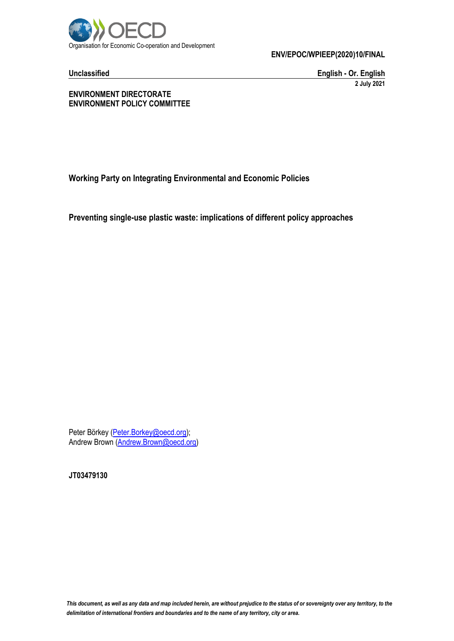

**Unclassified English - Or. English 2 July 2021**

**ENVIRONMENT DIRECTORATE ENVIRONMENT POLICY COMMITTEE**

**Working Party on Integrating Environmental and Economic Policies**

**Preventing single-use plastic waste: implications of different policy approaches**

Peter Börkey [\(Peter.Borkey@oecd.org\)](mailto:Peter.Borkey@oecd.org); Andrew Brown [\(Andrew.Brown@oecd.org\)](mailto:Andrew.Brown@oecd.org)

**JT03479130**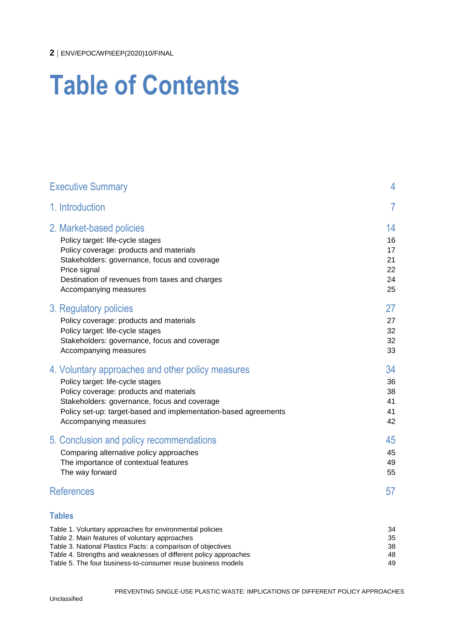# **Table of Contents**

| <b>Executive Summary</b>                                        | 4              |
|-----------------------------------------------------------------|----------------|
| 1. Introduction                                                 | $\overline{7}$ |
| 2. Market-based policies                                        | 14             |
| Policy target: life-cycle stages                                | 16             |
| Policy coverage: products and materials                         | 17             |
| Stakeholders: governance, focus and coverage                    | 21             |
| Price signal                                                    | 22             |
| Destination of revenues from taxes and charges                  | 24             |
| Accompanying measures                                           | 25             |
| 3. Regulatory policies                                          | 27             |
| Policy coverage: products and materials                         | 27             |
| Policy target: life-cycle stages                                | 32             |
| Stakeholders: governance, focus and coverage                    | 32             |
| Accompanying measures                                           | 33             |
| 4. Voluntary approaches and other policy measures               | 34             |
| Policy target: life-cycle stages                                | 36             |
| Policy coverage: products and materials                         | 38             |
| Stakeholders: governance, focus and coverage                    | 41             |
| Policy set-up: target-based and implementation-based agreements | 41             |
| Accompanying measures                                           | 42             |
| 5. Conclusion and policy recommendations                        | 45             |
| Comparing alternative policy approaches                         | 45             |
| The importance of contextual features                           | 49             |
| The way forward                                                 | 55             |
| <b>References</b>                                               | 57             |
| <b>Tables</b>                                                   |                |
| Table 1. Voluntary approaches for environmental policies        | 34             |

[Table 2. Main features of voluntary approaches](#page-34-0) 35<br>Table 3. National Plastics Pacts: a comparison of objectives 35 (38) 38 (38) 38 (39) 38 (39) 38 (39) 38 (39) 3 [Table 3. National Plastics Pacts: a comparison of objectives](#page-37-1)<br>Table 4. Strengths and weaknesses of different policy approaches<br>48

[Table 4. Strengths and weaknesses of different policy approaches](#page-47-0) 48<br>Table 5. The four business-to-consumer reuse business models 49 [Table 5. The four business-to-consumer reuse business models](#page-48-1)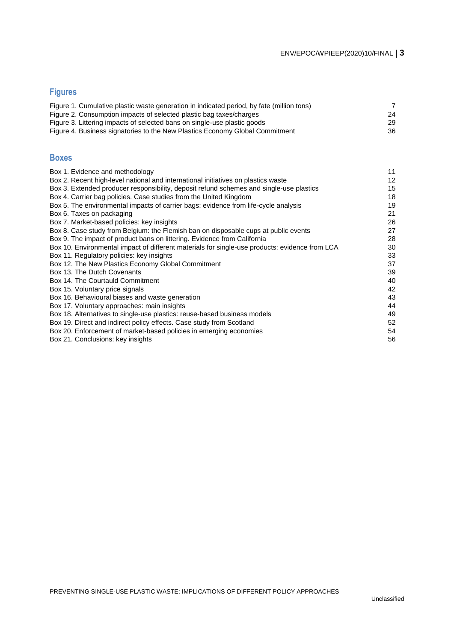## **Figures**

| Figure 1. Cumulative plastic waste generation in indicated period, by fate (million tons) |    |
|-------------------------------------------------------------------------------------------|----|
| Figure 2. Consumption impacts of selected plastic bag taxes/charges                       | 24 |
| Figure 3. Littering impacts of selected bans on single-use plastic goods                  | 29 |
| Figure 4. Business signatories to the New Plastics Economy Global Commitment              | 36 |

## **Boxes**

| Box 1. Evidence and methodology                                                                | 11 |
|------------------------------------------------------------------------------------------------|----|
| Box 2. Recent high-level national and international initiatives on plastics waste              | 12 |
| Box 3. Extended producer responsibility, deposit refund schemes and single-use plastics        | 15 |
| Box 4. Carrier bag policies. Case studies from the United Kingdom                              | 18 |
| Box 5. The environmental impacts of carrier bags: evidence from life-cycle analysis            | 19 |
| Box 6. Taxes on packaging                                                                      | 21 |
| Box 7. Market-based policies: key insights                                                     | 26 |
| Box 8. Case study from Belgium: the Flemish ban on disposable cups at public events            | 27 |
| Box 9. The impact of product bans on littering. Evidence from California                       | 28 |
| Box 10. Environmental impact of different materials for single-use products: evidence from LCA | 30 |
| Box 11. Regulatory policies: key insights                                                      | 33 |
| Box 12. The New Plastics Economy Global Commitment                                             | 37 |
| Box 13. The Dutch Covenants                                                                    | 39 |
| Box 14. The Courtauld Commitment                                                               | 40 |
| Box 15. Voluntary price signals                                                                | 42 |
| Box 16. Behavioural biases and waste generation                                                | 43 |
| Box 17. Voluntary approaches: main insights                                                    | 44 |
| Box 18. Alternatives to single-use plastics: reuse-based business models                       | 49 |
| Box 19. Direct and indirect policy effects. Case study from Scotland                           | 52 |
| Box 20. Enforcement of market-based policies in emerging economies                             | 54 |
| Box 21. Conclusions: key insights                                                              | 56 |
|                                                                                                |    |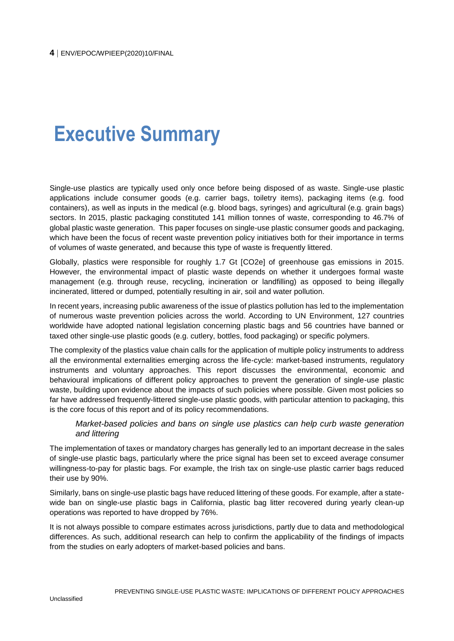## <span id="page-3-0"></span>**Executive Summary**

Single-use plastics are typically used only once before being disposed of as waste. Single-use plastic applications include consumer goods (e.g. carrier bags, toiletry items), packaging items (e.g. food containers), as well as inputs in the medical (e.g. blood bags, syringes) and agricultural (e.g. grain bags) sectors. In 2015, plastic packaging constituted 141 million tonnes of waste, corresponding to 46.7% of global plastic waste generation. This paper focuses on single-use plastic consumer goods and packaging, which have been the focus of recent waste prevention policy initiatives both for their importance in terms of volumes of waste generated, and because this type of waste is frequently littered.

Globally, plastics were responsible for roughly 1.7 Gt [CO2e] of greenhouse gas emissions in 2015. However, the environmental impact of plastic waste depends on whether it undergoes formal waste management (e.g. through reuse, recycling, incineration or landfilling) as opposed to being illegally incinerated, littered or dumped, potentially resulting in air, soil and water pollution.

In recent years, increasing public awareness of the issue of plastics pollution has led to the implementation of numerous waste prevention policies across the world. According to UN Environment, 127 countries worldwide have adopted national legislation concerning plastic bags and 56 countries have banned or taxed other single-use plastic goods (e.g. cutlery, bottles, food packaging) or specific polymers.

The complexity of the plastics value chain calls for the application of multiple policy instruments to address all the environmental externalities emerging across the life-cycle: market-based instruments, regulatory instruments and voluntary approaches. This report discusses the environmental, economic and behavioural implications of different policy approaches to prevent the generation of single-use plastic waste, building upon evidence about the impacts of such policies where possible. Given most policies so far have addressed frequently-littered single-use plastic goods, with particular attention to packaging, this is the core focus of this report and of its policy recommendations.

## *Market-based policies and bans on single use plastics can help curb waste generation and littering*

The implementation of taxes or mandatory charges has generally led to an important decrease in the sales of single-use plastic bags, particularly where the price signal has been set to exceed average consumer willingness-to-pay for plastic bags. For example, the Irish tax on single-use plastic carrier bags reduced their use by 90%.

Similarly, bans on single-use plastic bags have reduced littering of these goods. For example, after a statewide ban on single-use plastic bags in California, plastic bag litter recovered during yearly clean-up operations was reported to have dropped by 76%.

It is not always possible to compare estimates across jurisdictions, partly due to data and methodological differences. As such, additional research can help to confirm the applicability of the findings of impacts from the studies on early adopters of market-based policies and bans.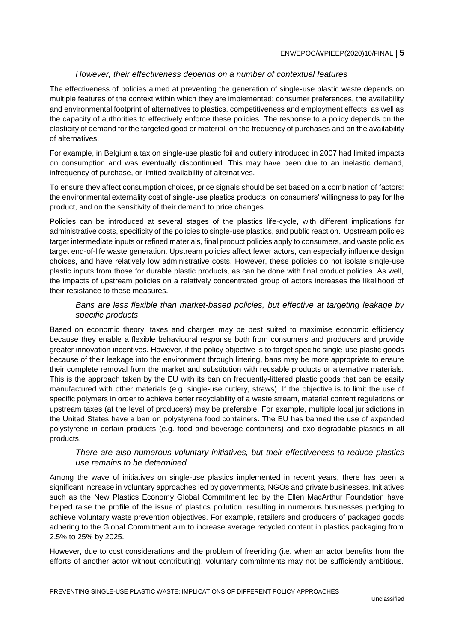## *However, their effectiveness depends on a number of contextual features*

The effectiveness of policies aimed at preventing the generation of single-use plastic waste depends on multiple features of the context within which they are implemented: consumer preferences, the availability and environmental footprint of alternatives to plastics, competitiveness and employment effects, as well as the capacity of authorities to effectively enforce these policies. The response to a policy depends on the elasticity of demand for the targeted good or material, on the frequency of purchases and on the availability of alternatives.

For example, in Belgium a tax on single-use plastic foil and cutlery introduced in 2007 had limited impacts on consumption and was eventually discontinued. This may have been due to an inelastic demand, infrequency of purchase, or limited availability of alternatives.

To ensure they affect consumption choices, price signals should be set based on a combination of factors: the environmental externality cost of single-use plastics products, on consumers' willingness to pay for the product, and on the sensitivity of their demand to price changes.

Policies can be introduced at several stages of the plastics life-cycle, with different implications for administrative costs, specificity of the policies to single-use plastics, and public reaction. Upstream policies target intermediate inputs or refined materials, final product policies apply to consumers, and waste policies target end-of-life waste generation. Upstream policies affect fewer actors, can especially influence design choices, and have relatively low administrative costs. However, these policies do not isolate single-use plastic inputs from those for durable plastic products, as can be done with final product policies. As well, the impacts of upstream policies on a relatively concentrated group of actors increases the likelihood of their resistance to these measures.

## *Bans are less flexible than market-based policies, but effective at targeting leakage by specific products*

Based on economic theory, taxes and charges may be best suited to maximise economic efficiency because they enable a flexible behavioural response both from consumers and producers and provide greater innovation incentives. However, if the policy objective is to target specific single-use plastic goods because of their leakage into the environment through littering, bans may be more appropriate to ensure their complete removal from the market and substitution with reusable products or alternative materials. This is the approach taken by the EU with its ban on frequently-littered plastic goods that can be easily manufactured with other materials (e.g. single-use cutlery, straws). If the objective is to limit the use of specific polymers in order to achieve better recyclability of a waste stream, material content regulations or upstream taxes (at the level of producers) may be preferable. For example, multiple local jurisdictions in the United States have a ban on polystyrene food containers. The EU has banned the use of expanded polystyrene in certain products (e.g. food and beverage containers) and oxo-degradable plastics in all products.

#### *There are also numerous voluntary initiatives, but their effectiveness to reduce plastics use remains to be determined*

Among the wave of initiatives on single-use plastics implemented in recent years, there has been a significant increase in voluntary approaches led by governments, NGOs and private businesses. Initiatives such as the New Plastics Economy Global Commitment led by the Ellen MacArthur Foundation have helped raise the profile of the issue of plastics pollution, resulting in numerous businesses pledging to achieve voluntary waste prevention objectives. For example, retailers and producers of packaged goods adhering to the Global Commitment aim to increase average recycled content in plastics packaging from 2.5% to 25% by 2025.

However, due to cost considerations and the problem of freeriding (i.e. when an actor benefits from the efforts of another actor without contributing), voluntary commitments may not be sufficiently ambitious.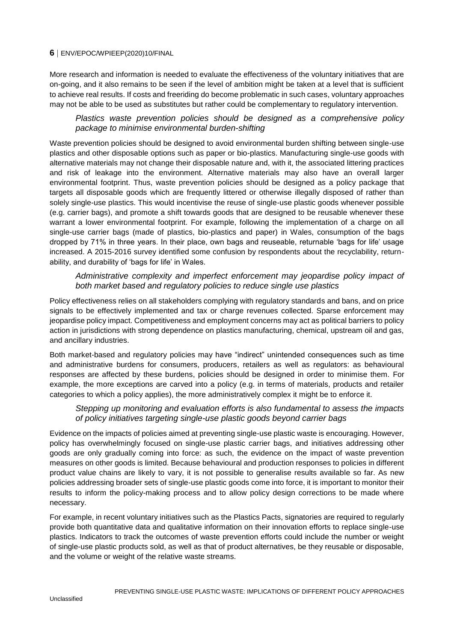More research and information is needed to evaluate the effectiveness of the voluntary initiatives that are on-going, and it also remains to be seen if the level of ambition might be taken at a level that is sufficient to achieve real results. If costs and freeriding do become problematic in such cases, voluntary approaches may not be able to be used as substitutes but rather could be complementary to regulatory intervention.

## *Plastics waste prevention policies should be designed as a comprehensive policy package to minimise environmental burden-shifting*

Waste prevention policies should be designed to avoid environmental burden shifting between single-use plastics and other disposable options such as paper or bio-plastics. Manufacturing single-use goods with alternative materials may not change their disposable nature and, with it, the associated littering practices and risk of leakage into the environment. Alternative materials may also have an overall larger environmental footprint. Thus, waste prevention policies should be designed as a policy package that targets all disposable goods which are frequently littered or otherwise illegally disposed of rather than solely single-use plastics. This would incentivise the reuse of single-use plastic goods whenever possible (e.g. carrier bags), and promote a shift towards goods that are designed to be reusable whenever these warrant a lower environmental footprint. For example, following the implementation of a charge on all single-use carrier bags (made of plastics, bio-plastics and paper) in Wales, consumption of the bags dropped by 71% in three years. In their place, own bags and reuseable, returnable 'bags for life' usage increased. A 2015-2016 survey identified some confusion by respondents about the recyclability, returnability, and durability of 'bags for life' in Wales.

## *Administrative complexity and imperfect enforcement may jeopardise policy impact of both market based and regulatory policies to reduce single use plastics*

Policy effectiveness relies on all stakeholders complying with regulatory standards and bans, and on price signals to be effectively implemented and tax or charge revenues collected. Sparse enforcement may jeopardise policy impact. Competitiveness and employment concerns may act as political barriers to policy action in jurisdictions with strong dependence on plastics manufacturing, chemical, upstream oil and gas, and ancillary industries.

Both market-based and regulatory policies may have "indirect" unintended consequences such as time and administrative burdens for consumers, producers, retailers as well as regulators: as behavioural responses are affected by these burdens, policies should be designed in order to minimise them. For example, the more exceptions are carved into a policy (e.g. in terms of materials, products and retailer categories to which a policy applies), the more administratively complex it might be to enforce it.

#### *Stepping up monitoring and evaluation efforts is also fundamental to assess the impacts of policy initiatives targeting single-use plastic goods beyond carrier bags*

Evidence on the impacts of policies aimed at preventing single-use plastic waste is encouraging. However, policy has overwhelmingly focused on single-use plastic carrier bags, and initiatives addressing other goods are only gradually coming into force: as such, the evidence on the impact of waste prevention measures on other goods is limited. Because behavioural and production responses to policies in different product value chains are likely to vary, it is not possible to generalise results available so far. As new policies addressing broader sets of single-use plastic goods come into force, it is important to monitor their results to inform the policy-making process and to allow policy design corrections to be made where necessary.

For example, in recent voluntary initiatives such as the Plastics Pacts, signatories are required to regularly provide both quantitative data and qualitative information on their innovation efforts to replace single-use plastics. Indicators to track the outcomes of waste prevention efforts could include the number or weight of single-use plastic products sold, as well as that of product alternatives, be they reusable or disposable, and the volume or weight of the relative waste streams.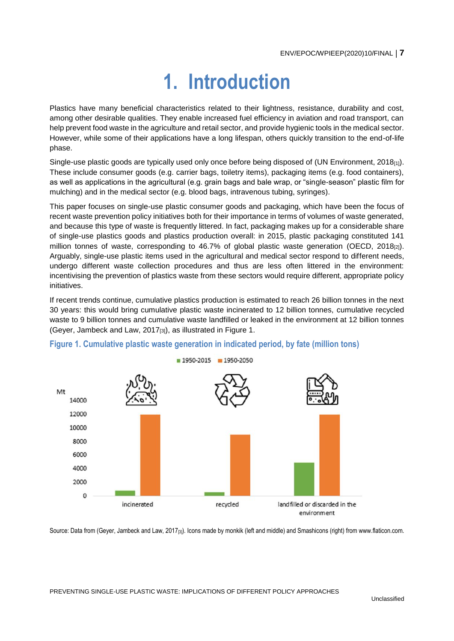## **1. Introduction**

<span id="page-6-0"></span>Plastics have many beneficial characteristics related to their lightness, resistance, durability and cost, among other desirable qualities. They enable increased fuel efficiency in aviation and road transport, can help prevent food waste in the agriculture and retail sector, and provide hygienic tools in the medical sector. However, while some of their applications have a long lifespan, others quickly transition to the end-of-life phase.

Single-use plastic goods are typically used only once before being disposed of (UN Environment, 2018[1]). These include consumer goods (e.g. carrier bags, toiletry items), packaging items (e.g. food containers), as well as applications in the agricultural (e.g. grain bags and bale wrap, or "single-season" plastic film for mulching) and in the medical sector (e.g. blood bags, intravenous tubing, syringes).

This paper focuses on single-use plastic consumer goods and packaging, which have been the focus of recent waste prevention policy initiatives both for their importance in terms of volumes of waste generated, and because this type of waste is frequently littered. In fact, packaging makes up for a considerable share of single-use plastics goods and plastics production overall: in 2015, plastic packaging constituted 141 million tonnes of waste, corresponding to 46.7% of global plastic waste generation (OECD, 2018<sub>[2]</sub>). Arguably, single-use plastic items used in the agricultural and medical sector respond to different needs, undergo different waste collection procedures and thus are less often littered in the environment: incentivising the prevention of plastics waste from these sectors would require different, appropriate policy initiatives.

If recent trends continue, cumulative plastics production is estimated to reach 26 billion tonnes in the next 30 years: this would bring cumulative plastic waste incinerated to 12 billion tonnes, cumulative recycled waste to 9 billion tonnes and cumulative waste landfilled or leaked in the environment at 12 billion tonnes (Geyer, Jambeck and Law, 2017[3]), as illustrated in [Figure 1.](#page-6-1)



## <span id="page-6-1"></span>**Figure 1. Cumulative plastic waste generation in indicated period, by fate (million tons)**

Source: Data from (Geyer, Jambeck and Law, 2017[3]). Icons made by monkik (left and middle) and Smashicons (right) from www.flaticon.com.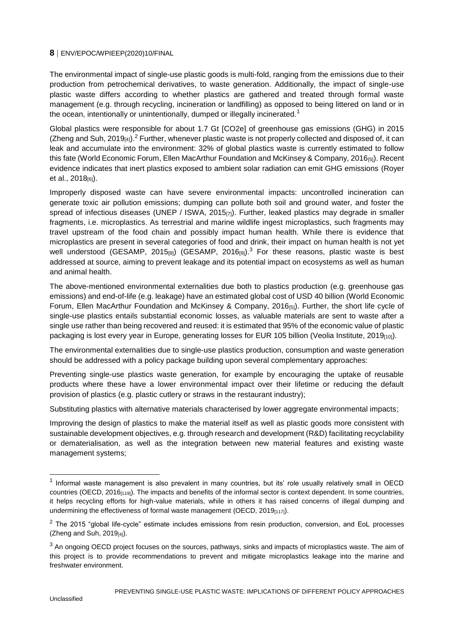The environmental impact of single-use plastic goods is multi-fold, ranging from the emissions due to their production from petrochemical derivatives, to waste generation. Additionally, the impact of single-use plastic waste differs according to whether plastics are gathered and treated through formal waste management (e.g. through recycling, incineration or landfilling) as opposed to being littered on land or in the ocean, intentionally or unintentionally, dumped or illegally incinerated.<sup>1</sup>

Global plastics were responsible for about 1.7 Gt [CO2e] of greenhouse gas emissions (GHG) in 2015 (Zheng and Suh, 2019<sub>[4]</sub>).<sup>2</sup> Further, whenever plastic waste is not properly collected and disposed of, it can leak and accumulate into the environment: 32% of global plastics waste is currently estimated to follow this fate (World Economic Forum, Ellen MacArthur Foundation and McKinsey & Company, 2016[5]). Recent evidence indicates that inert plastics exposed to ambient solar radiation can emit GHG emissions (Royer et al., 2018<sub>[6]</sub>).

Improperly disposed waste can have severe environmental impacts: uncontrolled incineration can generate toxic air pollution emissions; dumping can pollute both soil and ground water, and foster the spread of infectious diseases (UNEP / ISWA, 2015<sub>[7]</sub>). Further, leaked plastics may degrade in smaller fragments, i.e. microplastics. As terrestrial and marine wildlife ingest microplastics, such fragments may travel upstream of the food chain and possibly impact human health. While there is evidence that microplastics are present in several categories of food and drink, their impact on human health is not yet well understood (GESAMP, 2015 $_{[8]}$ ) (GESAMP, 2016 $_{[9]}$ ).<sup>3</sup> For these reasons, plastic waste is best addressed at source, aiming to prevent leakage and its potential impact on ecosystems as well as human and animal health.

The above-mentioned environmental externalities due both to plastics production (e.g. greenhouse gas emissions) and end-of-life (e.g. leakage) have an estimated global cost of USD 40 billion (World Economic Forum, Ellen MacArthur Foundation and McKinsey & Company, 2016<sub>[5]</sub>). Further, the short life cycle of single-use plastics entails substantial economic losses, as valuable materials are sent to waste after a single use rather than being recovered and reused: it is estimated that 95% of the economic value of plastic packaging is lost every year in Europe, generating losses for EUR 105 billion (Veolia Institute, 2019[10]).

The environmental externalities due to single-use plastics production, consumption and waste generation should be addressed with a policy package building upon several complementary approaches:

Preventing single-use plastics waste generation, for example by encouraging the uptake of reusable products where these have a lower environmental impact over their lifetime or reducing the default provision of plastics (e.g. plastic cutlery or straws in the restaurant industry);

Substituting plastics with alternative materials characterised by lower aggregate environmental impacts;

Improving the design of plastics to make the material itself as well as plastic goods more consistent with sustainable development objectives, e.g. through research and development (R&D) facilitating recyclability or dematerialisation, as well as the integration between new material features and existing waste management systems;

<sup>&</sup>lt;sup>1</sup> Informal waste management is also prevalent in many countries, but its' role usually relatively small in OECD countries (OECD, 2016[119]). The impacts and benefits of the informal sector is context dependent. In some countries, it helps recycling efforts for high-value materials, while in others it has raised concerns of illegal dumping and undermining the effectiveness of formal waste management (OECD, 2019[117]).

 $2$  The 2015 "global life-cycle" estimate includes emissions from resin production, conversion, and EoL processes (Zheng and Suh,  $2019_{[4]}$ ).

<sup>&</sup>lt;sup>3</sup> An ongoing OECD project focuses on the sources, pathways, sinks and impacts of microplastics waste. The aim of this project is to provide recommendations to prevent and mitigate microplastics leakage into the marine and freshwater environment.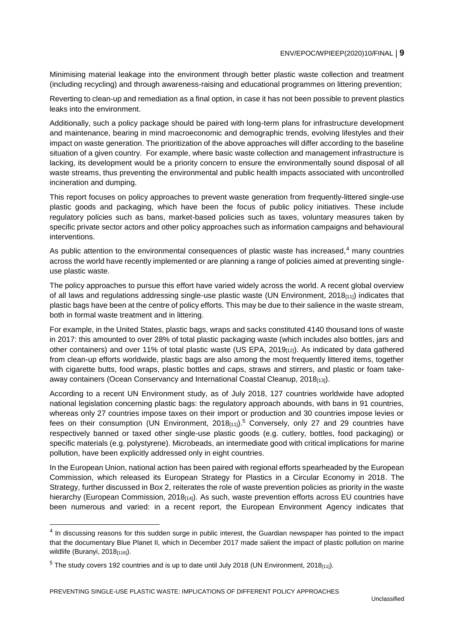Minimising material leakage into the environment through better plastic waste collection and treatment (including recycling) and through awareness-raising and educational programmes on littering prevention;

Reverting to clean-up and remediation as a final option, in case it has not been possible to prevent plastics leaks into the environment.

Additionally, such a policy package should be paired with long-term plans for infrastructure development and maintenance, bearing in mind macroeconomic and demographic trends, evolving lifestyles and their impact on waste generation. The prioritization of the above approaches will differ according to the baseline situation of a given country. For example, where basic waste collection and management infrastructure is lacking, its development would be a priority concern to ensure the environmentally sound disposal of all waste streams, thus preventing the environmental and public health impacts associated with uncontrolled incineration and dumping.

This report focuses on policy approaches to prevent waste generation from frequently-littered single-use plastic goods and packaging, which have been the focus of public policy initiatives. These include regulatory policies such as bans, market-based policies such as taxes, voluntary measures taken by specific private sector actors and other policy approaches such as information campaigns and behavioural interventions.

As public attention to the environmental consequences of plastic waste has increased, $4$  many countries across the world have recently implemented or are planning a range of policies aimed at preventing singleuse plastic waste.

The policy approaches to pursue this effort have varied widely across the world. A recent global overview of all laws and regulations addressing single-use plastic waste (UN Environment, 2018[11]) indicates that plastic bags have been at the centre of policy efforts. This may be due to their salience in the waste stream, both in formal waste treatment and in littering.

For example, in the United States, plastic bags, wraps and sacks constituted 4140 thousand tons of waste in 2017: this amounted to over 28% of total plastic packaging waste (which includes also bottles, jars and other containers) and over 11% of total plastic waste (US EPA, 2019<sub>[12]</sub>). As indicated by data gathered from clean-up efforts worldwide, plastic bags are also among the most frequently littered items, together with cigarette butts, food wraps, plastic bottles and caps, straws and stirrers, and plastic or foam takeaway containers (Ocean Conservancy and International Coastal Cleanup, 2018[13]).

According to a recent UN Environment study, as of July 2018, 127 countries worldwide have adopted national legislation concerning plastic bags: the regulatory approach abounds, with bans in 91 countries, whereas only 27 countries impose taxes on their import or production and 30 countries impose levies or fees on their consumption (UN Environment, 2018 $_{[11]}$ ).<sup>5</sup> Conversely, only 27 and 29 countries have respectively banned or taxed other single-use plastic goods (e.g. cutlery, bottles, food packaging) or specific materials (e.g. polystyrene). Microbeads, an intermediate good with critical implications for marine pollution, have been explicitly addressed only in eight countries.

In the European Union, national action has been paired with regional efforts spearheaded by the European Commission, which released its European Strategy for Plastics in a Circular Economy in 2018. The Strategy, further discussed in Box 2, reiterates the role of waste prevention policies as priority in the waste hierarchy (European Commission, 2018<sub>[14]</sub>). As such, waste prevention efforts across EU countries have been numerous and varied: in a recent report, the European Environment Agency indicates that

<sup>&</sup>lt;sup>4</sup> In discussing reasons for this sudden surge in public interest, the Guardian newspaper has pointed to the impact that the documentary Blue Planet II, which in December 2017 made salient the impact of plastic pollution on marine wildlife (Buranyi, 2018[116]).

 $5$  The study covers 192 countries and is up to date until July 2018 (UN Environment, 2018 $_{[11]}$ ).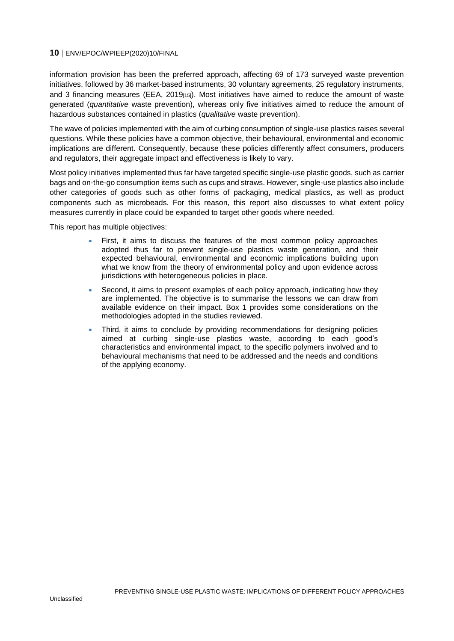information provision has been the preferred approach, affecting 69 of 173 surveyed waste prevention initiatives, followed by 36 market-based instruments, 30 voluntary agreements, 25 regulatory instruments, and 3 financing measures (EEA, 2019<sub>[15]</sub>). Most initiatives have aimed to reduce the amount of waste generated (*quantitative* waste prevention), whereas only five initiatives aimed to reduce the amount of hazardous substances contained in plastics (*qualitative* waste prevention).

The wave of policies implemented with the aim of curbing consumption of single-use plastics raises several questions. While these policies have a common objective, their behavioural, environmental and economic implications are different. Consequently, because these policies differently affect consumers, producers and regulators, their aggregate impact and effectiveness is likely to vary.

Most policy initiatives implemented thus far have targeted specific single-use plastic goods, such as carrier bags and on-the-go consumption items such as cups and straws. However, single-use plastics also include other categories of goods such as other forms of packaging, medical plastics, as well as product components such as microbeads. For this reason, this report also discusses to what extent policy measures currently in place could be expanded to target other goods where needed.

This report has multiple objectives:

- First, it aims to discuss the features of the most common policy approaches adopted thus far to prevent single-use plastics waste generation, and their expected behavioural, environmental and economic implications building upon what we know from the theory of environmental policy and upon evidence across jurisdictions with heterogeneous policies in place.
- Second, it aims to present examples of each policy approach, indicating how they are implemented. The objective is to summarise the lessons we can draw from available evidence on their impact. Box 1 provides some considerations on the methodologies adopted in the studies reviewed.
- Third, it aims to conclude by providing recommendations for designing policies aimed at curbing single-use plastics waste, according to each good's characteristics and environmental impact, to the specific polymers involved and to behavioural mechanisms that need to be addressed and the needs and conditions of the applying economy.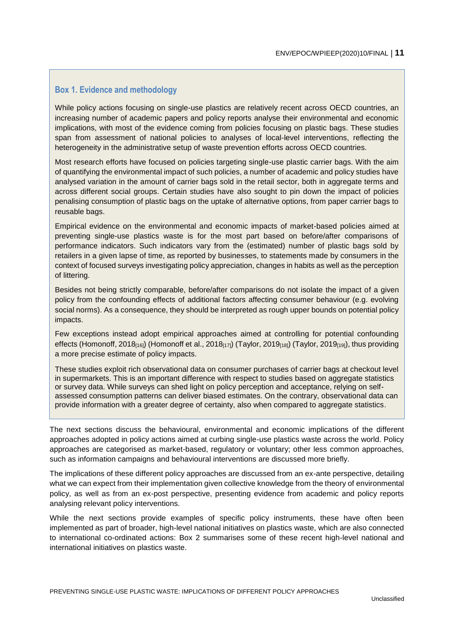## <span id="page-10-0"></span>**Box 1. Evidence and methodology**

While policy actions focusing on single-use plastics are relatively recent across OECD countries, an increasing number of academic papers and policy reports analyse their environmental and economic implications, with most of the evidence coming from policies focusing on plastic bags. These studies span from assessment of national policies to analyses of local-level interventions, reflecting the heterogeneity in the administrative setup of waste prevention efforts across OECD countries.

Most research efforts have focused on policies targeting single-use plastic carrier bags. With the aim of quantifying the environmental impact of such policies, a number of academic and policy studies have analysed variation in the amount of carrier bags sold in the retail sector, both in aggregate terms and across different social groups. Certain studies have also sought to pin down the impact of policies penalising consumption of plastic bags on the uptake of alternative options, from paper carrier bags to reusable bags.

Empirical evidence on the environmental and economic impacts of market-based policies aimed at preventing single-use plastics waste is for the most part based on before/after comparisons of performance indicators. Such indicators vary from the (estimated) number of plastic bags sold by retailers in a given lapse of time, as reported by businesses, to statements made by consumers in the context of focused surveys investigating policy appreciation, changes in habits as well as the perception of littering.

Besides not being strictly comparable, before/after comparisons do not isolate the impact of a given policy from the confounding effects of additional factors affecting consumer behaviour (e.g. evolving social norms). As a consequence, they should be interpreted as rough upper bounds on potential policy impacts.

Few exceptions instead adopt empirical approaches aimed at controlling for potential confounding effects (Homonoff, 2018 $_{[16]}$ ) (Homonoff et al., 2018 $_{[17]}$ ) (Taylor, 2019 $_{[18]}$ ) (Taylor, 2019 $_{[19]}$ ), thus providing a more precise estimate of policy impacts.

These studies exploit rich observational data on consumer purchases of carrier bags at checkout level in supermarkets. This is an important difference with respect to studies based on aggregate statistics or survey data. While surveys can shed light on policy perception and acceptance, relying on selfassessed consumption patterns can deliver biased estimates. On the contrary, observational data can provide information with a greater degree of certainty, also when compared to aggregate statistics.

The next sections discuss the behavioural, environmental and economic implications of the different approaches adopted in policy actions aimed at curbing single-use plastics waste across the world. Policy approaches are categorised as market-based, regulatory or voluntary; other less common approaches, such as information campaigns and behavioural interventions are discussed more briefly.

The implications of these different policy approaches are discussed from an ex-ante perspective, detailing what we can expect from their implementation given collective knowledge from the theory of environmental policy, as well as from an ex-post perspective, presenting evidence from academic and policy reports analysing relevant policy interventions.

While the next sections provide examples of specific policy instruments, these have often been implemented as part of broader, high-level national initiatives on plastics waste, which are also connected to international co-ordinated actions: Box 2 summarises some of these recent high-level national and international initiatives on plastics waste.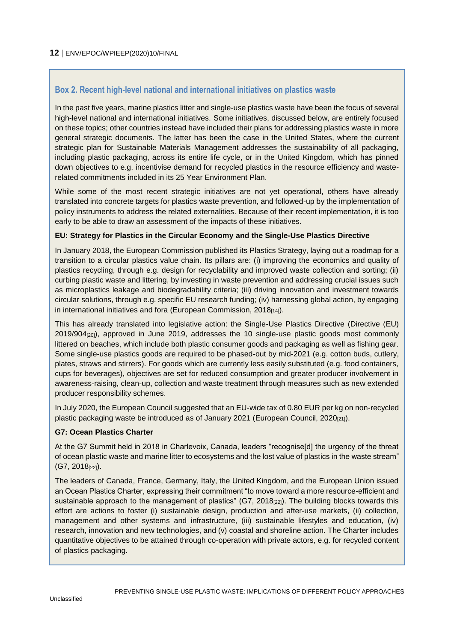## <span id="page-11-0"></span>**Box 2. Recent high-level national and international initiatives on plastics waste**

In the past five years, marine plastics litter and single-use plastics waste have been the focus of several high-level national and international initiatives. Some initiatives, discussed below, are entirely focused on these topics; other countries instead have included their plans for addressing plastics waste in more general strategic documents. The latter has been the case in the United States, where the current strategic plan for Sustainable Materials Management addresses the sustainability of all packaging, including plastic packaging, across its entire life cycle, or in the United Kingdom, which has pinned down objectives to e.g. incentivise demand for recycled plastics in the resource efficiency and wasterelated commitments included in its 25 Year Environment Plan.

While some of the most recent strategic initiatives are not yet operational, others have already translated into concrete targets for plastics waste prevention, and followed-up by the implementation of policy instruments to address the related externalities. Because of their recent implementation, it is too early to be able to draw an assessment of the impacts of these initiatives.

#### **EU: Strategy for Plastics in the Circular Economy and the Single-Use Plastics Directive**

In January 2018, the European Commission published its Plastics Strategy, laying out a roadmap for a transition to a circular plastics value chain. Its pillars are: (i) improving the economics and quality of plastics recycling, through e.g. design for recyclability and improved waste collection and sorting; (ii) curbing plastic waste and littering, by investing in waste prevention and addressing crucial issues such as microplastics leakage and biodegradability criteria; (iii) driving innovation and investment towards circular solutions, through e.g. specific EU research funding; (iv) harnessing global action, by engaging in international initiatives and fora (European Commission, 2018[14]).

This has already translated into legislative action: the Single-Use Plastics Directive (Directive (EU)  $2019/904_{[20]}$ , approved in June 2019, addresses the 10 single-use plastic goods most commonly littered on beaches, which include both plastic consumer goods and packaging as well as fishing gear. Some single-use plastics goods are required to be phased-out by mid-2021 (e.g. cotton buds, cutlery, plates, straws and stirrers). For goods which are currently less easily substituted (e.g. food containers, cups for beverages), objectives are set for reduced consumption and greater producer involvement in awareness-raising, clean-up, collection and waste treatment through measures such as new extended producer responsibility schemes.

In July 2020, the European Council suggested that an EU-wide tax of 0.80 EUR per kg on non-recycled plastic packaging waste be introduced as of January 2021 (European Council,  $2020_{[21]}$ ).

#### **G7: Ocean Plastics Charter**

At the G7 Summit held in 2018 in Charlevoix, Canada, leaders "recognise[d] the urgency of the threat of ocean plastic waste and marine litter to ecosystems and the lost value of plastics in the waste stream" (G7, 2018[22]).

The leaders of Canada, France, Germany, Italy, the United Kingdom, and the European Union issued an Ocean Plastics Charter, expressing their commitment "to move toward a more resource-efficient and sustainable approach to the management of plastics" (G7, 2018<sub>[22]</sub>). The building blocks towards this effort are actions to foster (i) sustainable design, production and after-use markets, (ii) collection, management and other systems and infrastructure, (iii) sustainable lifestyles and education, (iv) research, innovation and new technologies, and (v) coastal and shoreline action. The Charter includes quantitative objectives to be attained through co-operation with private actors, e.g. for recycled content of plastics packaging.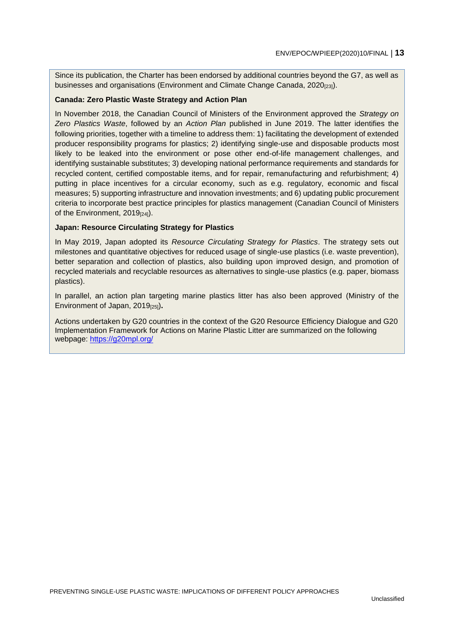Since its publication, the Charter has been endorsed by additional countries beyond the G7, as well as businesses and organisations (Environment and Climate Change Canada, 2020<sub>[23]</sub>).

#### **Canada: Zero Plastic Waste Strategy and Action Plan**

In November 2018, the Canadian Council of Ministers of the Environment approved the *Strategy on Zero Plastics Waste*, followed by an *Action Plan* published in June 2019. The latter identifies the following priorities, together with a timeline to address them: 1) facilitating the development of extended producer responsibility programs for plastics; 2) identifying single-use and disposable products most likely to be leaked into the environment or pose other end-of-life management challenges, and identifying sustainable substitutes; 3) developing national performance requirements and standards for recycled content, certified compostable items, and for repair, remanufacturing and refurbishment; 4) putting in place incentives for a circular economy, such as e.g. regulatory, economic and fiscal measures; 5) supporting infrastructure and innovation investments; and 6) updating public procurement criteria to incorporate best practice principles for plastics management (Canadian Council of Ministers of the Environment, 2019<sub>[24]</sub>).

#### **Japan: Resource Circulating Strategy for Plastics**

In May 2019, Japan adopted its *Resource Circulating Strategy for Plastics*. The strategy sets out milestones and quantitative objectives for reduced usage of single-use plastics (i.e. waste prevention), better separation and collection of plastics, also building upon improved design, and promotion of recycled materials and recyclable resources as alternatives to single-use plastics (e.g. paper, biomass plastics).

In parallel, an action plan targeting marine plastics litter has also been approved (Ministry of the Environment of Japan, 2019<sub>[25]</sub>).

Actions undertaken by G20 countries in the context of the G20 Resource Efficiency Dialogue and G20 Implementation Framework for Actions on Marine Plastic Litter are summarized on the following webpage:<https://g20mpl.org/>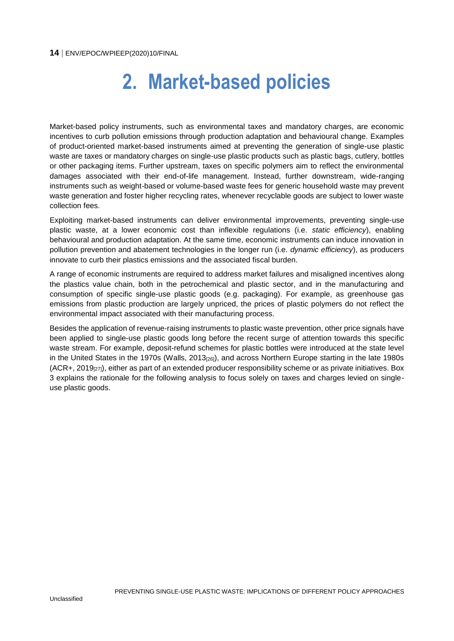## **2. Market-based policies**

<span id="page-13-0"></span>Market-based policy instruments, such as environmental taxes and mandatory charges, are economic incentives to curb pollution emissions through production adaptation and behavioural change. Examples of product-oriented market-based instruments aimed at preventing the generation of single-use plastic waste are taxes or mandatory charges on single-use plastic products such as plastic bags, cutlery, bottles or other packaging items. Further upstream, taxes on specific polymers aim to reflect the environmental damages associated with their end-of-life management. Instead, further downstream, wide-ranging instruments such as weight-based or volume-based waste fees for generic household waste may prevent waste generation and foster higher recycling rates, whenever recyclable goods are subject to lower waste collection fees.

Exploiting market-based instruments can deliver environmental improvements, preventing single-use plastic waste, at a lower economic cost than inflexible regulations (i.e. *static efficiency*), enabling behavioural and production adaptation. At the same time, economic instruments can induce innovation in pollution prevention and abatement technologies in the longer run (i.e. *dynamic efficiency*), as producers innovate to curb their plastics emissions and the associated fiscal burden.

A range of economic instruments are required to address market failures and misaligned incentives along the plastics value chain, both in the petrochemical and plastic sector, and in the manufacturing and consumption of specific single-use plastic goods (e.g. packaging). For example, as greenhouse gas emissions from plastic production are largely unpriced, the prices of plastic polymers do not reflect the environmental impact associated with their manufacturing process.

Besides the application of revenue-raising instruments to plastic waste prevention, other price signals have been applied to single-use plastic goods long before the recent surge of attention towards this specific waste stream. For example, deposit-refund schemes for plastic bottles were introduced at the state level in the United States in the 1970s (Walls,  $2013_{[26]}$ ), and across Northern Europe starting in the late 1980s (ACR+, 2019[27]), either as part of an extended producer responsibility scheme or as private initiatives. Box 3 explains the rationale for the following analysis to focus solely on taxes and charges levied on singleuse plastic goods.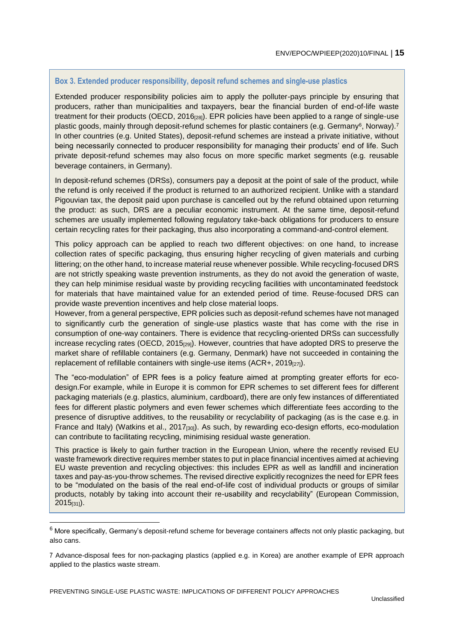#### <span id="page-14-0"></span>**Box 3. Extended producer responsibility, deposit refund schemes and single-use plastics**

Extended producer responsibility policies aim to apply the polluter-pays principle by ensuring that producers, rather than municipalities and taxpayers, bear the financial burden of end-of-life waste treatment for their products (OECD, 2016[28]). EPR policies have been applied to a range of single-use plastic goods, mainly through deposit-refund schemes for plastic containers (e.g. Germany<sup>6</sup>, Norway).<sup>7</sup> In other countries (e.g. United States), deposit-refund schemes are instead a private initiative, without being necessarily connected to producer responsibility for managing their products' end of life. Such private deposit-refund schemes may also focus on more specific market segments (e.g. reusable beverage containers, in Germany).

In deposit-refund schemes (DRSs), consumers pay a deposit at the point of sale of the product, while the refund is only received if the product is returned to an authorized recipient. Unlike with a standard Pigouvian tax, the deposit paid upon purchase is cancelled out by the refund obtained upon returning the product: as such, DRS are a peculiar economic instrument. At the same time, deposit-refund schemes are usually implemented following regulatory take-back obligations for producers to ensure certain recycling rates for their packaging, thus also incorporating a command-and-control element.

This policy approach can be applied to reach two different objectives: on one hand, to increase collection rates of specific packaging, thus ensuring higher recycling of given materials and curbing littering; on the other hand, to increase material reuse whenever possible. While recycling-focused DRS are not strictly speaking waste prevention instruments, as they do not avoid the generation of waste, they can help minimise residual waste by providing recycling facilities with uncontaminated feedstock for materials that have maintained value for an extended period of time. Reuse-focused DRS can provide waste prevention incentives and help close material loops.

However, from a general perspective, EPR policies such as deposit-refund schemes have not managed to significantly curb the generation of single-use plastics waste that has come with the rise in consumption of one-way containers. There is evidence that recycling-oriented DRSs can successfully increase recycling rates (OECD, 2015<sub>[29]</sub>). However, countries that have adopted DRS to preserve the market share of refillable containers (e.g. Germany, Denmark) have not succeeded in containing the replacement of refillable containers with single-use items  $(ACR+$ ,  $2019_{127})$ .

The "eco-modulation" of EPR fees is a policy feature aimed at prompting greater efforts for ecodesign.For example, while in Europe it is common for EPR schemes to set different fees for different packaging materials (e.g. plastics, aluminium, cardboard), there are only few instances of differentiated fees for different plastic polymers and even fewer schemes which differentiate fees according to the presence of disruptive additives, to the reusability or recyclability of packaging (as is the case e.g. in France and Italy) (Watkins et al., 2017[30]). As such, by rewarding eco-design efforts, eco-modulation can contribute to facilitating recycling, minimising residual waste generation.

This practice is likely to gain further traction in the European Union, where the recently revised EU waste framework directive requires member states to put in place financial incentives aimed at achieving EU waste prevention and recycling objectives: this includes EPR as well as landfill and incineration taxes and pay-as-you-throw schemes. The revised directive explicitly recognizes the need for EPR fees to be "modulated on the basis of the real end-of-life cost of individual products or groups of similar products, notably by taking into account their re-usability and recyclability" (European Commission, 2015[31]).

 $\overline{a}$ 

 $6$  More specifically, Germany's deposit-refund scheme for beverage containers affects not only plastic packaging, but also cans.

<sup>7</sup> Advance-disposal fees for non-packaging plastics (applied e.g. in Korea) are another example of EPR approach applied to the plastics waste stream.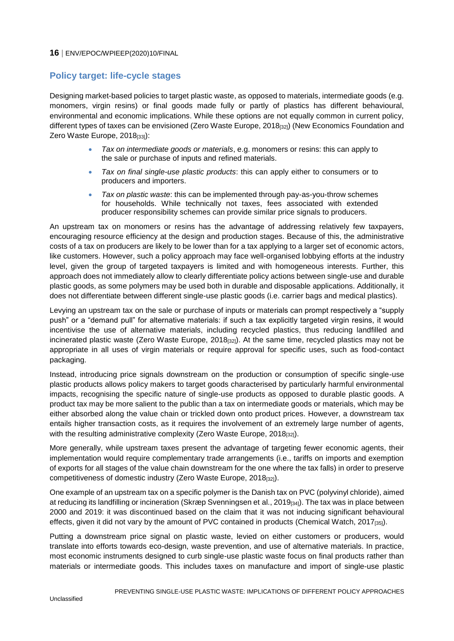## <span id="page-15-0"></span>**Policy target: life-cycle stages**

Designing market-based policies to target plastic waste, as opposed to materials, intermediate goods (e.g. monomers, virgin resins) or final goods made fully or partly of plastics has different behavioural, environmental and economic implications. While these options are not equally common in current policy, different types of taxes can be envisioned (Zero Waste Europe, 2018[32]) (New Economics Foundation and Zero Waste Europe, 2018[33]):

- *Tax on intermediate goods or materials*, e.g. monomers or resins: this can apply to the sale or purchase of inputs and refined materials.
- *Tax on final single-use plastic products*: this can apply either to consumers or to producers and importers.
- *Tax on plastic waste*: this can be implemented through pay-as-you-throw schemes for households. While technically not taxes, fees associated with extended producer responsibility schemes can provide similar price signals to producers.

An upstream tax on monomers or resins has the advantage of addressing relatively few taxpayers, encouraging resource efficiency at the design and production stages. Because of this, the administrative costs of a tax on producers are likely to be lower than for a tax applying to a larger set of economic actors, like customers. However, such a policy approach may face well-organised lobbying efforts at the industry level, given the group of targeted taxpayers is limited and with homogeneous interests. Further, this approach does not immediately allow to clearly differentiate policy actions between single-use and durable plastic goods, as some polymers may be used both in durable and disposable applications. Additionally, it does not differentiate between different single-use plastic goods (i.e. carrier bags and medical plastics).

Levying an upstream tax on the sale or purchase of inputs or materials can prompt respectively a "supply push" or a "demand pull" for alternative materials: if such a tax explicitly targeted virgin resins, it would incentivise the use of alternative materials, including recycled plastics, thus reducing landfilled and incinerated plastic waste (Zero Waste Europe, 2018<sub>[32]</sub>). At the same time, recycled plastics may not be appropriate in all uses of virgin materials or require approval for specific uses, such as food-contact packaging.

Instead, introducing price signals downstream on the production or consumption of specific single-use plastic products allows policy makers to target goods characterised by particularly harmful environmental impacts, recognising the specific nature of single-use products as opposed to durable plastic goods. A product tax may be more salient to the public than a tax on intermediate goods or materials, which may be either absorbed along the value chain or trickled down onto product prices. However, a downstream tax entails higher transaction costs, as it requires the involvement of an extremely large number of agents, with the resulting administrative complexity (Zero Waste Europe, 2018[32]).

More generally, while upstream taxes present the advantage of targeting fewer economic agents, their implementation would require complementary trade arrangements (i.e., tariffs on imports and exemption of exports for all stages of the value chain downstream for the one where the tax falls) in order to preserve competitiveness of domestic industry (Zero Waste Europe, 2018[32]).

One example of an upstream tax on a specific polymer is the Danish tax on PVC (polyvinyl chloride), aimed at reducing its landfilling or incineration (Skræp Svenningsen et al., 2019<sub>[34]</sub>). The tax was in place between 2000 and 2019: it was discontinued based on the claim that it was not inducing significant behavioural effects, given it did not vary by the amount of PVC contained in products (Chemical Watch, 2017<sub>[35]</sub>).

Putting a downstream price signal on plastic waste, levied on either customers or producers, would translate into efforts towards eco-design, waste prevention, and use of alternative materials. In practice, most economic instruments designed to curb single-use plastic waste focus on final products rather than materials or intermediate goods. This includes taxes on manufacture and import of single-use plastic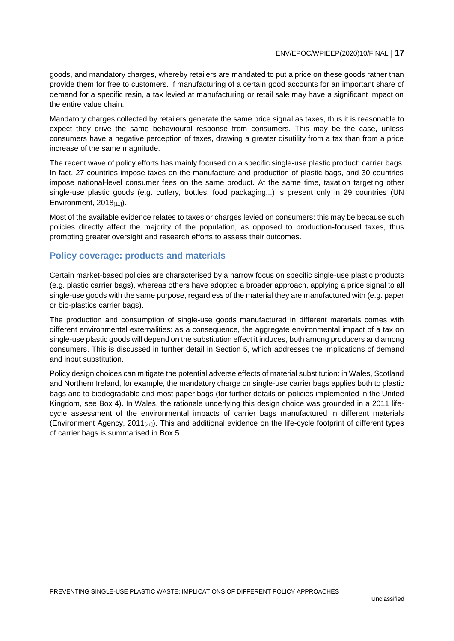goods, and mandatory charges, whereby retailers are mandated to put a price on these goods rather than provide them for free to customers. If manufacturing of a certain good accounts for an important share of demand for a specific resin, a tax levied at manufacturing or retail sale may have a significant impact on the entire value chain.

Mandatory charges collected by retailers generate the same price signal as taxes, thus it is reasonable to expect they drive the same behavioural response from consumers. This may be the case, unless consumers have a negative perception of taxes, drawing a greater disutility from a tax than from a price increase of the same magnitude.

The recent wave of policy efforts has mainly focused on a specific single-use plastic product: carrier bags. In fact, 27 countries impose taxes on the manufacture and production of plastic bags, and 30 countries impose national-level consumer fees on the same product. At the same time, taxation targeting other single-use plastic goods (e.g. cutlery, bottles, food packaging...) is present only in 29 countries (UN Environment,  $2018_{[11]}$ ).

Most of the available evidence relates to taxes or charges levied on consumers: this may be because such policies directly affect the majority of the population, as opposed to production-focused taxes, thus prompting greater oversight and research efforts to assess their outcomes.

## <span id="page-16-0"></span>**Policy coverage: products and materials**

Certain market-based policies are characterised by a narrow focus on specific single-use plastic products (e.g. plastic carrier bags), whereas others have adopted a broader approach, applying a price signal to all single-use goods with the same purpose, regardless of the material they are manufactured with (e.g. paper or bio-plastics carrier bags).

The production and consumption of single-use goods manufactured in different materials comes with different environmental externalities: as a consequence, the aggregate environmental impact of a tax on single-use plastic goods will depend on the substitution effect it induces, both among producers and among consumers. This is discussed in further detail in Section 5, which addresses the implications of demand and input substitution.

Policy design choices can mitigate the potential adverse effects of material substitution: in Wales, Scotland and Northern Ireland, for example, the mandatory charge on single-use carrier bags applies both to plastic bags and to biodegradable and most paper bags (for further details on policies implemented in the United Kingdom, see Box 4). In Wales, the rationale underlying this design choice was grounded in a 2011 lifecycle assessment of the environmental impacts of carrier bags manufactured in different materials (Environment Agency, 2011[36]). This and additional evidence on the life-cycle footprint of different types of carrier bags is summarised in Box 5.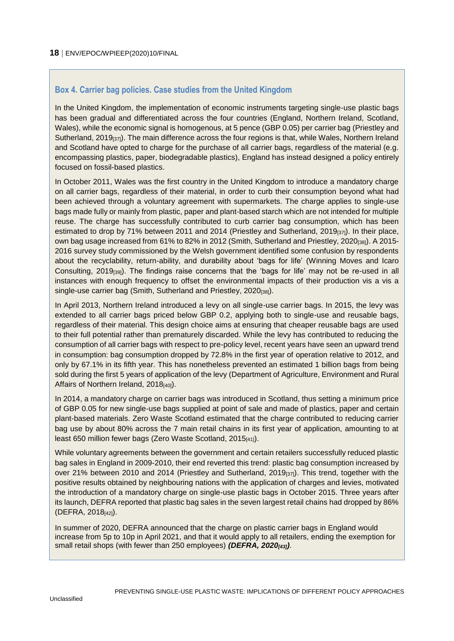## <span id="page-17-0"></span>**Box 4. Carrier bag policies. Case studies from the United Kingdom**

In the United Kingdom, the implementation of economic instruments targeting single-use plastic bags has been gradual and differentiated across the four countries (England, Northern Ireland, Scotland, Wales), while the economic signal is homogenous, at 5 pence (GBP 0.05) per carrier bag (Priestley and Sutherland, 2019 $_{[37]}$ ). The main difference across the four regions is that, while Wales, Northern Ireland and Scotland have opted to charge for the purchase of all carrier bags, regardless of the material (e.g. encompassing plastics, paper, biodegradable plastics), England has instead designed a policy entirely focused on fossil-based plastics.

In October 2011, Wales was the first country in the United Kingdom to introduce a mandatory charge on all carrier bags, regardless of their material, in order to curb their consumption beyond what had been achieved through a voluntary agreement with supermarkets. The charge applies to single-use bags made fully or mainly from plastic, paper and plant-based starch which are not intended for multiple reuse. The charge has successfully contributed to curb carrier bag consumption, which has been estimated to drop by 71% between 2011 and 2014 (Priestley and Sutherland, 2019[37]). In their place, own bag usage increased from 61% to 82% in 2012 (Smith, Sutherland and Priestley, 2020<sub>[38]</sub>). A 2015-2016 survey study commissioned by the Welsh government identified some confusion by respondents about the recyclability, return-ability, and durability about 'bags for life' (Winning Moves and Icaro Consulting, 2019[39]). The findings raise concerns that the 'bags for life' may not be re-used in all instances with enough frequency to offset the environmental impacts of their production vis a vis a single-use carrier bag (Smith, Sutherland and Priestley, 2020[38]).

In April 2013, Northern Ireland introduced a levy on all single-use carrier bags. In 2015, the levy was extended to all carrier bags priced below GBP 0.2, applying both to single-use and reusable bags, regardless of their material. This design choice aims at ensuring that cheaper reusable bags are used to their full potential rather than prematurely discarded. While the levy has contributed to reducing the consumption of all carrier bags with respect to pre-policy level, recent years have seen an upward trend in consumption: bag consumption dropped by 72.8% in the first year of operation relative to 2012, and only by 67.1% in its fifth year. This has nonetheless prevented an estimated 1 billion bags from being sold during the first 5 years of application of the levy (Department of Agriculture, Environment and Rural Affairs of Northern Ireland, 2018[40].

In 2014, a mandatory charge on carrier bags was introduced in Scotland, thus setting a minimum price of GBP 0.05 for new single-use bags supplied at point of sale and made of plastics, paper and certain plant-based materials. Zero Waste Scotland estimated that the charge contributed to reducing carrier bag use by about 80% across the 7 main retail chains in its first year of application, amounting to at least 650 million fewer bags (Zero Waste Scotland, 2015<sup>[41]</sup>).

While voluntary agreements between the government and certain retailers successfully reduced plastic bag sales in England in 2009-2010, their end reverted this trend: plastic bag consumption increased by over 21% between 2010 and 2014 (Priestley and Sutherland,  $2019_{[37]}$ ). This trend, together with the positive results obtained by neighbouring nations with the application of charges and levies, motivated the introduction of a mandatory charge on single-use plastic bags in October 2015. Three years after its launch, DEFRA reported that plastic bag sales in the seven largest retail chains had dropped by 86% (DEFRA, 2018[42]).

In summer of 2020, DEFRA announced that the charge on plastic carrier bags in England would increase from 5p to 10p in April 2021, and that it would apply to all retailers, ending the exemption for small retail shops (with fewer than 250 employees) *(DEFRA, 2020[43])*.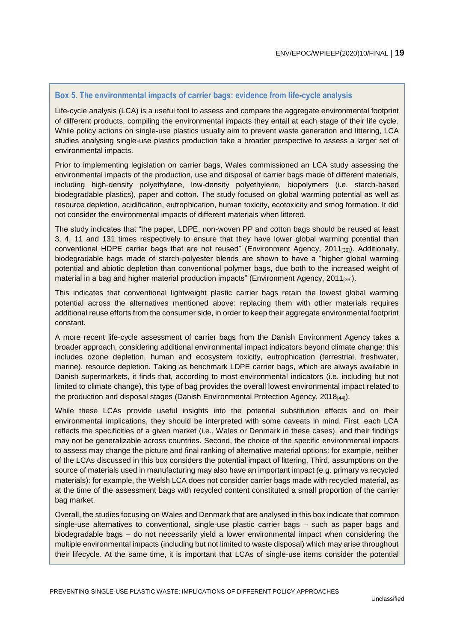#### <span id="page-18-0"></span>**Box 5. The environmental impacts of carrier bags: evidence from life-cycle analysis**

Life-cycle analysis (LCA) is a useful tool to assess and compare the aggregate environmental footprint of different products, compiling the environmental impacts they entail at each stage of their life cycle. While policy actions on single-use plastics usually aim to prevent waste generation and littering, LCA studies analysing single-use plastics production take a broader perspective to assess a larger set of environmental impacts.

Prior to implementing legislation on carrier bags, Wales commissioned an LCA study assessing the environmental impacts of the production, use and disposal of carrier bags made of different materials, including high-density polyethylene, low-density polyethylene, biopolymers (i.e. starch-based biodegradable plastics), paper and cotton. The study focused on global warming potential as well as resource depletion, acidification, eutrophication, human toxicity, ecotoxicity and smog formation. It did not consider the environmental impacts of different materials when littered.

The study indicates that "the paper, LDPE, non-woven PP and cotton bags should be reused at least 3, 4, 11 and 131 times respectively to ensure that they have lower global warming potential than conventional HDPE carrier bags that are not reused" (Environment Agency, 2011[36]). Additionally, biodegradable bags made of starch-polyester blends are shown to have a "higher global warming potential and abiotic depletion than conventional polymer bags, due both to the increased weight of material in a bag and higher material production impacts" (Environment Agency, 2011[36]).

This indicates that conventional lightweight plastic carrier bags retain the lowest global warming potential across the alternatives mentioned above: replacing them with other materials requires additional reuse efforts from the consumer side, in order to keep their aggregate environmental footprint constant.

A more recent life-cycle assessment of carrier bags from the Danish Environment Agency takes a broader approach, considering additional environmental impact indicators beyond climate change: this includes ozone depletion, human and ecosystem toxicity, eutrophication (terrestrial, freshwater, marine), resource depletion. Taking as benchmark LDPE carrier bags, which are always available in Danish supermarkets, it finds that, according to most environmental indicators (i.e. including but not limited to climate change), this type of bag provides the overall lowest environmental impact related to the production and disposal stages (Danish Environmental Protection Agency, 2018<sup>[44]</sup>).

While these LCAs provide useful insights into the potential substitution effects and on their environmental implications, they should be interpreted with some caveats in mind. First, each LCA reflects the specificities of a given market (i.e., Wales or Denmark in these cases), and their findings may not be generalizable across countries. Second, the choice of the specific environmental impacts to assess may change the picture and final ranking of alternative material options: for example, neither of the LCAs discussed in this box considers the potential impact of littering. Third, assumptions on the source of materials used in manufacturing may also have an important impact (e.g. primary vs recycled materials): for example, the Welsh LCA does not consider carrier bags made with recycled material, as at the time of the assessment bags with recycled content constituted a small proportion of the carrier bag market.

Overall, the studies focusing on Wales and Denmark that are analysed in this box indicate that common single-use alternatives to conventional, single-use plastic carrier bags – such as paper bags and biodegradable bags – do not necessarily yield a lower environmental impact when considering the multiple environmental impacts (including but not limited to waste disposal) which may arise throughout their lifecycle. At the same time, it is important that LCAs of single-use items consider the potential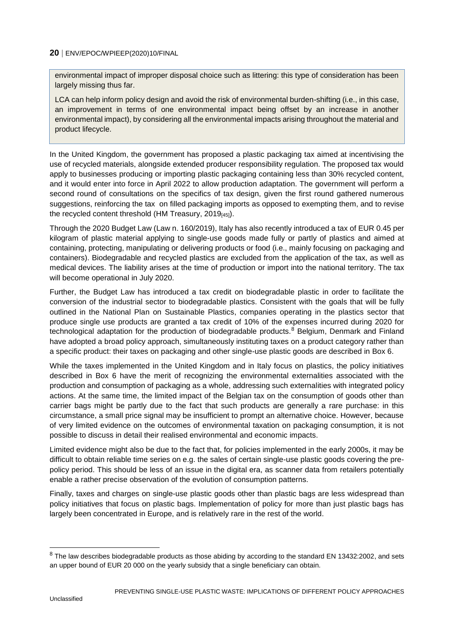environmental impact of improper disposal choice such as littering: this type of consideration has been largely missing thus far.

LCA can help inform policy design and avoid the risk of environmental burden-shifting (i.e., in this case, an improvement in terms of one environmental impact being offset by an increase in another environmental impact), by considering all the environmental impacts arising throughout the material and product lifecycle.

In the United Kingdom, the government has proposed a plastic packaging tax aimed at incentivising the use of recycled materials, alongside extended producer responsibility regulation. The proposed tax would apply to businesses producing or importing plastic packaging containing less than 30% recycled content, and it would enter into force in April 2022 to allow production adaptation. The government will perform a second round of consultations on the specifics of tax design, given the first round gathered numerous suggestions, reinforcing the tax on filled packaging imports as opposed to exempting them, and to revise the recycled content threshold (HM Treasury, 2019[45]).

Through the 2020 Budget Law (Law n. 160/2019), Italy has also recently introduced a tax of EUR 0.45 per kilogram of plastic material applying to single-use goods made fully or partly of plastics and aimed at containing, protecting, manipulating or delivering products or food (i.e., mainly focusing on packaging and containers). Biodegradable and recycled plastics are excluded from the application of the tax, as well as medical devices. The liability arises at the time of production or import into the national territory. The tax will become operational in July 2020.

Further, the Budget Law has introduced a tax credit on biodegradable plastic in order to facilitate the conversion of the industrial sector to biodegradable plastics. Consistent with the goals that will be fully outlined in the National Plan on Sustainable Plastics, companies operating in the plastics sector that produce single use products are granted a tax credit of 10% of the expenses incurred during 2020 for technological adaptation for the production of biodegradable products.<sup>8</sup> Belgium, Denmark and Finland have adopted a broad policy approach, simultaneously instituting taxes on a product category rather than a specific product: their taxes on packaging and other single-use plastic goods are described in Box 6.

While the taxes implemented in the United Kingdom and in Italy focus on plastics, the policy initiatives described in Box 6 have the merit of recognizing the environmental externalities associated with the production and consumption of packaging as a whole, addressing such externalities with integrated policy actions. At the same time, the limited impact of the Belgian tax on the consumption of goods other than carrier bags might be partly due to the fact that such products are generally a rare purchase: in this circumstance, a small price signal may be insufficient to prompt an alternative choice. However, because of very limited evidence on the outcomes of environmental taxation on packaging consumption, it is not possible to discuss in detail their realised environmental and economic impacts.

Limited evidence might also be due to the fact that, for policies implemented in the early 2000s, it may be difficult to obtain reliable time series on e.g. the sales of certain single-use plastic goods covering the prepolicy period. This should be less of an issue in the digital era, as scanner data from retailers potentially enable a rather precise observation of the evolution of consumption patterns.

Finally, taxes and charges on single-use plastic goods other than plastic bags are less widespread than policy initiatives that focus on plastic bags. Implementation of policy for more than just plastic bags has largely been concentrated in Europe, and is relatively rare in the rest of the world.

 $8$  The law describes biodegradable products as those abiding by according to the standard EN 13432:2002, and sets an upper bound of EUR 20 000 on the yearly subsidy that a single beneficiary can obtain.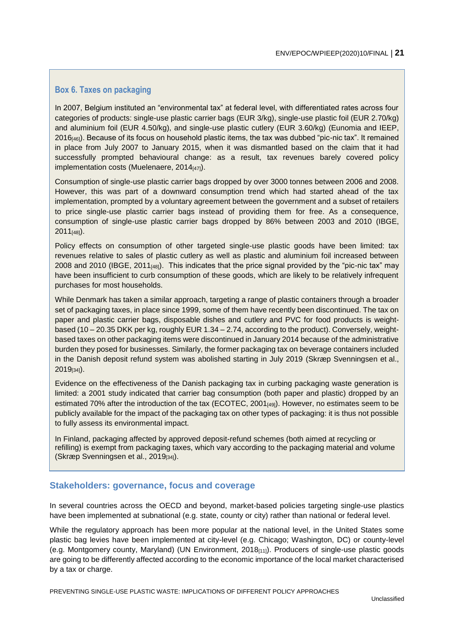## <span id="page-20-1"></span>**Box 6. Taxes on packaging**

In 2007, Belgium instituted an "environmental tax" at federal level, with differentiated rates across four categories of products: single-use plastic carrier bags (EUR 3/kg), single-use plastic foil (EUR 2.70/kg) and aluminium foil (EUR 4.50/kg), and single-use plastic cutlery (EUR 3.60/kg) (Eunomia and IEEP,  $2016_{[46]}$ ). Because of its focus on household plastic items, the tax was dubbed "pic-nic tax". It remained in place from July 2007 to January 2015, when it was dismantled based on the claim that it had successfully prompted behavioural change: as a result, tax revenues barely covered policy implementation costs (Muelenaere,  $2014_{[47]}$ ).

Consumption of single-use plastic carrier bags dropped by over 3000 tonnes between 2006 and 2008. However, this was part of a downward consumption trend which had started ahead of the tax implementation, prompted by a voluntary agreement between the government and a subset of retailers to price single-use plastic carrier bags instead of providing them for free. As a consequence, consumption of single-use plastic carrier bags dropped by 86% between 2003 and 2010 (IBGE, 2011[48]).

Policy effects on consumption of other targeted single-use plastic goods have been limited: tax revenues relative to sales of plastic cutlery as well as plastic and aluminium foil increased between 2008 and 2010 (IBGE, 2011 $_{[48]}$ ). This indicates that the price signal provided by the "pic-nic tax" may have been insufficient to curb consumption of these goods, which are likely to be relatively infrequent purchases for most households.

While Denmark has taken a similar approach, targeting a range of plastic containers through a broader set of packaging taxes, in place since 1999, some of them have recently been discontinued. The tax on paper and plastic carrier bags, disposable dishes and cutlery and PVC for food products is weightbased (10 – 20.35 DKK per kg, roughly EUR 1.34 – 2.74, according to the product). Conversely, weightbased taxes on other packaging items were discontinued in January 2014 because of the administrative burden they posed for businesses. Similarly, the former packaging tax on beverage containers included in the Danish deposit refund system was abolished starting in July 2019 (Skræp Svenningsen et al., 2019[34]).

Evidence on the effectiveness of the Danish packaging tax in curbing packaging waste generation is limited: a 2001 study indicated that carrier bag consumption (both paper and plastic) dropped by an estimated 70% after the introduction of the tax (ECOTEC, 2001[49]). However, no estimates seem to be publicly available for the impact of the packaging tax on other types of packaging: it is thus not possible to fully assess its environmental impact.

In Finland, packaging affected by approved deposit-refund schemes (both aimed at recycling or refilling) is exempt from packaging taxes, which vary according to the packaging material and volume (Skræp Svenningsen et al., 2019[34]).

#### <span id="page-20-0"></span>**Stakeholders: governance, focus and coverage**

In several countries across the OECD and beyond, market-based policies targeting single-use plastics have been implemented at subnational (e.g. state, county or city) rather than national or federal level.

While the regulatory approach has been more popular at the national level, in the United States some plastic bag levies have been implemented at city-level (e.g. Chicago; Washington, DC) or county-level (e.g. Montgomery county, Maryland) (UN Environment,  $2018_{[11]}$ ). Producers of single-use plastic goods are going to be differently affected according to the economic importance of the local market characterised by a tax or charge.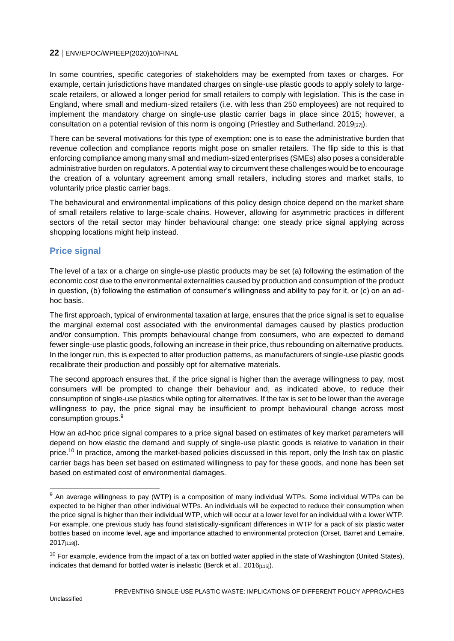In some countries, specific categories of stakeholders may be exempted from taxes or charges. For example, certain jurisdictions have mandated charges on single-use plastic goods to apply solely to largescale retailers, or allowed a longer period for small retailers to comply with legislation. This is the case in England, where small and medium-sized retailers (i.e. with less than 250 employees) are not required to implement the mandatory charge on single-use plastic carrier bags in place since 2015; however, a consultation on a potential revision of this norm is ongoing (Priestley and Sutherland, 2019 $_{[37]}$ ).

There can be several motivations for this type of exemption: one is to ease the administrative burden that revenue collection and compliance reports might pose on smaller retailers. The flip side to this is that enforcing compliance among many small and medium-sized enterprises (SMEs) also poses a considerable administrative burden on regulators. A potential way to circumvent these challenges would be to encourage the creation of a voluntary agreement among small retailers, including stores and market stalls, to voluntarily price plastic carrier bags.

The behavioural and environmental implications of this policy design choice depend on the market share of small retailers relative to large-scale chains. However, allowing for asymmetric practices in different sectors of the retail sector may hinder behavioural change: one steady price signal applying across shopping locations might help instead.

## <span id="page-21-0"></span>**Price signal**

The level of a tax or a charge on single-use plastic products may be set (a) following the estimation of the economic cost due to the environmental externalities caused by production and consumption of the product in question, (b) following the estimation of consumer's willingness and ability to pay for it, or (c) on an adhoc basis.

The first approach, typical of environmental taxation at large, ensures that the price signal is set to equalise the marginal external cost associated with the environmental damages caused by plastics production and/or consumption. This prompts behavioural change from consumers, who are expected to demand fewer single-use plastic goods, following an increase in their price, thus rebounding on alternative products. In the longer run, this is expected to alter production patterns, as manufacturers of single-use plastic goods recalibrate their production and possibly opt for alternative materials.

The second approach ensures that, if the price signal is higher than the average willingness to pay, most consumers will be prompted to change their behaviour and, as indicated above, to reduce their consumption of single-use plastics while opting for alternatives. If the tax is set to be lower than the average willingness to pay, the price signal may be insufficient to prompt behavioural change across most consumption groups.<sup>9</sup>

How an ad-hoc price signal compares to a price signal based on estimates of key market parameters will depend on how elastic the demand and supply of single-use plastic goods is relative to variation in their price.<sup>10</sup> In practice, among the market-based policies discussed in this report, only the Irish tax on plastic carrier bags has been set based on estimated willingness to pay for these goods, and none has been set based on estimated cost of environmental damages.

<sup>&</sup>lt;sup>9</sup> An average willingness to pay (WTP) is a composition of many individual WTPs. Some individual WTPs can be expected to be higher than other individual WTPs. An individuals will be expected to reduce their consumption when the price signal is higher than their individual WTP, which will occur at a lower level for an individual with a lower WTP. For example, one previous study has found statistically-significant differences in WTP for a pack of six plastic water bottles based on income level, age and importance attached to environmental protection (Orset, Barret and Lemaire, 2017[118]).

 $10$  For example, evidence from the impact of a tax on bottled water applied in the state of Washington (United States), indicates that demand for bottled water is inelastic (Berck et al., 2016[115]).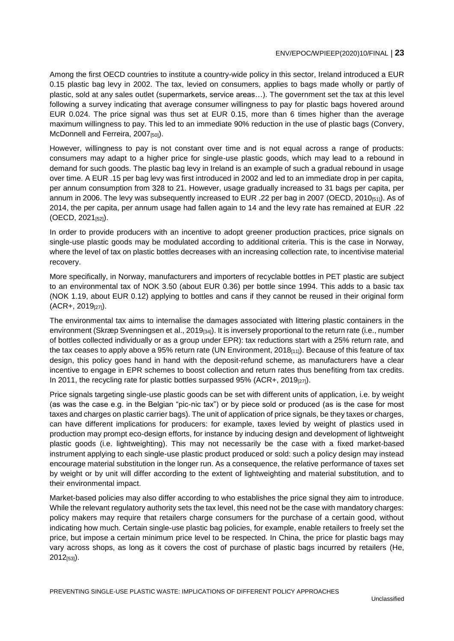Among the first OECD countries to institute a country-wide policy in this sector, Ireland introduced a EUR 0.15 plastic bag levy in 2002. The tax, levied on consumers, applies to bags made wholly or partly of plastic, sold at any sales outlet (supermarkets, service areas…). The government set the tax at this level following a survey indicating that average consumer willingness to pay for plastic bags hovered around EUR 0.024. The price signal was thus set at EUR 0.15, more than 6 times higher than the average maximum willingness to pay. This led to an immediate 90% reduction in the use of plastic bags (Convery, McDonnell and Ferreira, 2007<sub>[50]</sub>).

However, willingness to pay is not constant over time and is not equal across a range of products: consumers may adapt to a higher price for single-use plastic goods, which may lead to a rebound in demand for such goods. The plastic bag levy in Ireland is an example of such a gradual rebound in usage over time. A EUR .15 per bag levy was first introduced in 2002 and led to an immediate drop in per capita, per annum consumption from 328 to 21. However, usage gradually increased to 31 bags per capita, per annum in 2006. The levy was subsequently increased to EUR .22 per bag in 2007 (OECD, 2010[51]). As of 2014, the per capita, per annum usage had fallen again to 14 and the levy rate has remained at EUR .22 (OECD, 2021<sub>[52]</sub>).

In order to provide producers with an incentive to adopt greener production practices, price signals on single-use plastic goods may be modulated according to additional criteria. This is the case in Norway, where the level of tax on plastic bottles decreases with an increasing collection rate, to incentivise material recovery.

More specifically, in Norway, manufacturers and importers of recyclable bottles in PET plastic are subject to an environmental tax of NOK 3.50 (about EUR 0.36) per bottle since 1994. This adds to a basic tax (NOK 1.19, about EUR 0.12) applying to bottles and cans if they cannot be reused in their original form (ACR+, 2019[27]).

The environmental tax aims to internalise the damages associated with littering plastic containers in the environment (Skræp Svenningsen et al., 2019<sub>[34]</sub>). It is inversely proportional to the return rate (i.e., number of bottles collected individually or as a group under EPR): tax reductions start with a 25% return rate, and the tax ceases to apply above a 95% return rate (UN Environment, 2018 $_{[11]}$ ). Because of this feature of tax design, this policy goes hand in hand with the deposit-refund scheme, as manufacturers have a clear incentive to engage in EPR schemes to boost collection and return rates thus benefiting from tax credits. In 2011, the recycling rate for plastic bottles surpassed 95% (ACR+, 2019 $(z)$ ).

Price signals targeting single-use plastic goods can be set with different units of application, i.e. by weight (as was the case e.g. in the Belgian "pic-nic tax") or by piece sold or produced (as is the case for most taxes and charges on plastic carrier bags). The unit of application of price signals, be they taxes or charges, can have different implications for producers: for example, taxes levied by weight of plastics used in production may prompt eco-design efforts, for instance by inducing design and development of lightweight plastic goods (i.e. lightweighting). This may not necessarily be the case with a fixed market-based instrument applying to each single-use plastic product produced or sold: such a policy design may instead encourage material substitution in the longer run. As a consequence, the relative performance of taxes set by weight or by unit will differ according to the extent of lightweighting and material substitution, and to their environmental impact.

Market-based policies may also differ according to who establishes the price signal they aim to introduce. While the relevant regulatory authority sets the tax level, this need not be the case with mandatory charges: policy makers may require that retailers charge consumers for the purchase of a certain good, without indicating how much. Certain single-use plastic bag policies, for example, enable retailers to freely set the price, but impose a certain minimum price level to be respected. In China, the price for plastic bags may vary across shops, as long as it covers the cost of purchase of plastic bags incurred by retailers (He, 2012[53]).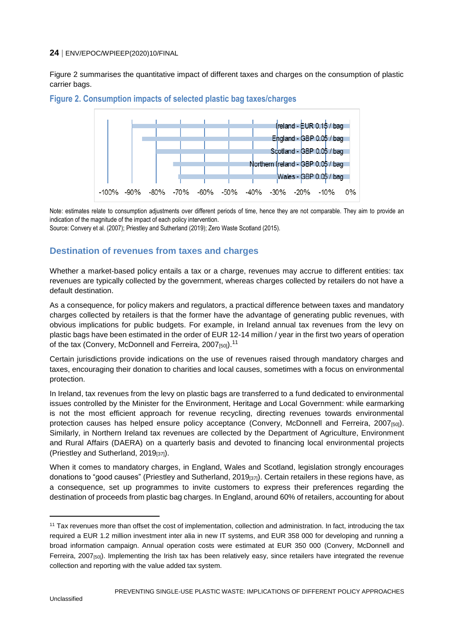[Figure 2](#page-23-1) summarises the quantitative impact of different taxes and charges on the consumption of plastic carrier bags.



<span id="page-23-1"></span>

Note: estimates relate to consumption adjustments over different periods of time, hence they are not comparable. They aim to provide an indication of the magnitude of the impact of each policy intervention.

Source: Convery et al. (2007); Priestley and Sutherland (2019); Zero Waste Scotland (2015).

## <span id="page-23-0"></span>**Destination of revenues from taxes and charges**

Whether a market-based policy entails a tax or a charge, revenues may accrue to different entities: tax revenues are typically collected by the government, whereas charges collected by retailers do not have a default destination.

As a consequence, for policy makers and regulators, a practical difference between taxes and mandatory charges collected by retailers is that the former have the advantage of generating public revenues, with obvious implications for public budgets. For example, in Ireland annual tax revenues from the levy on plastic bags have been estimated in the order of EUR 12-14 million / year in the first two years of operation of the tax (Convery, McDonnell and Ferreira, 2007[50]).<sup>11</sup>

Certain jurisdictions provide indications on the use of revenues raised through mandatory charges and taxes, encouraging their donation to charities and local causes, sometimes with a focus on environmental protection.

In Ireland, tax revenues from the levy on plastic bags are transferred to a fund dedicated to environmental issues controlled by the Minister for the Environment, Heritage and Local Government: while earmarking is not the most efficient approach for revenue recycling, directing revenues towards environmental protection causes has helped ensure policy acceptance (Convery, McDonnell and Ferreira, 2007<sub>[50]</sub>). Similarly, in Northern Ireland tax revenues are collected by the Department of Agriculture, Environment and Rural Affairs (DAERA) on a quarterly basis and devoted to financing local environmental projects (Priestley and Sutherland,  $2019_{[37]}$ ).

When it comes to mandatory charges, in England, Wales and Scotland, legislation strongly encourages donations to "good causes" (Priestley and Sutherland, 2019<sub>[37]</sub>). Certain retailers in these regions have, as a consequence, set up programmes to invite customers to express their preferences regarding the destination of proceeds from plastic bag charges. In England, around 60% of retailers, accounting for about

 $\overline{a}$ 

<sup>&</sup>lt;sup>11</sup> Tax revenues more than offset the cost of implementation, collection and administration. In fact, introducing the tax required a EUR 1.2 million investment inter alia in new IT systems, and EUR 358 000 for developing and running a broad information campaign. Annual operation costs were estimated at EUR 350 000 (Convery, McDonnell and Ferreira, 2007[50]). Implementing the Irish tax has been relatively easy, since retailers have integrated the revenue collection and reporting with the value added tax system.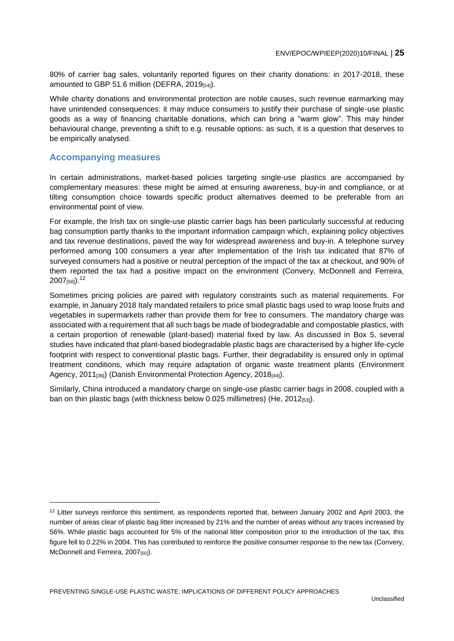80% of carrier bag sales, voluntarily reported figures on their charity donations: in 2017-2018, these amounted to GBP 51.6 million (DEFRA,  $2019_{[54]}$ ).

While charity donations and environmental protection are noble causes, such revenue earmarking may have unintended consequences: it may induce consumers to justify their purchase of single-use plastic goods as a way of financing charitable donations, which can bring a "warm glow". This may hinder behavioural change, preventing a shift to e.g. reusable options: as such, it is a question that deserves to be empirically analysed.

#### <span id="page-24-0"></span>**Accompanying measures**

 $\overline{a}$ 

In certain administrations, market-based policies targeting single-use plastics are accompanied by complementary measures: these might be aimed at ensuring awareness, buy-in and compliance, or at tilting consumption choice towards specific product alternatives deemed to be preferable from an environmental point of view.

For example, the Irish tax on single-use plastic carrier bags has been particularly successful at reducing bag consumption partly thanks to the important information campaign which, explaining policy objectives and tax revenue destinations, paved the way for widespread awareness and buy-in. A telephone survey performed among 100 consumers a year after implementation of the Irish tax indicated that 87% of surveyed consumers had a positive or neutral perception of the impact of the tax at checkout, and 90% of them reported the tax had a positive impact on the environment (Convery, McDonnell and Ferreira,  $2007_{[50]}$ ).  $^{12}$ 

Sometimes pricing policies are paired with regulatory constraints such as material requirements. For example, in January 2018 Italy mandated retailers to price small plastic bags used to wrap loose fruits and vegetables in supermarkets rather than provide them for free to consumers. The mandatory charge was associated with a requirement that all such bags be made of biodegradable and compostable plastics, with a certain proportion of renewable (plant-based) material fixed by law. As discussed in Box 5, several studies have indicated that plant-based biodegradable plastic bags are characterised by a higher life-cycle footprint with respect to conventional plastic bags. Further, their degradability is ensured only in optimal treatment conditions, which may require adaptation of organic waste treatment plants (Environment Agency, 2011<sub>[36]</sub>) (Danish Environmental Protection Agency, 2018<sub>[44]</sub>).

Similarly, China introduced a mandatory charge on single-use plastic carrier bags in 2008, coupled with a ban on thin plastic bags (with thickness below 0.025 millimetres) (He, 2012[53]).

<sup>&</sup>lt;sup>12</sup> Litter surveys reinforce this sentiment, as respondents reported that, between January 2002 and April 2003, the number of areas clear of plastic bag litter increased by 21% and the number of areas without any traces increased by 56%. While plastic bags accounted for 5% of the national litter composition prior to the introduction of the tax, this figure fell to 0.22% in 2004. This has contributed to reinforce the positive consumer response to the new tax (Convery, McDonnell and Ferreira, 2007<sub>[50]</sub>).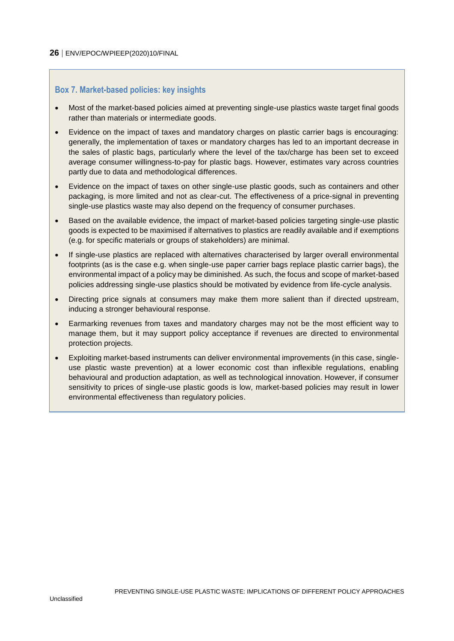## <span id="page-25-0"></span>**Box 7. Market-based policies: key insights**

- Most of the market-based policies aimed at preventing single-use plastics waste target final goods rather than materials or intermediate goods.
- Evidence on the impact of taxes and mandatory charges on plastic carrier bags is encouraging: generally, the implementation of taxes or mandatory charges has led to an important decrease in the sales of plastic bags, particularly where the level of the tax/charge has been set to exceed average consumer willingness-to-pay for plastic bags. However, estimates vary across countries partly due to data and methodological differences.
- Evidence on the impact of taxes on other single-use plastic goods, such as containers and other packaging, is more limited and not as clear-cut. The effectiveness of a price-signal in preventing single-use plastics waste may also depend on the frequency of consumer purchases.
- Based on the available evidence, the impact of market-based policies targeting single-use plastic goods is expected to be maximised if alternatives to plastics are readily available and if exemptions (e.g. for specific materials or groups of stakeholders) are minimal.
- If single-use plastics are replaced with alternatives characterised by larger overall environmental footprints (as is the case e.g. when single-use paper carrier bags replace plastic carrier bags), the environmental impact of a policy may be diminished. As such, the focus and scope of market-based policies addressing single-use plastics should be motivated by evidence from life-cycle analysis.
- Directing price signals at consumers may make them more salient than if directed upstream, inducing a stronger behavioural response.
- Earmarking revenues from taxes and mandatory charges may not be the most efficient way to manage them, but it may support policy acceptance if revenues are directed to environmental protection projects.
- Exploiting market-based instruments can deliver environmental improvements (in this case, singleuse plastic waste prevention) at a lower economic cost than inflexible regulations, enabling behavioural and production adaptation, as well as technological innovation. However, if consumer sensitivity to prices of single-use plastic goods is low, market-based policies may result in lower environmental effectiveness than regulatory policies.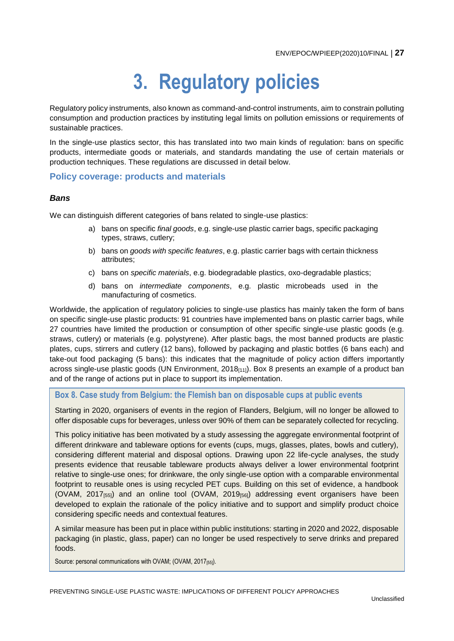## **3. Regulatory policies**

<span id="page-26-0"></span>Regulatory policy instruments, also known as command-and-control instruments, aim to constrain polluting consumption and production practices by instituting legal limits on pollution emissions or requirements of sustainable practices.

In the single-use plastics sector, this has translated into two main kinds of regulation: bans on specific products, intermediate goods or materials, and standards mandating the use of certain materials or production techniques. These regulations are discussed in detail below.

#### <span id="page-26-1"></span>**Policy coverage: products and materials**

#### *Bans*

We can distinguish different categories of bans related to single-use plastics:

- a) bans on specific *final goods*, e.g. single-use plastic carrier bags, specific packaging types, straws, cutlery;
- b) bans on *goods with specific features*, e.g. plastic carrier bags with certain thickness attributes;
- c) bans on *specific materials*, e.g. biodegradable plastics, oxo-degradable plastics;
- d) bans on *intermediate components*, e.g. plastic microbeads used in the manufacturing of cosmetics.

Worldwide, the application of regulatory policies to single-use plastics has mainly taken the form of bans on specific single-use plastic products: 91 countries have implemented bans on plastic carrier bags, while 27 countries have limited the production or consumption of other specific single-use plastic goods (e.g. straws, cutlery) or materials (e.g. polystyrene). After plastic bags, the most banned products are plastic plates, cups, stirrers and cutlery (12 bans), followed by packaging and plastic bottles (6 bans each) and take-out food packaging (5 bans): this indicates that the magnitude of policy action differs importantly across single-use plastic goods (UN Environment, 2018[11]). Box 8 presents an example of a product ban and of the range of actions put in place to support its implementation.

<span id="page-26-2"></span>**Box 8. Case study from Belgium: the Flemish ban on disposable cups at public events**

Starting in 2020, organisers of events in the region of Flanders, Belgium, will no longer be allowed to offer disposable cups for beverages, unless over 90% of them can be separately collected for recycling.

This policy initiative has been motivated by a study assessing the aggregate environmental footprint of different drinkware and tableware options for events (cups, mugs, glasses, plates, bowls and cutlery), considering different material and disposal options. Drawing upon 22 life-cycle analyses, the study presents evidence that reusable tableware products always deliver a lower environmental footprint relative to single-use ones; for drinkware, the only single-use option with a comparable environmental footprint to reusable ones is using recycled PET cups. Building on this set of evidence, a handbook (OVAM, 2017 $_{[55]}$ ) and an online tool (OVAM, 2019 $_{[56]}$ ) addressing event organisers have been developed to explain the rationale of the policy initiative and to support and simplify product choice considering specific needs and contextual features.

A similar measure has been put in place within public institutions: starting in 2020 and 2022, disposable packaging (in plastic, glass, paper) can no longer be used respectively to serve drinks and prepared foods.

Source: personal communications with OVAM; (OVAM, 2017<sub>[55]</sub>).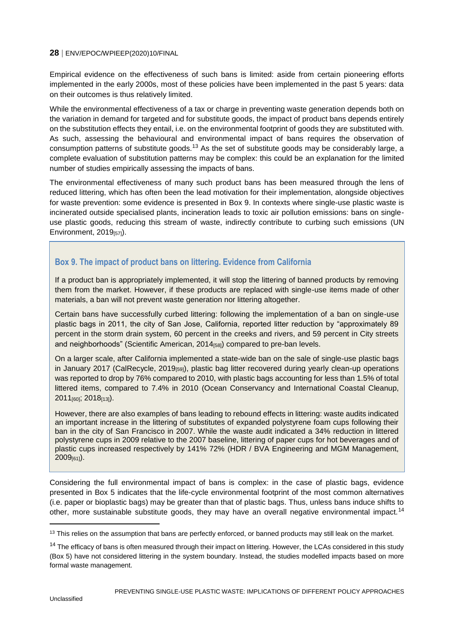Empirical evidence on the effectiveness of such bans is limited: aside from certain pioneering efforts implemented in the early 2000s, most of these policies have been implemented in the past 5 years: data on their outcomes is thus relatively limited.

While the environmental effectiveness of a tax or charge in preventing waste generation depends both on the variation in demand for targeted and for substitute goods, the impact of product bans depends entirely on the substitution effects they entail, i.e. on the environmental footprint of goods they are substituted with. As such, assessing the behavioural and environmental impact of bans requires the observation of consumption patterns of substitute goods.<sup>13</sup> As the set of substitute goods may be considerably large, a complete evaluation of substitution patterns may be complex: this could be an explanation for the limited number of studies empirically assessing the impacts of bans.

The environmental effectiveness of many such product bans has been measured through the lens of reduced littering, which has often been the lead motivation for their implementation, alongside objectives for waste prevention: some evidence is presented in Box 9. In contexts where single-use plastic waste is incinerated outside specialised plants, incineration leads to toxic air pollution emissions: bans on singleuse plastic goods, reducing this stream of waste, indirectly contribute to curbing such emissions (UN Environment, 2019[57]).

## <span id="page-27-0"></span>**Box 9. The impact of product bans on littering. Evidence from California**

If a product ban is appropriately implemented, it will stop the littering of banned products by removing them from the market. However, if these products are replaced with single-use items made of other materials, a ban will not prevent waste generation nor littering altogether.

Certain bans have successfully curbed littering: following the implementation of a ban on single-use plastic bags in 2011, the city of San Jose, California, reported litter reduction by "approximately 89 percent in the storm drain system, 60 percent in the creeks and rivers, and 59 percent in City streets and neighborhoods" (Scientific American,  $2014<sub>[58]</sub>$ ) compared to pre-ban levels.

On a larger scale, after California implemented a state-wide ban on the sale of single-use plastic bags in January 2017 (CalRecycle, 2019<sub>[59]</sub>), plastic bag litter recovered during yearly clean-up operations was reported to drop by 76% compared to 2010, with plastic bags accounting for less than 1.5% of total littered items, compared to 7.4% in 2010 (Ocean Conservancy and International Coastal Cleanup, 2011[60]; 2018[13]).

However, there are also examples of bans leading to rebound effects in littering: waste audits indicated an important increase in the littering of substitutes of expanded polystyrene foam cups following their ban in the city of San Francisco in 2007. While the waste audit indicated a 34% reduction in littered polystyrene cups in 2009 relative to the 2007 baseline, littering of paper cups for hot beverages and of plastic cups increased respectively by 141% 72% (HDR / BVA Engineering and MGM Management, 2009[61]).

Considering the full environmental impact of bans is complex: in the case of plastic bags, evidence presented in Box 5 indicates that the life-cycle environmental footprint of the most common alternatives (i.e. paper or bioplastic bags) may be greater than that of plastic bags. Thus, unless bans induce shifts to other, more sustainable substitute goods, they may have an overall negative environmental impact.<sup>14</sup>

 $\overline{a}$ 

 $13$  This relies on the assumption that bans are perfectly enforced, or banned products may still leak on the market.

<sup>&</sup>lt;sup>14</sup> The efficacy of bans is often measured through their impact on littering. However, the LCAs considered in this study (Box 5) have not considered littering in the system boundary. Instead, the studies modelled impacts based on more formal waste management.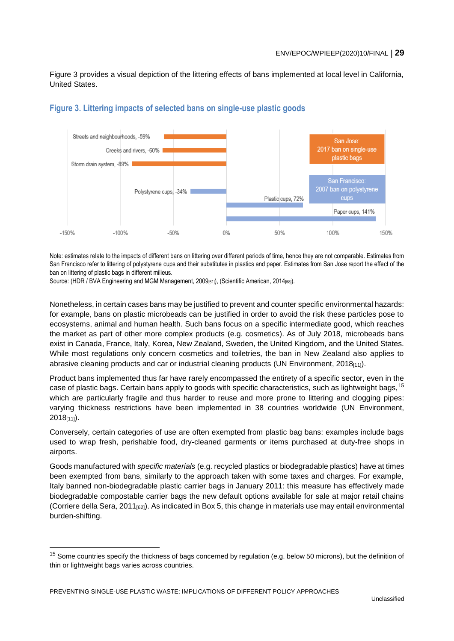Figure 3 provides a visual depiction of the littering effects of bans implemented at local level in California, United States.



## <span id="page-28-0"></span>**Figure 3. Littering impacts of selected bans on single-use plastic goods**

Note: estimates relate to the impacts of different bans on littering over different periods of time, hence they are not comparable. Estimates from San Francisco refer to littering of polystyrene cups and their substitutes in plastics and paper. Estimates from San Jose report the effect of the ban on littering of plastic bags in different milieus.

Source: (HDR / BVA Engineering and MGM Management, 2009<sub>[61]</sub>), (Scientific American, 2014<sub>[58]</sub>).

Nonetheless, in certain cases bans may be justified to prevent and counter specific environmental hazards: for example, bans on plastic microbeads can be justified in order to avoid the risk these particles pose to ecosystems, animal and human health. Such bans focus on a specific intermediate good, which reaches the market as part of other more complex products (e.g. cosmetics). As of July 2018, microbeads bans exist in Canada, France, Italy, Korea, New Zealand, Sweden, the United Kingdom, and the United States. While most regulations only concern cosmetics and toiletries, the ban in New Zealand also applies to abrasive cleaning products and car or industrial cleaning products (UN Environment,  $2018_{[11]}$ ).

Product bans implemented thus far have rarely encompassed the entirety of a specific sector, even in the case of plastic bags. Certain bans apply to goods with specific characteristics, such as lightweight bags, <sup>15</sup> which are particularly fragile and thus harder to reuse and more prone to littering and clogging pipes: varying thickness restrictions have been implemented in 38 countries worldwide (UN Environment, 2018[11]).

Conversely, certain categories of use are often exempted from plastic bag bans: examples include bags used to wrap fresh, perishable food, dry-cleaned garments or items purchased at duty-free shops in airports.

Goods manufactured with *specific materials* (e.g. recycled plastics or biodegradable plastics) have at times been exempted from bans, similarly to the approach taken with some taxes and charges. For example, Italy banned non-biodegradable plastic carrier bags in January 2011: this measure has effectively made biodegradable compostable carrier bags the new default options available for sale at major retail chains (Corriere della Sera, 2011[62]). As indicated in Box 5, this change in materials use may entail environmental burden-shifting.

 $15$  Some countries specify the thickness of bags concerned by regulation (e.g. below 50 microns), but the definition of thin or lightweight bags varies across countries.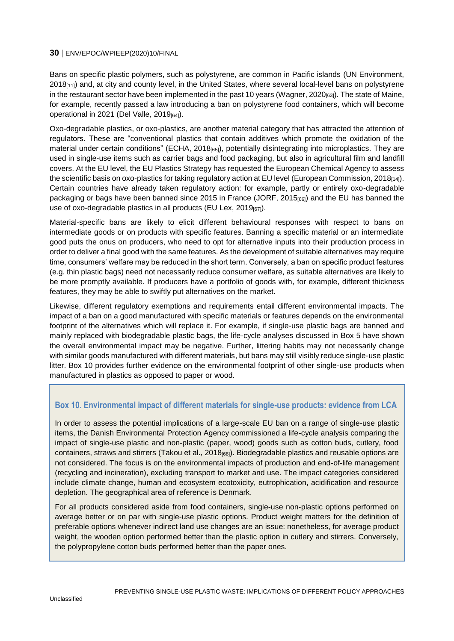Bans on specific plastic polymers, such as polystyrene, are common in Pacific islands (UN Environment,  $2018_{[11]}$ ) and, at city and county level, in the United States, where several local-level bans on polystyrene in the restaurant sector have been implemented in the past 10 years (Wagner, 2020<sub>[63]</sub>). The state of Maine, for example, recently passed a law introducing a ban on polystyrene food containers, which will become operational in 2021 (Del Valle,  $2019_{[64]}$ ).

Oxo-degradable plastics, or oxo-plastics, are another material category that has attracted the attention of regulators. These are "conventional plastics that contain additives which promote the oxidation of the material under certain conditions" (ECHA, 2018<sub>[65]</sub>), potentially disintegrating into microplastics. They are used in single-use items such as carrier bags and food packaging, but also in agricultural film and landfill covers. At the EU level, the EU Plastics Strategy has requested the European Chemical Agency to assess the scientific basis on oxo-plastics for taking regulatory action at EU level (European Commission, 2018<sub>[14]</sub>). Certain countries have already taken regulatory action: for example, partly or entirely oxo-degradable packaging or bags have been banned since 2015 in France (JORF, 2015<sub>[66]</sub>) and the EU has banned the use of oxo-degradable plastics in all products (EU Lex, 2019[67]).

Material-specific bans are likely to elicit different behavioural responses with respect to bans on intermediate goods or on products with specific features. Banning a specific material or an intermediate good puts the onus on producers, who need to opt for alternative inputs into their production process in order to deliver a final good with the same features. As the development of suitable alternatives may require time, consumers' welfare may be reduced in the short term. Conversely, a ban on specific product features (e.g. thin plastic bags) need not necessarily reduce consumer welfare, as suitable alternatives are likely to be more promptly available. If producers have a portfolio of goods with, for example, different thickness features, they may be able to swiftly put alternatives on the market.

Likewise, different regulatory exemptions and requirements entail different environmental impacts. The impact of a ban on a good manufactured with specific materials or features depends on the environmental footprint of the alternatives which will replace it. For example, if single-use plastic bags are banned and mainly replaced with biodegradable plastic bags, the life-cycle analyses discussed in Box 5 have shown the overall environmental impact may be negative. Further, littering habits may not necessarily change with similar goods manufactured with different materials, but bans may still visibly reduce single-use plastic litter. Box 10 provides further evidence on the environmental footprint of other single-use products when manufactured in plastics as opposed to paper or wood.

## <span id="page-29-0"></span>**Box 10. Environmental impact of different materials for single-use products: evidence from LCA**

In order to assess the potential implications of a large-scale EU ban on a range of single-use plastic items, the Danish Environmental Protection Agency commissioned a life-cycle analysis comparing the impact of single-use plastic and non-plastic (paper, wood) goods such as cotton buds, cutlery, food containers, straws and stirrers (Takou et al., 2018<sub>[68]</sub>). Biodegradable plastics and reusable options are not considered. The focus is on the environmental impacts of production and end-of-life management (recycling and incineration), excluding transport to market and use. The impact categories considered include climate change, human and ecosystem ecotoxicity, eutrophication, acidification and resource depletion. The geographical area of reference is Denmark.

For all products considered aside from food containers, single-use non-plastic options performed on average better or on par with single-use plastic options. Product weight matters for the definition of preferable options whenever indirect land use changes are an issue: nonetheless, for average product weight, the wooden option performed better than the plastic option in cutlery and stirrers. Conversely, the polypropylene cotton buds performed better than the paper ones.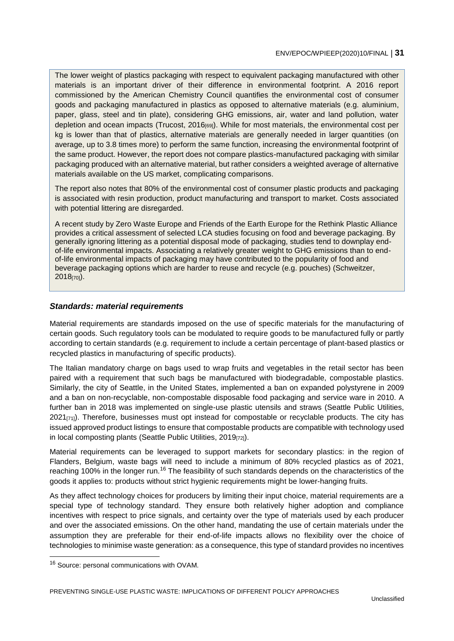The lower weight of plastics packaging with respect to equivalent packaging manufactured with other materials is an important driver of their difference in environmental footprint. A 2016 report commissioned by the American Chemistry Council quantifies the environmental cost of consumer goods and packaging manufactured in plastics as opposed to alternative materials (e.g. aluminium, paper, glass, steel and tin plate), considering GHG emissions, air, water and land pollution, water depletion and ocean impacts (Trucost, 2016<sub>[69]</sub>). While for most materials, the environmental cost per kg is lower than that of plastics, alternative materials are generally needed in larger quantities (on average, up to 3.8 times more) to perform the same function, increasing the environmental footprint of the same product. However, the report does not compare plastics-manufactured packaging with similar packaging produced with an alternative material, but rather considers a weighted average of alternative materials available on the US market, complicating comparisons.

The report also notes that 80% of the environmental cost of consumer plastic products and packaging is associated with resin production, product manufacturing and transport to market. Costs associated with potential littering are disregarded.

A recent study by Zero Waste Europe and Friends of the Earth Europe for the Rethink Plastic Alliance provides a critical assessment of selected LCA studies focusing on food and beverage packaging. By generally ignoring littering as a potential disposal mode of packaging, studies tend to downplay endof-life environmental impacts. Associating a relatively greater weight to GHG emissions than to endof-life environmental impacts of packaging may have contributed to the popularity of food and beverage packaging options which are harder to reuse and recycle (e.g. pouches) (Schweitzer, 2018[70]).

#### *Standards: material requirements*

Material requirements are standards imposed on the use of specific materials for the manufacturing of certain goods. Such regulatory tools can be modulated to require goods to be manufactured fully or partly according to certain standards (e.g. requirement to include a certain percentage of plant-based plastics or recycled plastics in manufacturing of specific products).

The Italian mandatory charge on bags used to wrap fruits and vegetables in the retail sector has been paired with a requirement that such bags be manufactured with biodegradable, compostable plastics. Similarly, the city of Seattle, in the United States, implemented a ban on expanded polystyrene in 2009 and a ban on non-recyclable, non-compostable disposable food packaging and service ware in 2010. A further ban in 2018 was implemented on single-use plastic utensils and straws (Seattle Public Utilities,  $2021_{[71]}$ ). Therefore, businesses must opt instead for compostable or recyclable products. The city has issued approved product listings to ensure that compostable products are compatible with technology used in local composting plants (Seattle Public Utilities, 2019<sub>[72]</sub>).

Material requirements can be leveraged to support markets for secondary plastics: in the region of Flanders, Belgium, waste bags will need to include a minimum of 80% recycled plastics as of 2021, reaching 100% in the longer run.<sup>16</sup> The feasibility of such standards depends on the characteristics of the goods it applies to: products without strict hygienic requirements might be lower-hanging fruits.

As they affect technology choices for producers by limiting their input choice, material requirements are a special type of technology standard. They ensure both relatively higher adoption and compliance incentives with respect to price signals, and certainty over the type of materials used by each producer and over the associated emissions. On the other hand, mandating the use of certain materials under the assumption they are preferable for their end-of-life impacts allows no flexibility over the choice of technologies to minimise waste generation: as a consequence, this type of standard provides no incentives

<sup>16</sup> Source: personal communications with OVAM.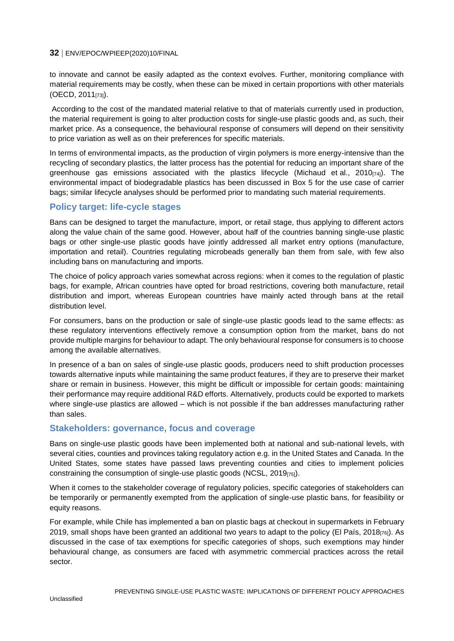to innovate and cannot be easily adapted as the context evolves. Further, monitoring compliance with material requirements may be costly, when these can be mixed in certain proportions with other materials (OECD, 2011[73]).

According to the cost of the mandated material relative to that of materials currently used in production, the material requirement is going to alter production costs for single-use plastic goods and, as such, their market price. As a consequence, the behavioural response of consumers will depend on their sensitivity to price variation as well as on their preferences for specific materials.

In terms of environmental impacts, as the production of virgin polymers is more energy-intensive than the recycling of secondary plastics, the latter process has the potential for reducing an important share of the greenhouse gas emissions associated with the plastics lifecycle (Michaud et al.,  $2010_{[74]}$ ). The environmental impact of biodegradable plastics has been discussed in Box 5 for the use case of carrier bags; similar lifecycle analyses should be performed prior to mandating such material requirements.

## <span id="page-31-0"></span>**Policy target: life-cycle stages**

Bans can be designed to target the manufacture, import, or retail stage, thus applying to different actors along the value chain of the same good. However, about half of the countries banning single-use plastic bags or other single-use plastic goods have jointly addressed all market entry options (manufacture, importation and retail). Countries regulating microbeads generally ban them from sale, with few also including bans on manufacturing and imports.

The choice of policy approach varies somewhat across regions: when it comes to the regulation of plastic bags, for example, African countries have opted for broad restrictions, covering both manufacture, retail distribution and import, whereas European countries have mainly acted through bans at the retail distribution level.

For consumers, bans on the production or sale of single-use plastic goods lead to the same effects: as these regulatory interventions effectively remove a consumption option from the market, bans do not provide multiple margins for behaviour to adapt. The only behavioural response for consumers is to choose among the available alternatives.

In presence of a ban on sales of single-use plastic goods, producers need to shift production processes towards alternative inputs while maintaining the same product features, if they are to preserve their market share or remain in business. However, this might be difficult or impossible for certain goods: maintaining their performance may require additional R&D efforts. Alternatively, products could be exported to markets where single-use plastics are allowed – which is not possible if the ban addresses manufacturing rather than sales.

## <span id="page-31-1"></span>**Stakeholders: governance, focus and coverage**

Bans on single-use plastic goods have been implemented both at national and sub-national levels, with several cities, counties and provinces taking regulatory action e.g. in the United States and Canada. In the United States, some states have passed laws preventing counties and cities to implement policies constraining the consumption of single-use plastic goods (NCSL, 2019[75]).

When it comes to the stakeholder coverage of regulatory policies, specific categories of stakeholders can be temporarily or permanently exempted from the application of single-use plastic bans, for feasibility or equity reasons.

For example, while Chile has implemented a ban on plastic bags at checkout in supermarkets in February 2019, small shops have been granted an additional two years to adapt to the policy (El País, 2018 $_{[76]}$ ). As discussed in the case of tax exemptions for specific categories of shops, such exemptions may hinder behavioural change, as consumers are faced with asymmetric commercial practices across the retail sector.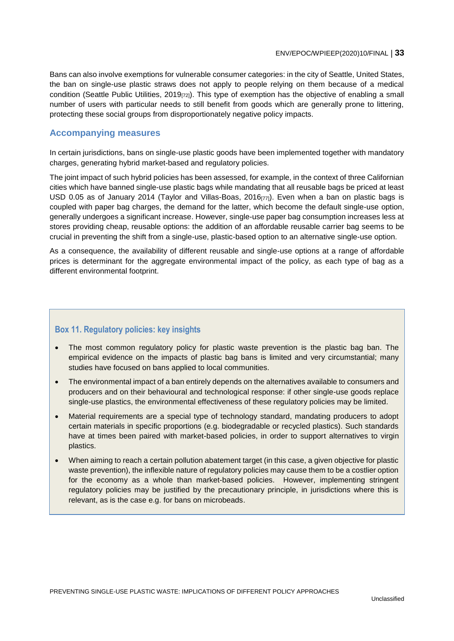Bans can also involve exemptions for vulnerable consumer categories: in the city of Seattle, United States, the ban on single-use plastic straws does not apply to people relying on them because of a medical condition (Seattle Public Utilities, 2019<sub>[72]</sub>). This type of exemption has the objective of enabling a small number of users with particular needs to still benefit from goods which are generally prone to littering, protecting these social groups from disproportionately negative policy impacts.

## <span id="page-32-0"></span>**Accompanying measures**

In certain jurisdictions, bans on single-use plastic goods have been implemented together with mandatory charges, generating hybrid market-based and regulatory policies.

The joint impact of such hybrid policies has been assessed, for example, in the context of three Californian cities which have banned single-use plastic bags while mandating that all reusable bags be priced at least USD 0.05 as of January 2014 (Taylor and Villas-Boas, 2016[77]). Even when a ban on plastic bags is coupled with paper bag charges, the demand for the latter, which become the default single-use option, generally undergoes a significant increase. However, single-use paper bag consumption increases less at stores providing cheap, reusable options: the addition of an affordable reusable carrier bag seems to be crucial in preventing the shift from a single-use, plastic-based option to an alternative single-use option.

As a consequence, the availability of different reusable and single-use options at a range of affordable prices is determinant for the aggregate environmental impact of the policy, as each type of bag as a different environmental footprint.

## <span id="page-32-1"></span>**Box 11. Regulatory policies: key insights**

- The most common regulatory policy for plastic waste prevention is the plastic bag ban. The empirical evidence on the impacts of plastic bag bans is limited and very circumstantial; many studies have focused on bans applied to local communities.
- The environmental impact of a ban entirely depends on the alternatives available to consumers and producers and on their behavioural and technological response: if other single-use goods replace single-use plastics, the environmental effectiveness of these regulatory policies may be limited.
- Material requirements are a special type of technology standard, mandating producers to adopt certain materials in specific proportions (e.g. biodegradable or recycled plastics). Such standards have at times been paired with market-based policies, in order to support alternatives to virgin plastics.
- When aiming to reach a certain pollution abatement target (in this case, a given objective for plastic waste prevention), the inflexible nature of regulatory policies may cause them to be a costlier option for the economy as a whole than market-based policies. However, implementing stringent regulatory policies may be justified by the precautionary principle, in jurisdictions where this is relevant, as is the case e.g. for bans on microbeads.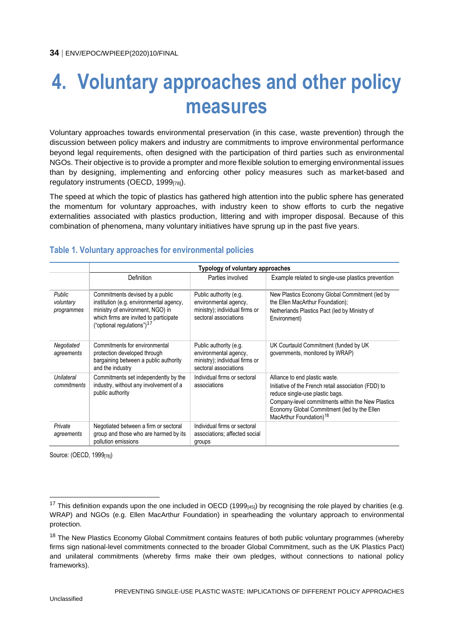## <span id="page-33-0"></span>**4. Voluntary approaches and other policy measures**

Voluntary approaches towards environmental preservation (in this case, waste prevention) through the discussion between policy makers and industry are commitments to improve environmental performance beyond legal requirements, often designed with the participation of third parties such as environmental NGOs. Their objective is to provide a prompter and more flexible solution to emerging environmental issues than by designing, implementing and enforcing other policy measures such as market-based and regulatory instruments (OECD, 1999[78]).

The speed at which the topic of plastics has gathered high attention into the public sphere has generated the momentum for voluntary approaches, with industry keen to show efforts to curb the negative externalities associated with plastics production, littering and with improper disposal. Because of this combination of phenomena, many voluntary initiatives have sprung up in the past five years.

|                                   |                                                                                                                                                                                                    | Typology of voluntary approaches                                                                           |                                                                                                                                                                                                                                                                      |
|-----------------------------------|----------------------------------------------------------------------------------------------------------------------------------------------------------------------------------------------------|------------------------------------------------------------------------------------------------------------|----------------------------------------------------------------------------------------------------------------------------------------------------------------------------------------------------------------------------------------------------------------------|
|                                   | Definition                                                                                                                                                                                         | Parties involved                                                                                           | Example related to single-use plastics prevention                                                                                                                                                                                                                    |
| Public<br>voluntary<br>programmes | Commitments devised by a public<br>institution (e.g. environmental agency,<br>ministry of environment, NGO) in<br>which firms are invited to participate<br>("optional regulations") <sup>17</sup> | Public authority (e.g.<br>environmental agency,<br>ministry); individual firms or<br>sectoral associations | New Plastics Economy Global Commitment (led by<br>the Ellen MacArthur Foundation);<br>Netherlands Plastics Pact (led by Ministry of<br>Environment)                                                                                                                  |
| Negotiated<br>agreements          | Commitments for environmental<br>protection developed through<br>bargaining between a public authority<br>and the industry                                                                         | Public authority (e.g.<br>environmental agency,<br>ministry); individual firms or<br>sectoral associations | UK Courtauld Commitment (funded by UK<br>governments, monitored by WRAP)                                                                                                                                                                                             |
| Unilateral<br>commitments         | Commitments set independently by the<br>industry, without any involvement of a<br>public authority                                                                                                 | Individual firms or sectoral<br>associations                                                               | Alliance to end plastic waste.<br>Initiative of the French retail association (FDD) to<br>reduce single-use plastic bags.<br>Company-level commitments within the New Plastics<br>Economy Global Commitment (led by the Ellen<br>MacArthur Foundation) <sup>18</sup> |
| Private<br>agreements             | Negotiated between a firm or sectoral<br>group and those who are harmed by its<br>pollution emissions                                                                                              | Individual firms or sectoral<br>associations; affected social<br>groups                                    |                                                                                                                                                                                                                                                                      |

## <span id="page-33-1"></span>**Table 1. Voluntary approaches for environmental policies**

Source: (OECD, 1999<sub>[78]</sub>)

 $17$  This definition expands upon the one included in OECD (1999 $_{[45]}$ ) by recognising the role played by charities (e.g. WRAP) and NGOs (e.g. Ellen MacArthur Foundation) in spearheading the voluntary approach to environmental protection.

<sup>&</sup>lt;sup>18</sup> The New Plastics Economy Global Commitment contains features of both public voluntary programmes (whereby firms sign national-level commitments connected to the broader Global Commitment, such as the UK Plastics Pact) and unilateral commitments (whereby firms make their own pledges, without connections to national policy frameworks).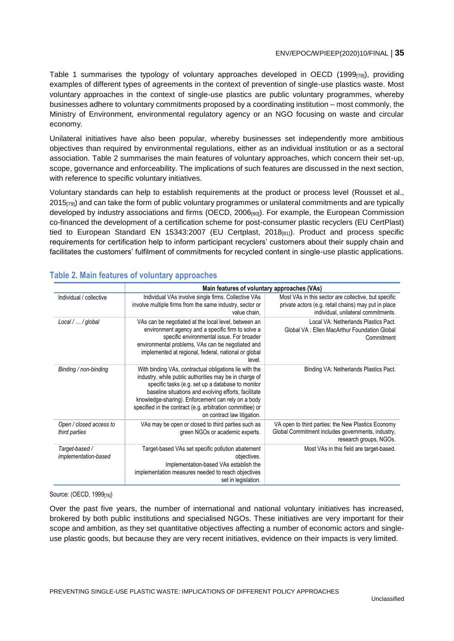[Table 1](#page-33-1) summarises the typology of voluntary approaches developed in OECD (1999[78]), providing examples of different types of agreements in the context of prevention of single-use plastics waste. Most voluntary approaches in the context of single-use plastics are public voluntary programmes, whereby businesses adhere to voluntary commitments proposed by a coordinating institution – most commonly, the Ministry of Environment, environmental regulatory agency or an NGO focusing on waste and circular economy.

Unilateral initiatives have also been popular, whereby businesses set independently more ambitious objectives than required by environmental regulations, either as an individual institution or as a sectoral association. [Table 2](#page-34-0) summarises the main features of voluntary approaches, which concern their set-up, scope, governance and enforceability. The implications of such features are discussed in the next section, with reference to specific voluntary initiatives.

Voluntary standards can help to establish requirements at the product or process level (Rousset et al., 2015<sub>[79]</sub>) and can take the form of public voluntary programmes or unilateral commitments and are typically developed by industry associations and firms (OECD, 2006[80]). For example, the European Commission co-financed the development of a certification scheme for post-consumer plastic recyclers (EU CertPlast) tied to European Standard EN 15343:2007 (EU Certplast,  $2018_{[81]}$ ). Product and process specific requirements for certification help to inform participant recyclers' customers about their supply chain and facilitates the customers' fulfilment of commitments for recycled content in single-use plastic applications.

|                                          | Main features of voluntary approaches (VAs)                                                                                                                                                                                                                                                                                                                                     |                                                                                                                                                     |
|------------------------------------------|---------------------------------------------------------------------------------------------------------------------------------------------------------------------------------------------------------------------------------------------------------------------------------------------------------------------------------------------------------------------------------|-----------------------------------------------------------------------------------------------------------------------------------------------------|
| Individual / collective                  | Individual VAs involve single firms. Collective VAs<br>involve multiple firms from the same industry, sector or<br>value chain,                                                                                                                                                                                                                                                 | Most VAs in this sector are collective, but specific<br>private actors (e.g. retail chains) may put in place<br>individual, unilateral commitments. |
| Local /  / global                        | VAs can be negotiated at the local level, between an<br>environment agency and a specific firm to solve a<br>specific environmental issue. For broader<br>environmental problems, VAs can be negotiated and<br>implemented at regional, federal, national or global<br>level.                                                                                                   | Local VA: Netherlands Plastics Pact.<br>Global VA : Ellen MacArthur Foundation Global<br>Commitment                                                 |
| Binding / non-binding                    | With binding VAs, contractual obligations lie with the<br>industry, while public authorities may be in charge of<br>specific tasks (e.g. set up a database to monitor<br>baseline situations and evolving efforts, facilitate<br>knowledge-sharing). Enforcement can rely on a body<br>specified in the contract (e.g. arbitration committee) or<br>on contract law litigation. | Binding VA: Netherlands Plastics Pact.                                                                                                              |
| Open / closed access to<br>third parties | VAs may be open or closed to third parties such as<br>green NGOs or academic experts.                                                                                                                                                                                                                                                                                           | VA open to third parties: the New Plastics Economy<br>Global Commitment includes governments, industry,<br>research groups, NGOs.                   |
| Target-based /<br>implementation-based   | Target-based VAs set specific pollution abatement<br>objectives.<br>Implementation-based VAs establish the<br>implementation measures needed to reach objectives<br>set in legislation.                                                                                                                                                                                         | Most VAs in this field are target-based.                                                                                                            |

## <span id="page-34-0"></span>**Table 2. Main features of voluntary approaches**

Source: (OECD, 1999<sub>[78]</sub>)

Over the past five years, the number of international and national voluntary initiatives has increased, brokered by both public institutions and specialised NGOs. These initiatives are very important for their scope and ambition, as they set quantitative objectives affecting a number of economic actors and singleuse plastic goods, but because they are very recent initiatives, evidence on their impacts is very limited.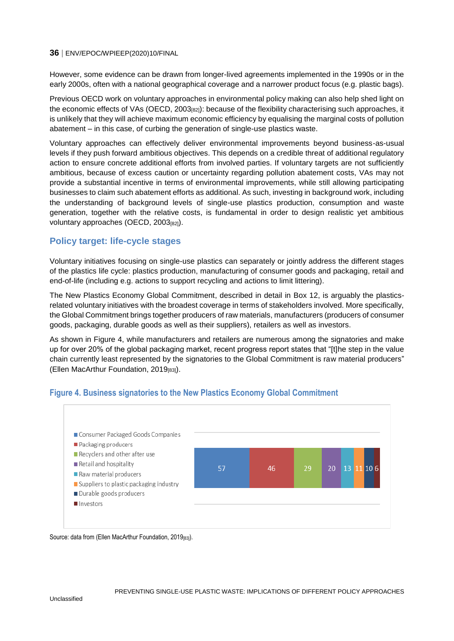However, some evidence can be drawn from longer-lived agreements implemented in the 1990s or in the early 2000s, often with a national geographical coverage and a narrower product focus (e.g. plastic bags).

Previous OECD work on voluntary approaches in environmental policy making can also help shed light on the economic effects of VAs (OECD, 2003<sub>[82]</sub>): because of the flexibility characterising such approaches, it is unlikely that they will achieve maximum economic efficiency by equalising the marginal costs of pollution abatement – in this case, of curbing the generation of single-use plastics waste.

Voluntary approaches can effectively deliver environmental improvements beyond business-as-usual levels if they push forward ambitious objectives. This depends on a credible threat of additional regulatory action to ensure concrete additional efforts from involved parties. If voluntary targets are not sufficiently ambitious, because of excess caution or uncertainty regarding pollution abatement costs, VAs may not provide a substantial incentive in terms of environmental improvements, while still allowing participating businesses to claim such abatement efforts as additional. As such, investing in background work, including the understanding of background levels of single-use plastics production, consumption and waste generation, together with the relative costs, is fundamental in order to design realistic yet ambitious voluntary approaches (OECD, 2003[82]).

## <span id="page-35-0"></span>**Policy target: life-cycle stages**

Voluntary initiatives focusing on single-use plastics can separately or jointly address the different stages of the plastics life cycle: plastics production, manufacturing of consumer goods and packaging, retail and end-of-life (including e.g. actions to support recycling and actions to limit littering).

The New Plastics Economy Global Commitment, described in detail in Box 12, is arguably the plasticsrelated voluntary initiatives with the broadest coverage in terms of stakeholders involved. More specifically, the Global Commitment brings together producers of raw materials, manufacturers (producers of consumer goods, packaging, durable goods as well as their suppliers), retailers as well as investors.

As shown in [Figure 4,](#page-35-1) while manufacturers and retailers are numerous among the signatories and make up for over 20% of the global packaging market, recent progress report states that "[t]he step in the value chain currently least represented by the signatories to the Global Commitment is raw material producers" (Ellen MacArthur Foundation, 2019[83]).

## <span id="page-35-1"></span>**Figure 4. Business signatories to the New Plastics Economy Global Commitment**



#### Source: data from (Ellen MacArthur Foundation, 2019[83]).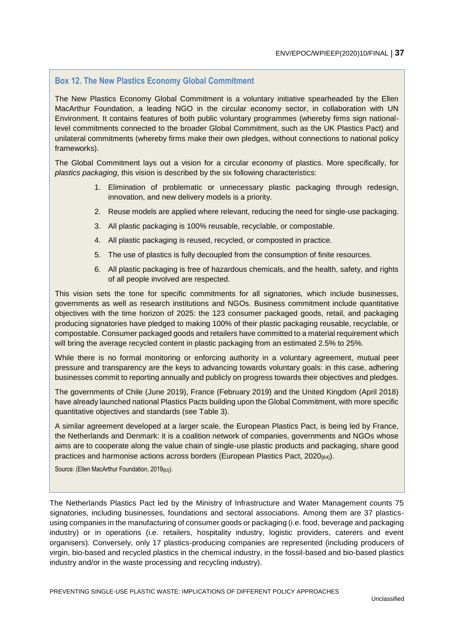## <span id="page-36-0"></span>**Box 12. The New Plastics Economy Global Commitment**

The New Plastics Economy Global Commitment is a voluntary initiative spearheaded by the Ellen MacArthur Foundation, a leading NGO in the circular economy sector, in collaboration with UN Environment. It contains features of both public voluntary programmes (whereby firms sign nationallevel commitments connected to the broader Global Commitment, such as the UK Plastics Pact) and unilateral commitments (whereby firms make their own pledges, without connections to national policy frameworks).

The Global Commitment lays out a vision for a circular economy of plastics. More specifically, for *plastics packaging*, this vision is described by the six following characteristics:

- 1. Elimination of problematic or unnecessary plastic packaging through redesign, innovation, and new delivery models is a priority.
- 2. Reuse models are applied where relevant, reducing the need for single-use packaging.
- 3. All plastic packaging is 100% reusable, recyclable, or compostable.
- 4. All plastic packaging is reused, recycled, or composted in practice.
- 5. The use of plastics is fully decoupled from the consumption of finite resources.
- 6. All plastic packaging is free of hazardous chemicals, and the health, safety, and rights of all people involved are respected.

This vision sets the tone for specific commitments for all signatories, which include businesses, governments as well as research institutions and NGOs. Business commitment include quantitative objectives with the time horizon of 2025: the 123 consumer packaged goods, retail, and packaging producing signatories have pledged to making 100% of their plastic packaging reusable, recyclable, or compostable. Consumer packaged goods and retailers have committed to a material requirement which will bring the average recycled content in plastic packaging from an estimated 2.5% to 25%.

While there is no formal monitoring or enforcing authority in a voluntary agreement, mutual peer pressure and transparency are the keys to advancing towards voluntary goals: in this case, adhering businesses commit to reporting annually and publicly on progress towards their objectives and pledges.

The governments of Chile (June 2019), France (February 2019) and the United Kingdom (April 2018) have already launched national Plastics Pacts building upon the Global Commitment, with more specific quantitative objectives and standards (see [Table 3\)](#page-37-1).

A similar agreement developed at a larger scale, the European Plastics Pact, is being led by France, the Netherlands and Denmark: it is a coalition network of companies, governments and NGOs whose aims are to cooperate along the value chain of single-use plastic products and packaging, share good practices and harmonise actions across borders (European Plastics Pact, 2020[84]).

Source: (Ellen MacArthur Foundation, 2019<sub>[83]</sub>).

The Netherlands Plastics Pact led by the Ministry of Infrastructure and Water Management counts 75 signatories, including businesses, foundations and sectoral associations. Among them are 37 plasticsusing companies in the manufacturing of consumer goods or packaging (i.e. food, beverage and packaging industry) or in operations (i.e. retailers, hospitality industry, logistic providers, caterers and event organisers). Conversely, only 17 plastics-producing companies are represented (including producers of virgin, bio-based and recycled plastics in the chemical industry, in the fossil-based and bio-based plastics industry and/or in the waste processing and recycling industry).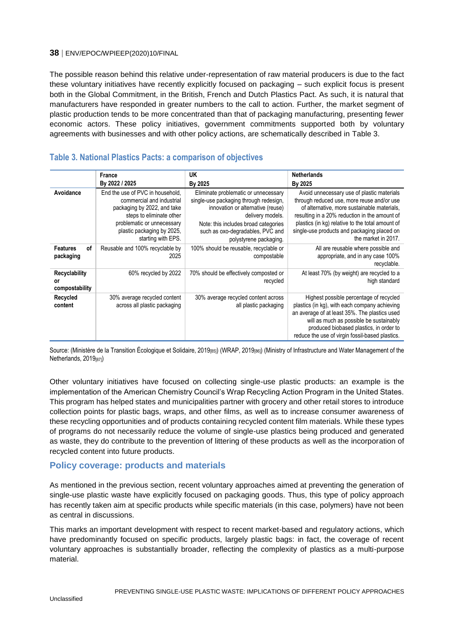The possible reason behind this relative under-representation of raw material producers is due to the fact these voluntary initiatives have recently explicitly focused on packaging – such explicit focus is present both in the Global Commitment, in the British, French and Dutch Plastics Pact. As such, it is natural that manufacturers have responded in greater numbers to the call to action. Further, the market segment of plastic production tends to be more concentrated than that of packaging manufacturing, presenting fewer economic actors. These policy initiatives, government commitments supported both by voluntary agreements with businesses and with other policy actions, are schematically described in [Table 3.](#page-37-1)

|                                       | France                                                                                                                                                                                                     | UK                                                                                                                                                                                                                                            | <b>Netherlands</b>                                                                                                                                                                                                                                                                                                 |
|---------------------------------------|------------------------------------------------------------------------------------------------------------------------------------------------------------------------------------------------------------|-----------------------------------------------------------------------------------------------------------------------------------------------------------------------------------------------------------------------------------------------|--------------------------------------------------------------------------------------------------------------------------------------------------------------------------------------------------------------------------------------------------------------------------------------------------------------------|
|                                       | By 2022 / 2025                                                                                                                                                                                             | By 2025                                                                                                                                                                                                                                       | By 2025                                                                                                                                                                                                                                                                                                            |
| Avoidance                             | End the use of PVC in household,<br>commercial and industrial<br>packaging by 2022, and take<br>steps to eliminate other<br>problematic or unnecessary<br>plastic packaging by 2025,<br>starting with EPS. | Eliminate problematic or unnecessary<br>single-use packaging through redesign,<br>innovation or alternative (reuse)<br>delivery models.<br>Note: this includes broad categories<br>such as oxo-degradables, PVC and<br>polystyrene packaging. | Avoid unnecessary use of plastic materials<br>through reduced use, more reuse and/or use<br>of alternative, more sustainable materials,<br>resulting in a 20% reduction in the amount of<br>plastics (in kg) relative to the total amount of<br>single-use products and packaging placed on<br>the market in 2017. |
| οf<br><b>Features</b><br>packaging    | Reusable and 100% recyclable by<br>2025                                                                                                                                                                    | 100% should be reusable, recyclable or<br>compostable                                                                                                                                                                                         | All are reusable where possible and<br>appropriate, and in any case 100%<br>recyclable.                                                                                                                                                                                                                            |
| Recyclability<br>or<br>compostability | 60% recycled by 2022                                                                                                                                                                                       | 70% should be effectively composted or<br>recycled                                                                                                                                                                                            | At least 70% (by weight) are recycled to a<br>high standard                                                                                                                                                                                                                                                        |
| Recycled<br>content                   | 30% average recycled content<br>across all plastic packaging                                                                                                                                               | 30% average recycled content across<br>all plastic packaging                                                                                                                                                                                  | Highest possible percentage of recycled<br>plastics (in kg), with each company achieving<br>an average of at least 35%. The plastics used<br>will as much as possible be sustainably<br>produced biobased plastics, in order to<br>reduce the use of virgin fossil-based plastics.                                 |

## <span id="page-37-1"></span>**Table 3. National Plastics Pacts: a comparison of objectives**

Source: (Ministère de la Transition Écologique et Solidaire, 2019<sub>[85]</sub>) (WRAP, 2019<sub>[86]</sub>) (Ministry of Infrastructure and Water Management of the Netherlands, 2019[87])

Other voluntary initiatives have focused on collecting single-use plastic products: an example is the implementation of the American Chemistry Council's Wrap Recycling Action Program in the United States. This program has helped states and municipalities partner with grocery and other retail stores to introduce collection points for plastic bags, wraps, and other films, as well as to increase consumer awareness of these recycling opportunities and of products containing recycled content film materials. While these types of programs do not necessarily reduce the volume of single-use plastics being produced and generated as waste, they do contribute to the prevention of littering of these products as well as the incorporation of recycled content into future products.

## <span id="page-37-0"></span>**Policy coverage: products and materials**

As mentioned in the previous section, recent voluntary approaches aimed at preventing the generation of single-use plastic waste have explicitly focused on packaging goods. Thus, this type of policy approach has recently taken aim at specific products while specific materials (in this case, polymers) have not been as central in discussions.

This marks an important development with respect to recent market-based and regulatory actions, which have predominantly focused on specific products, largely plastic bags: in fact, the coverage of recent voluntary approaches is substantially broader, reflecting the complexity of plastics as a multi-purpose material.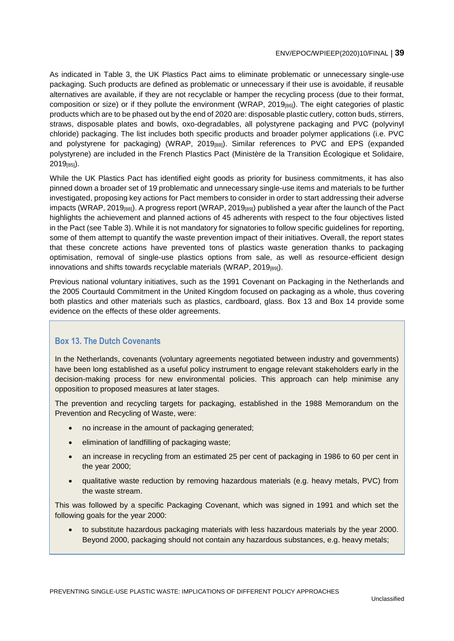As indicated in [Table 3,](#page-37-1) the UK Plastics Pact aims to eliminate problematic or unnecessary single-use packaging. Such products are defined as problematic or unnecessary if their use is avoidable, if reusable alternatives are available, if they are not recyclable or hamper the recycling process (due to their format, composition or size) or if they pollute the environment (WRAP, 2019<sub>[86]</sub>). The eight categories of plastic products which are to be phased out by the end of 2020 are: disposable plastic cutlery, cotton buds, stirrers, straws, disposable plates and bowls, oxo-degradables, all polystyrene packaging and PVC (polyvinyl chloride) packaging. The list includes both specific products and broader polymer applications (i.e. PVC and polystyrene for packaging) (WRAP, 2019[88]). Similar references to PVC and EPS (expanded polystyrene) are included in the French Plastics Pact (Ministère de la Transition Écologique et Solidaire, 2019[85]).

While the UK Plastics Pact has identified eight goods as priority for business commitments, it has also pinned down a broader set of 19 problematic and unnecessary single-use items and materials to be further investigated, proposing key actions for Pact members to consider in order to start addressing their adverse impacts (WRAP, 2019[88]). A progress report (WRAP, 2019[89]) published a year after the launch of the Pact highlights the achievement and planned actions of 45 adherents with respect to the four objectives listed in the Pact (see [Table 3\)](#page-37-1). While it is not mandatory for signatories to follow specific guidelines for reporting, some of them attempt to quantify the waste prevention impact of their initiatives. Overall, the report states that these concrete actions have prevented tons of plastics waste generation thanks to packaging optimisation, removal of single-use plastics options from sale, as well as resource-efficient design innovations and shifts towards recyclable materials (WRAP, 2019[89]).

Previous national voluntary initiatives, such as the 1991 Covenant on Packaging in the Netherlands and the 2005 Courtauld Commitment in the United Kingdom focused on packaging as a whole, thus covering both plastics and other materials such as plastics, cardboard, glass. Box 13 and Box 14 provide some evidence on the effects of these older agreements.

## <span id="page-38-0"></span>**Box 13. The Dutch Covenants**

In the Netherlands, covenants (voluntary agreements negotiated between industry and governments) have been long established as a useful policy instrument to engage relevant stakeholders early in the decision-making process for new environmental policies. This approach can help minimise any opposition to proposed measures at later stages.

The prevention and recycling targets for packaging, established in the 1988 Memorandum on the Prevention and Recycling of Waste, were:

- no increase in the amount of packaging generated;
- **e** elimination of landfilling of packaging waste;
- an increase in recycling from an estimated 25 per cent of packaging in 1986 to 60 per cent in the year 2000;
- qualitative waste reduction by removing hazardous materials (e.g. heavy metals, PVC) from the waste stream.

This was followed by a specific Packaging Covenant, which was signed in 1991 and which set the following goals for the year 2000:

 to substitute hazardous packaging materials with less hazardous materials by the year 2000. Beyond 2000, packaging should not contain any hazardous substances, e.g. heavy metals;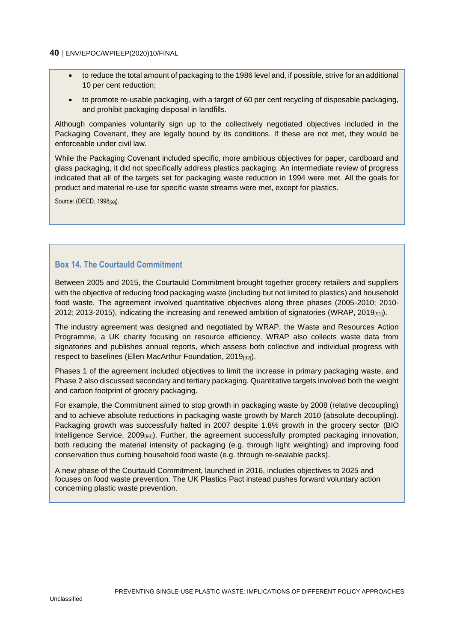- to reduce the total amount of packaging to the 1986 level and, if possible, strive for an additional 10 per cent reduction;
- to promote re-usable packaging, with a target of 60 per cent recycling of disposable packaging, and prohibit packaging disposal in landfills.

Although companies voluntarily sign up to the collectively negotiated objectives included in the Packaging Covenant, they are legally bound by its conditions. If these are not met, they would be enforceable under civil law.

While the Packaging Covenant included specific, more ambitious objectives for paper, cardboard and glass packaging, it did not specifically address plastics packaging. An intermediate review of progress indicated that all of the targets set for packaging waste reduction in 1994 were met. All the goals for product and material re-use for specific waste streams were met, except for plastics.

Source: (OECD, 1998<sub>[90]</sub>).

## <span id="page-39-0"></span>**Box 14. The Courtauld Commitment**

Between 2005 and 2015, the Courtauld Commitment brought together grocery retailers and suppliers with the objective of reducing food packaging waste (including but not limited to plastics) and household food waste. The agreement involved quantitative objectives along three phases (2005-2010; 2010- 2012; 2013-2015), indicating the increasing and renewed ambition of signatories (WRAP, 2019[91]).

The industry agreement was designed and negotiated by WRAP, the Waste and Resources Action Programme, a UK charity focusing on resource efficiency. WRAP also collects waste data from signatories and publishes annual reports, which assess both collective and individual progress with respect to baselines (Ellen MacArthur Foundation, 2019[92]).

Phases 1 of the agreement included objectives to limit the increase in primary packaging waste, and Phase 2 also discussed secondary and tertiary packaging. Quantitative targets involved both the weight and carbon footprint of grocery packaging.

For example, the Commitment aimed to stop growth in packaging waste by 2008 (relative decoupling) and to achieve absolute reductions in packaging waste growth by March 2010 (absolute decoupling). Packaging growth was successfully halted in 2007 despite 1.8% growth in the grocery sector (BIO Intelligence Service, 2009[93]). Further, the agreement successfully prompted packaging innovation, both reducing the material intensity of packaging (e.g. through light weighting) and improving food conservation thus curbing household food waste (e.g. through re-sealable packs).

A new phase of the Courtauld Commitment, launched in 2016, includes objectives to 2025 and focuses on food waste prevention. The UK Plastics Pact instead pushes forward voluntary action concerning plastic waste prevention.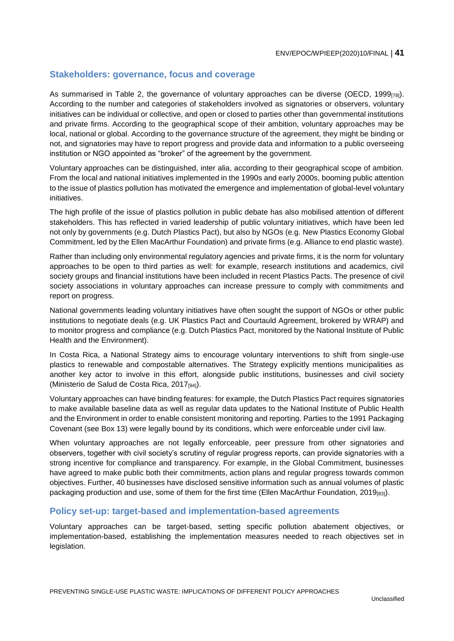## <span id="page-40-0"></span>**Stakeholders: governance, focus and coverage**

As summarised in [Table 2,](#page-34-0) the governance of voluntary approaches can be diverse (OECD, 1999 $_{[78]}$ ). According to the number and categories of stakeholders involved as signatories or observers, voluntary initiatives can be individual or collective, and open or closed to parties other than governmental institutions and private firms. According to the geographical scope of their ambition, voluntary approaches may be local, national or global. According to the governance structure of the agreement, they might be binding or not, and signatories may have to report progress and provide data and information to a public overseeing institution or NGO appointed as "broker" of the agreement by the government.

Voluntary approaches can be distinguished, inter alia, according to their geographical scope of ambition. From the local and national initiatives implemented in the 1990s and early 2000s, booming public attention to the issue of plastics pollution has motivated the emergence and implementation of global-level voluntary initiatives.

The high profile of the issue of plastics pollution in public debate has also mobilised attention of different stakeholders. This has reflected in varied leadership of public voluntary initiatives, which have been led not only by governments (e.g. Dutch Plastics Pact), but also by NGOs (e.g. New Plastics Economy Global Commitment, led by the Ellen MacArthur Foundation) and private firms (e.g. Alliance to end plastic waste).

Rather than including only environmental regulatory agencies and private firms, it is the norm for voluntary approaches to be open to third parties as well: for example, research institutions and academics, civil society groups and financial institutions have been included in recent Plastics Pacts. The presence of civil society associations in voluntary approaches can increase pressure to comply with commitments and report on progress.

National governments leading voluntary initiatives have often sought the support of NGOs or other public institutions to negotiate deals (e.g. UK Plastics Pact and Courtauld Agreement, brokered by WRAP) and to monitor progress and compliance (e.g. Dutch Plastics Pact, monitored by the National Institute of Public Health and the Environment).

In Costa Rica, a National Strategy aims to encourage voluntary interventions to shift from single-use plastics to renewable and compostable alternatives. The Strategy explicitly mentions municipalities as another key actor to involve in this effort, alongside public institutions, businesses and civil society (Ministerio de Salud de Costa Rica, 2017<sup>[94]</sup>).

Voluntary approaches can have binding features: for example, the Dutch Plastics Pact requires signatories to make available baseline data as well as regular data updates to the National Institute of Public Health and the Environment in order to enable consistent monitoring and reporting. Parties to the 1991 Packaging Covenant (see Box 13) were legally bound by its conditions, which were enforceable under civil law.

When voluntary approaches are not legally enforceable, peer pressure from other signatories and observers, together with civil society's scrutiny of regular progress reports, can provide signatories with a strong incentive for compliance and transparency. For example, in the Global Commitment, businesses have agreed to make public both their commitments, action plans and regular progress towards common objectives. Further, 40 businesses have disclosed sensitive information such as annual volumes of plastic packaging production and use, some of them for the first time (Ellen MacArthur Foundation, 2019[83]).

#### <span id="page-40-1"></span>**Policy set-up: target-based and implementation-based agreements**

Voluntary approaches can be target-based, setting specific pollution abatement objectives, or implementation-based, establishing the implementation measures needed to reach objectives set in legislation.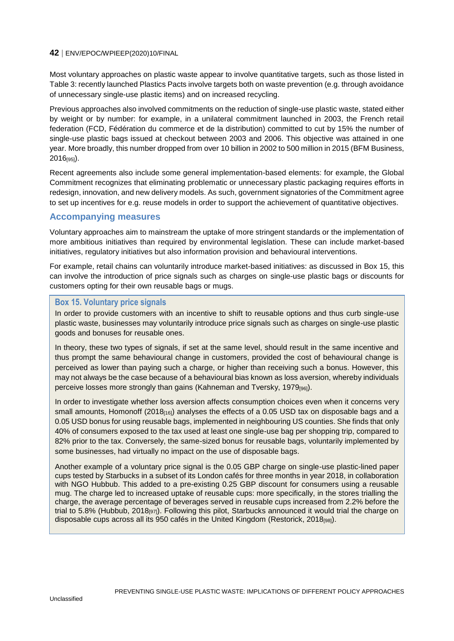Most voluntary approaches on plastic waste appear to involve quantitative targets, such as those listed in [Table 3:](#page-37-1) recently launched Plastics Pacts involve targets both on waste prevention (e.g. through avoidance of unnecessary single-use plastic items) and on increased recycling.

Previous approaches also involved commitments on the reduction of single-use plastic waste, stated either by weight or by number: for example, in a unilateral commitment launched in 2003, the French retail federation (FCD, Fédération du commerce et de la distribution) committed to cut by 15% the number of single-use plastic bags issued at checkout between 2003 and 2006. This objective was attained in one year. More broadly, this number dropped from over 10 billion in 2002 to 500 million in 2015 (BFM Business, 2016[95]).

Recent agreements also include some general implementation-based elements: for example, the Global Commitment recognizes that eliminating problematic or unnecessary plastic packaging requires efforts in redesign, innovation, and new delivery models. As such, government signatories of the Commitment agree to set up incentives for e.g. reuse models in order to support the achievement of quantitative objectives.

#### <span id="page-41-0"></span>**Accompanying measures**

Voluntary approaches aim to mainstream the uptake of more stringent standards or the implementation of more ambitious initiatives than required by environmental legislation. These can include market-based initiatives, regulatory initiatives but also information provision and behavioural interventions.

For example, retail chains can voluntarily introduce market-based initiatives: as discussed in Box 15, this can involve the introduction of price signals such as charges on single-use plastic bags or discounts for customers opting for their own reusable bags or mugs.

#### <span id="page-41-1"></span>**Box 15. Voluntary price signals**

In order to provide customers with an incentive to shift to reusable options and thus curb single-use plastic waste, businesses may voluntarily introduce price signals such as charges on single-use plastic goods and bonuses for reusable ones.

In theory, these two types of signals, if set at the same level, should result in the same incentive and thus prompt the same behavioural change in customers, provided the cost of behavioural change is perceived as lower than paying such a charge, or higher than receiving such a bonus. However, this may not always be the case because of a behavioural bias known as loss aversion, whereby individuals perceive losses more strongly than gains (Kahneman and Tversky, 1979[96]).

In order to investigate whether loss aversion affects consumption choices even when it concerns very small amounts, Homonoff (2018 $_{[16]}$ ) analyses the effects of a 0.05 USD tax on disposable bags and a 0.05 USD bonus for using reusable bags, implemented in neighbouring US counties. She finds that only 40% of consumers exposed to the tax used at least one single-use bag per shopping trip, compared to 82% prior to the tax. Conversely, the same-sized bonus for reusable bags, voluntarily implemented by some businesses, had virtually no impact on the use of disposable bags.

Another example of a voluntary price signal is the 0.05 GBP charge on single-use plastic-lined paper cups tested by Starbucks in a subset of its London cafés for three months in year 2018, in collaboration with NGO Hubbub. This added to a pre-existing 0.25 GBP discount for consumers using a reusable mug. The charge led to increased uptake of reusable cups: more specifically, in the stores trialling the charge, the average percentage of beverages served in reusable cups increased from 2.2% before the trial to 5.8% (Hubbub, 2018[97]). Following this pilot, Starbucks announced it would trial the charge on disposable cups across all its 950 cafés in the United Kingdom (Restorick, 2018[98]).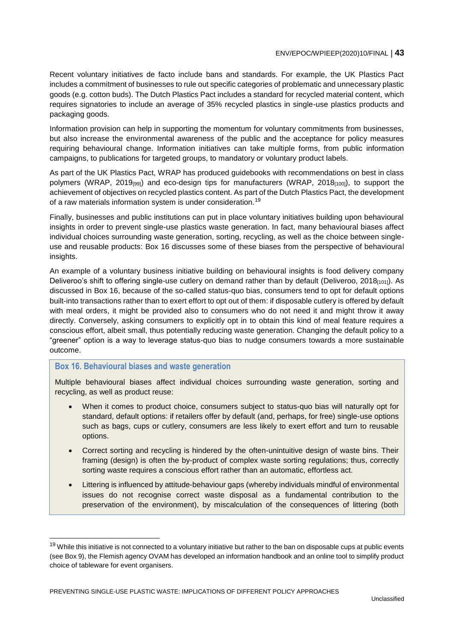Recent voluntary initiatives de facto include bans and standards. For example, the UK Plastics Pact includes a commitment of businesses to rule out specific categories of problematic and unnecessary plastic goods (e.g. cotton buds). The Dutch Plastics Pact includes a standard for recycled material content, which requires signatories to include an average of 35% recycled plastics in single-use plastics products and packaging goods.

Information provision can help in supporting the momentum for voluntary commitments from businesses, but also increase the environmental awareness of the public and the acceptance for policy measures requiring behavioural change. Information initiatives can take multiple forms, from public information campaigns, to publications for targeted groups, to mandatory or voluntary product labels.

As part of the UK Plastics Pact, WRAP has produced guidebooks with recommendations on best in class polymers (WRAP, 2019[99]) and eco-design tips for manufacturers (WRAP, 2018[100]), to support the achievement of objectives on recycled plastics content. As part of the Dutch Plastics Pact, the development of a raw materials information system is under consideration.<sup>19</sup>

Finally, businesses and public institutions can put in place voluntary initiatives building upon behavioural insights in order to prevent single-use plastics waste generation. In fact, many behavioural biases affect individual choices surrounding waste generation, sorting, recycling, as well as the choice between singleuse and reusable products: Box 16 discusses some of these biases from the perspective of behavioural insights.

An example of a voluntary business initiative building on behavioural insights is food delivery company Deliveroo's shift to offering single-use cutlery on demand rather than by default (Deliveroo, 2018<sub>[101]</sub>). As discussed in Box 16, because of the so-called status-quo bias, consumers tend to opt for default options built-into transactions rather than to exert effort to opt out of them: if disposable cutlery is offered by default with meal orders, it might be provided also to consumers who do not need it and might throw it away directly. Conversely, asking consumers to explicitly opt in to obtain this kind of meal feature requires a conscious effort, albeit small, thus potentially reducing waste generation. Changing the default policy to a "greener" option is a way to leverage status-quo bias to nudge consumers towards a more sustainable outcome.

#### <span id="page-42-0"></span>**Box 16. Behavioural biases and waste generation**

Multiple behavioural biases affect individual choices surrounding waste generation, sorting and recycling, as well as product reuse:

- When it comes to product choice, consumers subject to status-quo bias will naturally opt for standard, default options: if retailers offer by default (and, perhaps, for free) single-use options such as bags, cups or cutlery, consumers are less likely to exert effort and turn to reusable options.
- Correct sorting and recycling is hindered by the often-unintuitive design of waste bins. Their framing (design) is often the by-product of complex waste sorting regulations; thus, correctly sorting waste requires a conscious effort rather than an automatic, effortless act.
- Littering is influenced by attitude-behaviour gaps (whereby individuals mindful of environmental issues do not recognise correct waste disposal as a fundamental contribution to the preservation of the environment), by miscalculation of the consequences of littering (both

<sup>&</sup>lt;sup>19</sup> While this initiative is not connected to a voluntary initiative but rather to the ban on disposable cups at public events (see Box 9), the Flemish agency OVAM has developed an information handbook and an online tool to simplify product choice of tableware for event organisers.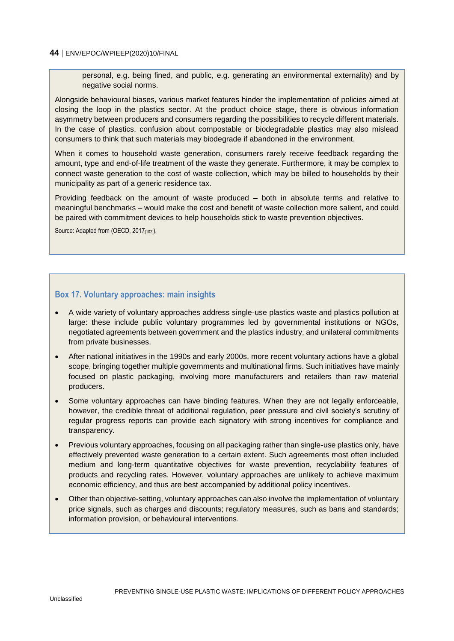personal, e.g. being fined, and public, e.g. generating an environmental externality) and by negative social norms.

Alongside behavioural biases, various market features hinder the implementation of policies aimed at closing the loop in the plastics sector. At the product choice stage, there is obvious information asymmetry between producers and consumers regarding the possibilities to recycle different materials. In the case of plastics, confusion about compostable or biodegradable plastics may also mislead consumers to think that such materials may biodegrade if abandoned in the environment.

When it comes to household waste generation, consumers rarely receive feedback regarding the amount, type and end-of-life treatment of the waste they generate. Furthermore, it may be complex to connect waste generation to the cost of waste collection, which may be billed to households by their municipality as part of a generic residence tax.

Providing feedback on the amount of waste produced – both in absolute terms and relative to meaningful benchmarks – would make the cost and benefit of waste collection more salient, and could be paired with commitment devices to help households stick to waste prevention objectives.

Source: Adapted from (OECD, 2017<sub>[102]</sub>).

## <span id="page-43-0"></span>**Box 17. Voluntary approaches: main insights**

- A wide variety of voluntary approaches address single-use plastics waste and plastics pollution at large: these include public voluntary programmes led by governmental institutions or NGOs, negotiated agreements between government and the plastics industry, and unilateral commitments from private businesses.
- After national initiatives in the 1990s and early 2000s, more recent voluntary actions have a global scope, bringing together multiple governments and multinational firms. Such initiatives have mainly focused on plastic packaging, involving more manufacturers and retailers than raw material producers.
- Some voluntary approaches can have binding features. When they are not legally enforceable, however, the credible threat of additional regulation, peer pressure and civil society's scrutiny of regular progress reports can provide each signatory with strong incentives for compliance and transparency.
- Previous voluntary approaches, focusing on all packaging rather than single-use plastics only, have effectively prevented waste generation to a certain extent. Such agreements most often included medium and long-term quantitative objectives for waste prevention, recyclability features of products and recycling rates. However, voluntary approaches are unlikely to achieve maximum economic efficiency, and thus are best accompanied by additional policy incentives.
- Other than objective-setting, voluntary approaches can also involve the implementation of voluntary price signals, such as charges and discounts; regulatory measures, such as bans and standards; information provision, or behavioural interventions.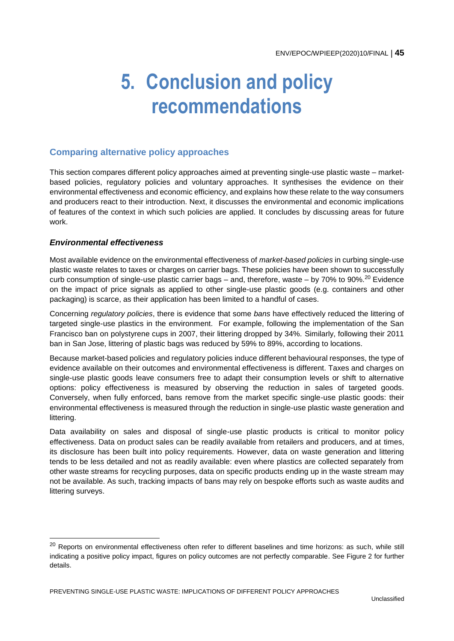## <span id="page-44-0"></span>**5. Conclusion and policy recommendations**

## <span id="page-44-1"></span>**Comparing alternative policy approaches**

This section compares different policy approaches aimed at preventing single-use plastic waste – marketbased policies, regulatory policies and voluntary approaches. It synthesises the evidence on their environmental effectiveness and economic efficiency, and explains how these relate to the way consumers and producers react to their introduction. Next, it discusses the environmental and economic implications of features of the context in which such policies are applied. It concludes by discussing areas for future work.

#### *Environmental effectiveness*

Most available evidence on the environmental effectiveness of *market-based policies* in curbing single-use plastic waste relates to taxes or charges on carrier bags. These policies have been shown to successfully curb consumption of single-use plastic carrier bags – and, therefore, waste – by 70% to 90%.<sup>20</sup> Evidence on the impact of price signals as applied to other single-use plastic goods (e.g. containers and other packaging) is scarce, as their application has been limited to a handful of cases.

Concerning *regulatory policies*, there is evidence that some *bans* have effectively reduced the littering of targeted single-use plastics in the environment. For example, following the implementation of the San Francisco ban on polystyrene cups in 2007, their littering dropped by 34%. Similarly, following their 2011 ban in San Jose, littering of plastic bags was reduced by 59% to 89%, according to locations.

Because market-based policies and regulatory policies induce different behavioural responses, the type of evidence available on their outcomes and environmental effectiveness is different. Taxes and charges on single-use plastic goods leave consumers free to adapt their consumption levels or shift to alternative options: policy effectiveness is measured by observing the reduction in sales of targeted goods. Conversely, when fully enforced, bans remove from the market specific single-use plastic goods: their environmental effectiveness is measured through the reduction in single-use plastic waste generation and littering.

Data availability on sales and disposal of single-use plastic products is critical to monitor policy effectiveness. Data on product sales can be readily available from retailers and producers, and at times, its disclosure has been built into policy requirements. However, data on waste generation and littering tends to be less detailed and not as readily available: even where plastics are collected separately from other waste streams for recycling purposes, data on specific products ending up in the waste stream may not be available. As such, tracking impacts of bans may rely on bespoke efforts such as waste audits and littering surveys.

PREVENTING SINGLE-USE PLASTIC WASTE: IMPLICATIONS OF DIFFERENT POLICY APPROACHES

<sup>&</sup>lt;sup>20</sup> Reports on environmental effectiveness often refer to different baselines and time horizons: as such, while still indicating a positive policy impact, figures on policy outcomes are not perfectly comparable. See [Figure 2](#page-23-1) for further details.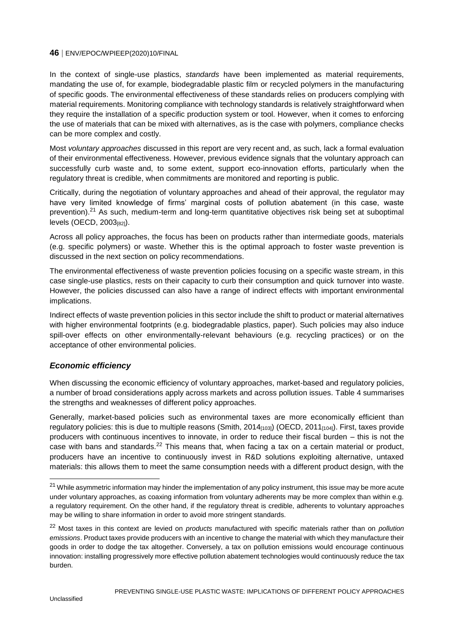In the context of single-use plastics, *standards* have been implemented as material requirements, mandating the use of, for example, biodegradable plastic film or recycled polymers in the manufacturing of specific goods. The environmental effectiveness of these standards relies on producers complying with material requirements. Monitoring compliance with technology standards is relatively straightforward when they require the installation of a specific production system or tool. However, when it comes to enforcing the use of materials that can be mixed with alternatives, as is the case with polymers, compliance checks can be more complex and costly.

Most *voluntary approaches* discussed in this report are very recent and, as such, lack a formal evaluation of their environmental effectiveness. However, previous evidence signals that the voluntary approach can successfully curb waste and, to some extent, support eco-innovation efforts, particularly when the regulatory threat is credible, when commitments are monitored and reporting is public.

Critically, during the negotiation of voluntary approaches and ahead of their approval, the regulator may have very limited knowledge of firms' marginal costs of pollution abatement (in this case, waste prevention).<sup>21</sup> As such, medium-term and long-term quantitative objectives risk being set at suboptimal levels (OECD,  $2003_{[82]}$ ).

Across all policy approaches, the focus has been on products rather than intermediate goods, materials (e.g. specific polymers) or waste. Whether this is the optimal approach to foster waste prevention is discussed in the next section on policy recommendations.

The environmental effectiveness of waste prevention policies focusing on a specific waste stream, in this case single-use plastics, rests on their capacity to curb their consumption and quick turnover into waste. However, the policies discussed can also have a range of indirect effects with important environmental implications.

Indirect effects of waste prevention policies in this sector include the shift to product or material alternatives with higher environmental footprints (e.g. biodegradable plastics, paper). Such policies may also induce spill-over effects on other environmentally-relevant behaviours (e.g. recycling practices) or on the acceptance of other environmental policies.

## *Economic efficiency*

When discussing the economic efficiency of voluntary approaches, market-based and regulatory policies, a number of broad considerations apply across markets and across pollution issues. [Table 4](#page-47-0) summarises the strengths and weaknesses of different policy approaches.

Generally, market-based policies such as environmental taxes are more economically efficient than regulatory policies: this is due to multiple reasons (Smith, 2014 $_{[103]}$ ) (OECD, 2011 $_{[104]}$ ). First, taxes provide producers with continuous incentives to innovate, in order to reduce their fiscal burden – this is not the case with bans and standards.<sup>22</sup> This means that, when facing a tax on a certain material or product, producers have an incentive to continuously invest in R&D solutions exploiting alternative, untaxed materials: this allows them to meet the same consumption needs with a different product design, with the

<sup>&</sup>lt;sup>21</sup> While asymmetric information may hinder the implementation of any policy instrument, this issue may be more acute under voluntary approaches, as coaxing information from voluntary adherents may be more complex than within e.g. a regulatory requirement. On the other hand, if the regulatory threat is credible, adherents to voluntary approaches may be willing to share information in order to avoid more stringent standards.

<sup>22</sup> Most taxes in this context are levied on *products* manufactured with specific materials rather than on *pollution emissions*. Product taxes provide producers with an incentive to change the material with which they manufacture their goods in order to dodge the tax altogether. Conversely, a tax on pollution emissions would encourage continuous innovation: installing progressively more effective pollution abatement technologies would continuously reduce the tax burden.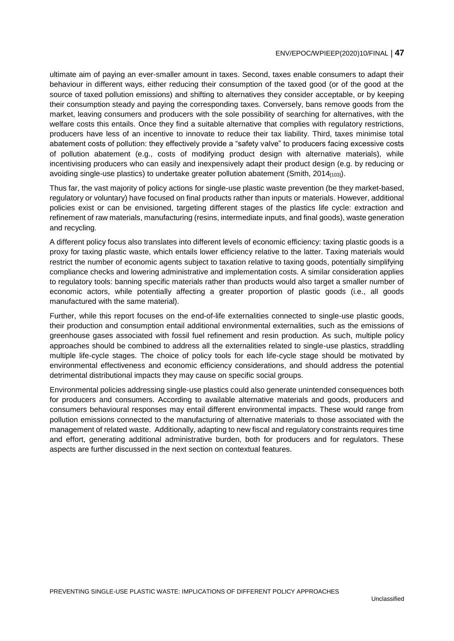ultimate aim of paying an ever-smaller amount in taxes. Second, taxes enable consumers to adapt their behaviour in different ways, either reducing their consumption of the taxed good (or of the good at the source of taxed pollution emissions) and shifting to alternatives they consider acceptable, or by keeping their consumption steady and paying the corresponding taxes. Conversely, bans remove goods from the market, leaving consumers and producers with the sole possibility of searching for alternatives, with the welfare costs this entails. Once they find a suitable alternative that complies with regulatory restrictions, producers have less of an incentive to innovate to reduce their tax liability. Third, taxes minimise total abatement costs of pollution: they effectively provide a "safety valve" to producers facing excessive costs of pollution abatement (e.g., costs of modifying product design with alternative materials), while incentivising producers who can easily and inexpensively adapt their product design (e.g. by reducing or avoiding single-use plastics) to undertake greater pollution abatement (Smith, 2014<sub>[103]</sub>).

Thus far, the vast majority of policy actions for single-use plastic waste prevention (be they market-based, regulatory or voluntary) have focused on final products rather than inputs or materials. However, additional policies exist or can be envisioned, targeting different stages of the plastics life cycle: extraction and refinement of raw materials, manufacturing (resins, intermediate inputs, and final goods), waste generation and recycling.

A different policy focus also translates into different levels of economic efficiency: taxing plastic goods is a proxy for taxing plastic waste, which entails lower efficiency relative to the latter. Taxing materials would restrict the number of economic agents subject to taxation relative to taxing goods, potentially simplifying compliance checks and lowering administrative and implementation costs. A similar consideration applies to regulatory tools: banning specific materials rather than products would also target a smaller number of economic actors, while potentially affecting a greater proportion of plastic goods (i.e., all goods manufactured with the same material).

Further, while this report focuses on the end-of-life externalities connected to single-use plastic goods, their production and consumption entail additional environmental externalities, such as the emissions of greenhouse gases associated with fossil fuel refinement and resin production. As such, multiple policy approaches should be combined to address all the externalities related to single-use plastics, straddling multiple life-cycle stages. The choice of policy tools for each life-cycle stage should be motivated by environmental effectiveness and economic efficiency considerations, and should address the potential detrimental distributional impacts they may cause on specific social groups.

Environmental policies addressing single-use plastics could also generate unintended consequences both for producers and consumers. According to available alternative materials and goods, producers and consumers behavioural responses may entail different environmental impacts. These would range from pollution emissions connected to the manufacturing of alternative materials to those associated with the management of related waste. Additionally, adapting to new fiscal and regulatory constraints requires time and effort, generating additional administrative burden, both for producers and for regulators. These aspects are further discussed in the next section on contextual features.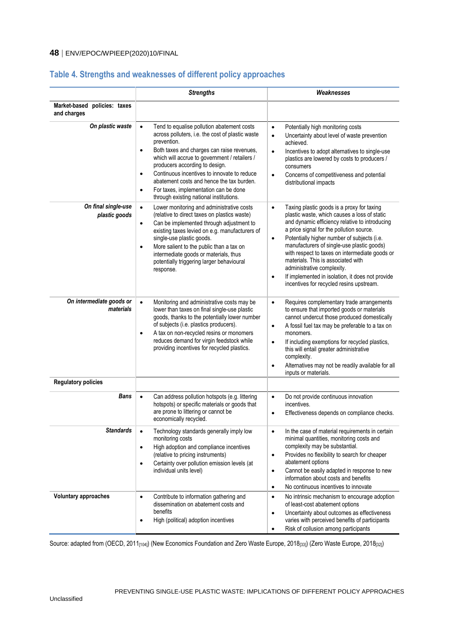## <span id="page-47-0"></span>**Table 4. Strengths and weaknesses of different policy approaches**

|                                                | <b>Strengths</b>                                                                                                                                                                                                                                                                                                                                                                                                                                                   | Weaknesses                                                                                                                                                                                                                                                                                                                                                                                                                                                                                                                                         |
|------------------------------------------------|--------------------------------------------------------------------------------------------------------------------------------------------------------------------------------------------------------------------------------------------------------------------------------------------------------------------------------------------------------------------------------------------------------------------------------------------------------------------|----------------------------------------------------------------------------------------------------------------------------------------------------------------------------------------------------------------------------------------------------------------------------------------------------------------------------------------------------------------------------------------------------------------------------------------------------------------------------------------------------------------------------------------------------|
| Market-based<br>policies: taxes<br>and charges |                                                                                                                                                                                                                                                                                                                                                                                                                                                                    |                                                                                                                                                                                                                                                                                                                                                                                                                                                                                                                                                    |
| On plastic waste                               | Tend to equalise pollution abatement costs<br>$\bullet$<br>across polluters, i.e. the cost of plastic waste<br>prevention.<br>Both taxes and charges can raise revenues,<br>$\bullet$<br>which will accrue to government / retailers /<br>producers according to design.<br>Continuous incentives to innovate to reduce<br>٠<br>abatement costs and hence the tax burden.<br>For taxes, implementation can be done<br>٠<br>through existing national institutions. | Potentially high monitoring costs<br>$\bullet$<br>Uncertainty about level of waste prevention<br>$\bullet$<br>achieved.<br>Incentives to adopt alternatives to single-use<br>$\bullet$<br>plastics are lowered by costs to producers /<br>consumers<br>Concerns of competitiveness and potential<br>$\bullet$<br>distributional impacts                                                                                                                                                                                                            |
| On final single-use<br>plastic goods           | Lower monitoring and administrative costs<br>$\bullet$<br>(relative to direct taxes on plastics waste)<br>Can be implemented through adjustment to<br>$\bullet$<br>existing taxes levied on e.g. manufacturers of<br>single-use plastic goods.<br>More salient to the public than a tax on<br>$\bullet$<br>intermediate goods or materials, thus<br>potentially triggering larger behavioural<br>response.                                                         | Taxing plastic goods is a proxy for taxing<br>$\bullet$<br>plastic waste, which causes a loss of static<br>and dynamic efficiency relative to introducing<br>a price signal for the pollution source.<br>Potentially higher number of subjects (i.e.<br>$\bullet$<br>manufacturers of single-use plastic goods)<br>with respect to taxes on intermediate goods or<br>materials. This is associated with<br>administrative complexity.<br>If implemented in isolation, it does not provide<br>$\bullet$<br>incentives for recycled resins upstream. |
| On intermediate goods or<br>materials          | Monitoring and administrative costs may be<br>$\bullet$<br>lower than taxes on final single-use plastic<br>goods, thanks to the potentially lower number<br>of subjects (i.e. plastics producers).<br>A tax on non-recycled resins or monomers<br>٠<br>reduces demand for virgin feedstock while<br>providing incentives for recycled plastics.                                                                                                                    | Requires complementary trade arrangements<br>$\bullet$<br>to ensure that imported goods or materials<br>cannot undercut those produced domestically<br>A fossil fuel tax may be preferable to a tax on<br>$\bullet$<br>monomers.<br>If including exemptions for recycled plastics,<br>$\bullet$<br>this will entail greater administrative<br>complexity.<br>Alternatives may not be readily available for all<br>$\bullet$<br>inputs or materials.                                                                                                |
| <b>Regulatory policies</b>                     |                                                                                                                                                                                                                                                                                                                                                                                                                                                                    |                                                                                                                                                                                                                                                                                                                                                                                                                                                                                                                                                    |
| <b>Bans</b>                                    | Can address pollution hotspots (e.g. littering<br>$\bullet$<br>hotspots) or specific materials or goods that<br>are prone to littering or cannot be<br>economically recycled.                                                                                                                                                                                                                                                                                      | Do not provide continuous innovation<br>$\bullet$<br>incentives.<br>Effectiveness depends on compliance checks.<br>٠                                                                                                                                                                                                                                                                                                                                                                                                                               |
| <b>Standards</b>                               | Technology standards generally imply low<br>monitoring costs<br>High adoption and compliance incentives<br>$\bullet$<br>(relative to pricing instruments)<br>Certainty over pollution emission levels (at<br>٠<br>individual units level)                                                                                                                                                                                                                          | In the case of material requirements in certain<br>٠<br>minimal quantities, monitoring costs and<br>complexity may be substantial.<br>Provides no flexibility to search for cheaper<br>٠<br>abatement options<br>Cannot be easily adapted in response to new<br>$\bullet$<br>information about costs and benefits<br>No continuous incentives to innovate<br>٠                                                                                                                                                                                     |
| <b>Voluntary approaches</b>                    | Contribute to information gathering and<br>$\bullet$<br>dissemination on abatement costs and<br>benefits<br>High (political) adoption incentives<br>٠                                                                                                                                                                                                                                                                                                              | No intrinsic mechanism to encourage adoption<br>$\bullet$<br>of least-cost abatement options<br>Uncertainty about outcomes as effectiveness<br>$\bullet$<br>varies with perceived benefits of participants<br>Risk of collusion among participants<br>٠                                                                                                                                                                                                                                                                                            |

Source: adapted from (OECD, 2011<sub>[104]</sub>) (New Economics Foundation and Zero Waste Europe, 2018<sub>[33]</sub>) (Zero Waste Europe, 2018<sub>[32]</sub>)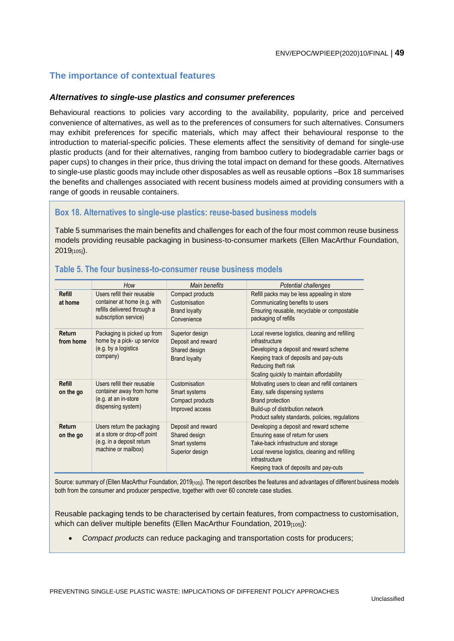## <span id="page-48-0"></span>**The importance of contextual features**

#### *Alternatives to single-use plastics and consumer preferences*

Behavioural reactions to policies vary according to the availability, popularity, price and perceived convenience of alternatives, as well as to the preferences of consumers for such alternatives. Consumers may exhibit preferences for specific materials, which may affect their behavioural response to the introduction to material-specific policies. These elements affect the sensitivity of demand for single-use plastic products (and for their alternatives, ranging from bamboo cutlery to biodegradable carrier bags or paper cups) to changes in their price, thus driving the total impact on demand for these goods. Alternatives to single-use plastic goods may include other disposables as well as reusable options –Box 18 summarises the benefits and challenges associated with recent business models aimed at providing consumers with a range of goods in reusable containers.

#### <span id="page-48-2"></span>**Box 18. Alternatives to single-use plastics: reuse-based business models**

[Table 5](#page-48-1) summarises the main benefits and challenges for each of the four most common reuse business models providing reusable packaging in business-to-consumer markets (Ellen MacArthur Foundation, 2019[105]).

|                     | How                                                                                                                 | Main benefits                                                                  | Potential challenges                                                                                                                                                                                                               |
|---------------------|---------------------------------------------------------------------------------------------------------------------|--------------------------------------------------------------------------------|------------------------------------------------------------------------------------------------------------------------------------------------------------------------------------------------------------------------------------|
| Refill<br>at home   | Users refill their reusable<br>container at home (e.g. with<br>refills delivered through a<br>subscription service) | Compact products<br>Customisation<br><b>Brand loyalty</b><br>Convenience       | Refill packs may be less appealing in store<br>Communicating benefits to users<br>Ensuring reusable, recyclable or compostable<br>packaging of refills                                                                             |
| Return<br>from home | Packaging is picked up from<br>home by a pick- up service<br>(e.g. by a logistics<br>company)                       | Superior design<br>Deposit and reward<br>Shared design<br><b>Brand loyalty</b> | Local reverse logistics, cleaning and refilling<br>infrastructure<br>Developing a deposit and reward scheme<br>Keeping track of deposits and pay-outs<br>Reducing theft risk<br>Scaling quickly to maintain affordability          |
| Refill<br>on the go | Users refill their reusable<br>container away from home<br>(e.g. at an in-store<br>dispensing system)               | Customisation<br>Smart systems<br>Compact products<br>Improved access          | Motivating users to clean and refill containers<br>Easy, safe dispensing systems<br><b>Brand protection</b><br>Build-up of distribution network<br>Product safety standards, policies, regulations                                 |
| Return<br>on the go | Users return the packaging<br>at a store or drop-off point<br>(e.g. in a deposit return<br>machine or mailbox)      | Deposit and reward<br>Shared design<br>Smart systems<br>Superior design        | Developing a deposit and reward scheme<br>Ensuring ease of return for users<br>Take-back infrastructure and storage<br>Local reverse logistics, cleaning and refilling<br>infrastructure<br>Keeping track of deposits and pay-outs |

#### <span id="page-48-1"></span>**Table 5. The four business-to-consumer reuse business models**

Source: summary of (Ellen MacArthur Foundation, 2019<sub>[105]</sub>). The report describes the features and advantages of different business models both from the consumer and producer perspective, together with over 60 concrete case studies.

Reusable packaging tends to be characterised by certain features, from compactness to customisation, which can deliver multiple benefits (Ellen MacArthur Foundation, 2019[105]):

*Compact products* can reduce packaging and transportation costs for producers;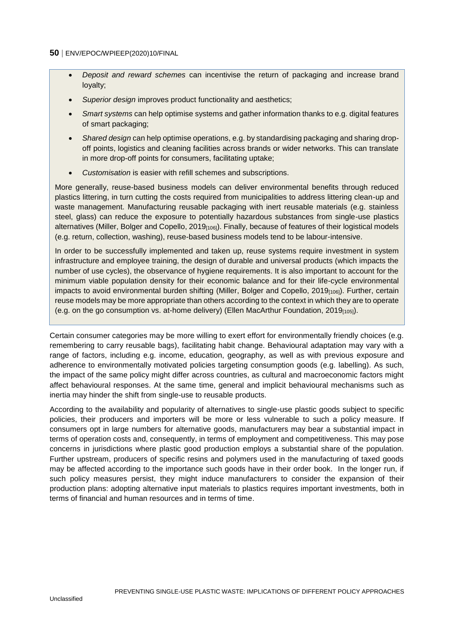- *Deposit and reward schemes* can incentivise the return of packaging and increase brand loyalty;
- *Superior design* improves product functionality and aesthetics;
- *Smart systems* can help optimise systems and gather information thanks to e.g. digital features of smart packaging;
- *Shared design* can help optimise operations, e.g. by standardising packaging and sharing dropoff points, logistics and cleaning facilities across brands or wider networks. This can translate in more drop-off points for consumers, facilitating uptake;
- *Customisation* is easier with refill schemes and subscriptions.

More generally, reuse-based business models can deliver environmental benefits through reduced plastics littering, in turn cutting the costs required from municipalities to address littering clean-up and waste management. Manufacturing reusable packaging with inert reusable materials (e.g. stainless steel, glass) can reduce the exposure to potentially hazardous substances from single-use plastics alternatives (Miller, Bolger and Copello, 2019<sub>[106]</sub>). Finally, because of features of their logistical models (e.g. return, collection, washing), reuse-based business models tend to be labour-intensive.

In order to be successfully implemented and taken up, reuse systems require investment in system infrastructure and employee training, the design of durable and universal products (which impacts the number of use cycles), the observance of hygiene requirements. It is also important to account for the minimum viable population density for their economic balance and for their life-cycle environmental impacts to avoid environmental burden shifting (Miller, Bolger and Copello, 2019<sub>[106]</sub>). Further, certain reuse models may be more appropriate than others according to the context in which they are to operate (e.g. on the go consumption vs. at-home delivery) (Ellen MacArthur Foundation, 2019[105]).

Certain consumer categories may be more willing to exert effort for environmentally friendly choices (e.g. remembering to carry reusable bags), facilitating habit change. Behavioural adaptation may vary with a range of factors, including e.g. income, education, geography, as well as with previous exposure and adherence to environmentally motivated policies targeting consumption goods (e.g. labelling). As such, the impact of the same policy might differ across countries, as cultural and macroeconomic factors might affect behavioural responses. At the same time, general and implicit behavioural mechanisms such as inertia may hinder the shift from single-use to reusable products.

According to the availability and popularity of alternatives to single-use plastic goods subject to specific policies, their producers and importers will be more or less vulnerable to such a policy measure. If consumers opt in large numbers for alternative goods, manufacturers may bear a substantial impact in terms of operation costs and, consequently, in terms of employment and competitiveness. This may pose concerns in jurisdictions where plastic good production employs a substantial share of the population. Further upstream, producers of specific resins and polymers used in the manufacturing of taxed goods may be affected according to the importance such goods have in their order book. In the longer run, if such policy measures persist, they might induce manufacturers to consider the expansion of their production plans: adopting alternative input materials to plastics requires important investments, both in terms of financial and human resources and in terms of time.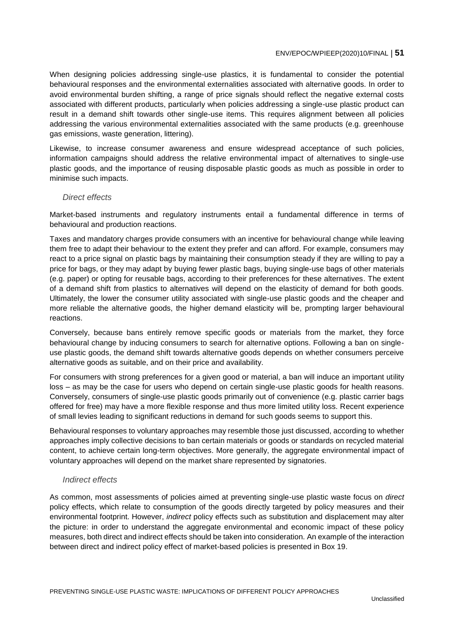When designing policies addressing single-use plastics, it is fundamental to consider the potential behavioural responses and the environmental externalities associated with alternative goods. In order to avoid environmental burden shifting, a range of price signals should reflect the negative external costs associated with different products, particularly when policies addressing a single-use plastic product can result in a demand shift towards other single-use items. This requires alignment between all policies addressing the various environmental externalities associated with the same products (e.g. greenhouse gas emissions, waste generation, littering).

Likewise, to increase consumer awareness and ensure widespread acceptance of such policies, information campaigns should address the relative environmental impact of alternatives to single-use plastic goods, and the importance of reusing disposable plastic goods as much as possible in order to minimise such impacts.

#### *Direct effects*

Market-based instruments and regulatory instruments entail a fundamental difference in terms of behavioural and production reactions.

Taxes and mandatory charges provide consumers with an incentive for behavioural change while leaving them free to adapt their behaviour to the extent they prefer and can afford. For example, consumers may react to a price signal on plastic bags by maintaining their consumption steady if they are willing to pay a price for bags, or they may adapt by buying fewer plastic bags, buying single-use bags of other materials (e.g. paper) or opting for reusable bags, according to their preferences for these alternatives. The extent of a demand shift from plastics to alternatives will depend on the elasticity of demand for both goods. Ultimately, the lower the consumer utility associated with single-use plastic goods and the cheaper and more reliable the alternative goods, the higher demand elasticity will be, prompting larger behavioural reactions.

Conversely, because bans entirely remove specific goods or materials from the market, they force behavioural change by inducing consumers to search for alternative options. Following a ban on singleuse plastic goods, the demand shift towards alternative goods depends on whether consumers perceive alternative goods as suitable, and on their price and availability.

For consumers with strong preferences for a given good or material, a ban will induce an important utility loss – as may be the case for users who depend on certain single-use plastic goods for health reasons. Conversely, consumers of single-use plastic goods primarily out of convenience (e.g. plastic carrier bags offered for free) may have a more flexible response and thus more limited utility loss. Recent experience of small levies leading to significant reductions in demand for such goods seems to support this.

Behavioural responses to voluntary approaches may resemble those just discussed, according to whether approaches imply collective decisions to ban certain materials or goods or standards on recycled material content, to achieve certain long-term objectives. More generally, the aggregate environmental impact of voluntary approaches will depend on the market share represented by signatories.

#### *Indirect effects*

As common, most assessments of policies aimed at preventing single-use plastic waste focus on *direct* policy effects, which relate to consumption of the goods directly targeted by policy measures and their environmental footprint. However, *indirect* policy effects such as substitution and displacement may alter the picture: in order to understand the aggregate environmental and economic impact of these policy measures, both direct and indirect effects should be taken into consideration. An example of the interaction between direct and indirect policy effect of market-based policies is presented in Box 19.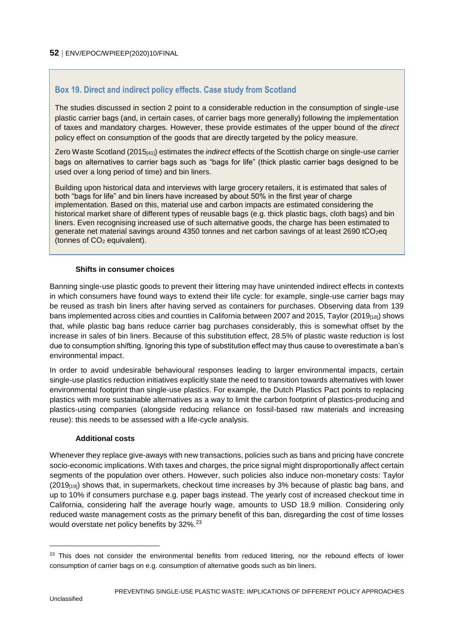## <span id="page-51-0"></span>**Box 19. Direct and indirect policy effects. Case study from Scotland**

The studies discussed in section 2 point to a considerable reduction in the consumption of single-use plastic carrier bags (and, in certain cases, of carrier bags more generally) following the implementation of taxes and mandatory charges. However, these provide estimates of the upper bound of the *direct* policy effect on consumption of the goods that are directly targeted by the policy measure.

Zero Waste Scotland (2015[41]) estimates the *indirect* effects of the Scottish charge on single-use carrier bags on alternatives to carrier bags such as "bags for life" (thick plastic carrier bags designed to be used over a long period of time) and bin liners.

Building upon historical data and interviews with large grocery retailers, it is estimated that sales of both "bags for life" and bin liners have increased by about 50% in the first year of charge implementation. Based on this, material use and carbon impacts are estimated considering the historical market share of different types of reusable bags (e.g. thick plastic bags, cloth bags) and bin liners. Even recognising increased use of such alternative goods, the charge has been estimated to generate net material savings around 4350 tonnes and net carbon savings of at least 2690 tCO<sub>2</sub>eq (tonnes of CO<sup>2</sup> equivalent).

#### **Shifts in consumer choices**

Banning single-use plastic goods to prevent their littering may have unintended indirect effects in contexts in which consumers have found ways to extend their life cycle: for example, single-use carrier bags may be reused as trash bin liners after having served as containers for purchases. Observing data from 139 bans implemented across cities and counties in California between 2007 and 2015, Taylor (2019[18]) shows that, while plastic bag bans reduce carrier bag purchases considerably, this is somewhat offset by the increase in sales of bin liners. Because of this substitution effect, 28.5% of plastic waste reduction is lost due to consumption shifting. Ignoring this type of substitution effect may thus cause to overestimate a ban's environmental impact.

In order to avoid undesirable behavioural responses leading to larger environmental impacts, certain single-use plastics reduction initiatives explicitly state the need to transition towards alternatives with lower environmental footprint than single-use plastics. For example, the Dutch Plastics Pact points to replacing plastics with more sustainable alternatives as a way to limit the carbon footprint of plastics-producing and plastics-using companies (alongside reducing reliance on fossil-based raw materials and increasing reuse): this needs to be assessed with a life-cycle analysis.

#### **Additional costs**

Whenever they replace give-aways with new transactions, policies such as bans and pricing have concrete socio-economic implications. With taxes and charges, the price signal might disproportionally affect certain segments of the population over others. However, such policies also induce non-monetary costs: Taylor  $(2019<sub>[19]</sub>)$  shows that, in supermarkets, checkout time increases by 3% because of plastic bag bans, and up to 10% if consumers purchase e.g. paper bags instead. The yearly cost of increased checkout time in California, considering half the average hourly wage, amounts to USD 18.9 million. Considering only reduced waste management costs as the primary benefit of this ban, disregarding the cost of time losses would overstate net policy benefits by 32%.<sup>23</sup>

 $\overline{a}$ 

<sup>&</sup>lt;sup>23</sup> This does not consider the environmental benefits from reduced littering, nor the rebound effects of lower consumption of carrier bags on e.g. consumption of alternative goods such as bin liners.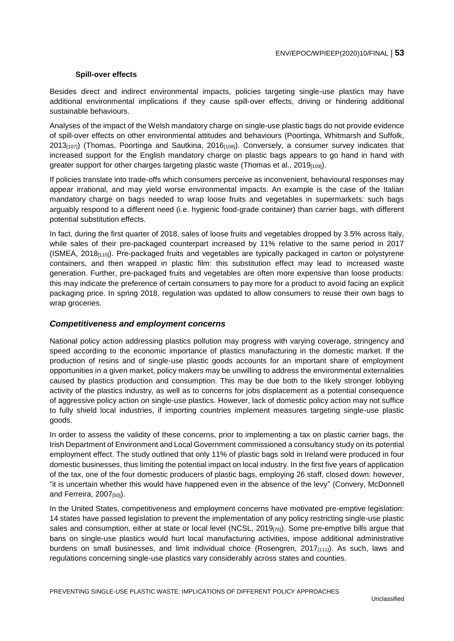#### **Spill-over effects**

Besides direct and indirect environmental impacts, policies targeting single-use plastics may have additional environmental implications if they cause spill-over effects, driving or hindering additional sustainable behaviours.

Analyses of the impact of the Welsh mandatory charge on single-use plastic bags do not provide evidence of spill-over effects on other environmental attitudes and behaviours (Poortinga, Whitmarsh and Suffolk, 2013<sub>[107]</sub>) (Thomas, Poortinga and Sautkina, 2016<sub>[108]</sub>). Conversely, a consumer survey indicates that increased support for the English mandatory charge on plastic bags appears to go hand in hand with greater support for other charges targeting plastic waste (Thomas et al., 2019<sub>[109]</sub>).

If policies translate into trade-offs which consumers perceive as inconvenient, behavioural responses may appear irrational, and may yield worse environmental impacts. An example is the case of the Italian mandatory charge on bags needed to wrap loose fruits and vegetables in supermarkets: such bags arguably respond to a different need (i.e. hygienic food-grade container) than carrier bags, with different potential substitution effects.

In fact, during the first quarter of 2018, sales of loose fruits and vegetables dropped by 3.5% across Italy, while sales of their pre-packaged counterpart increased by 11% relative to the same period in 2017 (ISMEA, 2018[110]). Pre-packaged fruits and vegetables are typically packaged in carton or polystyrene containers, and then wrapped in plastic film: this substitution effect may lead to increased waste generation. Further, pre-packaged fruits and vegetables are often more expensive than loose products: this may indicate the preference of certain consumers to pay more for a product to avoid facing an explicit packaging price. In spring 2018, regulation was updated to allow consumers to reuse their own bags to wrap groceries.

#### *Competitiveness and employment concerns*

National policy action addressing plastics pollution may progress with varying coverage, stringency and speed according to the economic importance of plastics manufacturing in the domestic market. If the production of resins and of single-use plastic goods accounts for an important share of employment opportunities in a given market, policy makers may be unwilling to address the environmental externalities caused by plastics production and consumption. This may be due both to the likely stronger lobbying activity of the plastics industry, as well as to concerns for jobs displacement as a potential consequence of aggressive policy action on single-use plastics. However, lack of domestic policy action may not suffice to fully shield local industries, if importing countries implement measures targeting single-use plastic goods.

In order to assess the validity of these concerns, prior to implementing a tax on plastic carrier bags, the Irish Department of Environment and Local Government commissioned a consultancy study on its potential employment effect. The study outlined that only 11% of plastic bags sold in Ireland were produced in four domestic businesses, thus limiting the potential impact on local industry. In the first five years of application of the tax, one of the four domestic producers of plastic bags, employing 26 staff, closed down: however, "it is uncertain whether this would have happened even in the absence of the levy" (Convery, McDonnell and Ferreira, 2007<sub>[50]</sub>).

In the United States, competitiveness and employment concerns have motivated pre-emptive legislation: 14 states have passed legislation to prevent the implementation of any policy restricting single-use plastic sales and consumption, either at state or local level (NCSL, 2019<sub>[75]</sub>). Some pre-emptive bills argue that bans on single-use plastics would hurt local manufacturing activities, impose additional administrative burdens on small businesses, and limit individual choice (Rosengren, 2017 $_{[1111]}$ ). As such, laws and regulations concerning single-use plastics vary considerably across states and counties.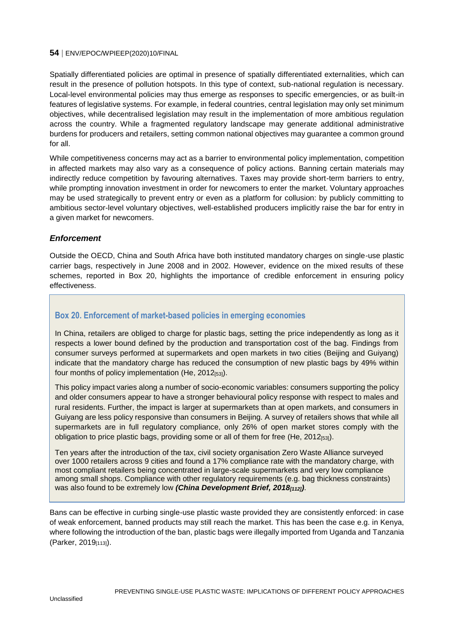Spatially differentiated policies are optimal in presence of spatially differentiated externalities, which can result in the presence of pollution hotspots. In this type of context, sub-national regulation is necessary. Local-level environmental policies may thus emerge as responses to specific emergencies, or as built-in features of legislative systems. For example, in federal countries, central legislation may only set minimum objectives, while decentralised legislation may result in the implementation of more ambitious regulation across the country. While a fragmented regulatory landscape may generate additional administrative burdens for producers and retailers, setting common national objectives may guarantee a common ground for all.

While competitiveness concerns may act as a barrier to environmental policy implementation, competition in affected markets may also vary as a consequence of policy actions. Banning certain materials may indirectly reduce competition by favouring alternatives. Taxes may provide short-term barriers to entry, while prompting innovation investment in order for newcomers to enter the market. Voluntary approaches may be used strategically to prevent entry or even as a platform for collusion: by publicly committing to ambitious sector-level voluntary objectives, well-established producers implicitly raise the bar for entry in a given market for newcomers.

#### *Enforcement*

Outside the OECD, China and South Africa have both instituted mandatory charges on single-use plastic carrier bags, respectively in June 2008 and in 2002. However, evidence on the mixed results of these schemes, reported in Box 20, highlights the importance of credible enforcement in ensuring policy effectiveness.

#### <span id="page-53-0"></span>**Box 20. Enforcement of market-based policies in emerging economies**

In China, retailers are obliged to charge for plastic bags, setting the price independently as long as it respects a lower bound defined by the production and transportation cost of the bag. Findings from consumer surveys performed at supermarkets and open markets in two cities (Beijing and Guiyang) indicate that the mandatory charge has reduced the consumption of new plastic bags by 49% within four months of policy implementation (He,  $2012_{531}$ ).

This policy impact varies along a number of socio-economic variables: consumers supporting the policy and older consumers appear to have a stronger behavioural policy response with respect to males and rural residents. Further, the impact is larger at supermarkets than at open markets, and consumers in Guiyang are less policy responsive than consumers in Beijing. A survey of retailers shows that while all supermarkets are in full regulatory compliance, only 26% of open market stores comply with the obligation to price plastic bags, providing some or all of them for free (He, 2012[53]).

Ten years after the introduction of the tax, civil society organisation Zero Waste Alliance surveyed over 1000 retailers across 9 cities and found a 17% compliance rate with the mandatory charge, with most compliant retailers being concentrated in large-scale supermarkets and very low compliance among small shops. Compliance with other regulatory requirements (e.g. bag thickness constraints) was also found to be extremely low *(China Development Brief, 2018[112])*.

Bans can be effective in curbing single-use plastic waste provided they are consistently enforced: in case of weak enforcement, banned products may still reach the market. This has been the case e.g. in Kenya, where following the introduction of the ban, plastic bags were illegally imported from Uganda and Tanzania (Parker, 2019[113]).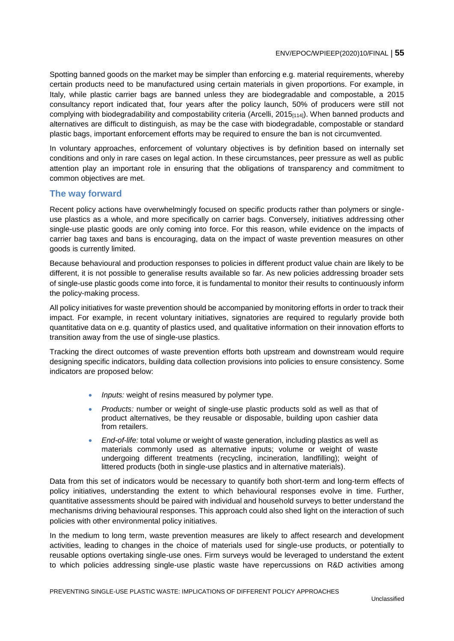Spotting banned goods on the market may be simpler than enforcing e.g. material requirements, whereby certain products need to be manufactured using certain materials in given proportions. For example, in Italy, while plastic carrier bags are banned unless they are biodegradable and compostable, a 2015 consultancy report indicated that, four years after the policy launch, 50% of producers were still not complying with biodegradability and compostability criteria (Arcelli, 2015 $_{[114]}$ ). When banned products and alternatives are difficult to distinguish, as may be the case with biodegradable, compostable or standard plastic bags, important enforcement efforts may be required to ensure the ban is not circumvented.

In voluntary approaches, enforcement of voluntary objectives is by definition based on internally set conditions and only in rare cases on legal action. In these circumstances, peer pressure as well as public attention play an important role in ensuring that the obligations of transparency and commitment to common objectives are met.

#### <span id="page-54-0"></span>**The way forward**

Recent policy actions have overwhelmingly focused on specific products rather than polymers or singleuse plastics as a whole, and more specifically on carrier bags. Conversely, initiatives addressing other single-use plastic goods are only coming into force. For this reason, while evidence on the impacts of carrier bag taxes and bans is encouraging, data on the impact of waste prevention measures on other goods is currently limited.

Because behavioural and production responses to policies in different product value chain are likely to be different, it is not possible to generalise results available so far. As new policies addressing broader sets of single-use plastic goods come into force, it is fundamental to monitor their results to continuously inform the policy-making process.

All policy initiatives for waste prevention should be accompanied by monitoring efforts in order to track their impact. For example, in recent voluntary initiatives, signatories are required to regularly provide both quantitative data on e.g. quantity of plastics used, and qualitative information on their innovation efforts to transition away from the use of single-use plastics.

Tracking the direct outcomes of waste prevention efforts both upstream and downstream would require designing specific indicators, building data collection provisions into policies to ensure consistency. Some indicators are proposed below:

- *Inputs:* weight of resins measured by polymer type.
- *Products:* number or weight of single-use plastic products sold as well as that of product alternatives, be they reusable or disposable, building upon cashier data from retailers.
- *End-of-life:* total volume or weight of waste generation, including plastics as well as materials commonly used as alternative inputs; volume or weight of waste undergoing different treatments (recycling, incineration, landfilling); weight of littered products (both in single-use plastics and in alternative materials).

Data from this set of indicators would be necessary to quantify both short-term and long-term effects of policy initiatives, understanding the extent to which behavioural responses evolve in time. Further, quantitative assessments should be paired with individual and household surveys to better understand the mechanisms driving behavioural responses. This approach could also shed light on the interaction of such policies with other environmental policy initiatives.

In the medium to long term, waste prevention measures are likely to affect research and development activities, leading to changes in the choice of materials used for single-use products, or potentially to reusable options overtaking single-use ones. Firm surveys would be leveraged to understand the extent to which policies addressing single-use plastic waste have repercussions on R&D activities among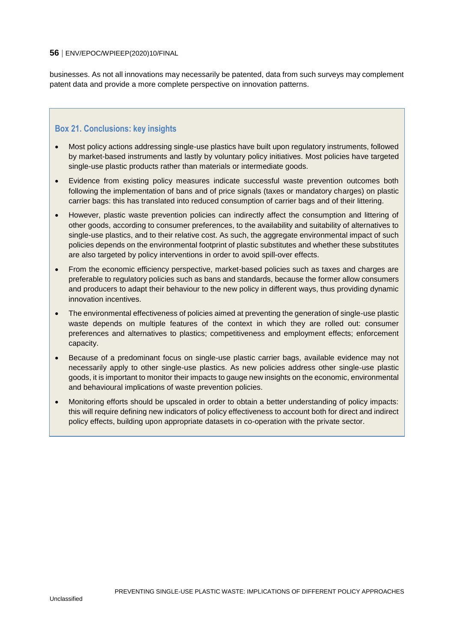businesses. As not all innovations may necessarily be patented, data from such surveys may complement patent data and provide a more complete perspective on innovation patterns.

## <span id="page-55-0"></span>**Box 21. Conclusions: key insights**

- Most policy actions addressing single-use plastics have built upon regulatory instruments, followed by market-based instruments and lastly by voluntary policy initiatives. Most policies have targeted single-use plastic products rather than materials or intermediate goods.
- Evidence from existing policy measures indicate successful waste prevention outcomes both following the implementation of bans and of price signals (taxes or mandatory charges) on plastic carrier bags: this has translated into reduced consumption of carrier bags and of their littering.
- However, plastic waste prevention policies can indirectly affect the consumption and littering of other goods, according to consumer preferences, to the availability and suitability of alternatives to single-use plastics, and to their relative cost. As such, the aggregate environmental impact of such policies depends on the environmental footprint of plastic substitutes and whether these substitutes are also targeted by policy interventions in order to avoid spill-over effects.
- From the economic efficiency perspective, market-based policies such as taxes and charges are preferable to regulatory policies such as bans and standards, because the former allow consumers and producers to adapt their behaviour to the new policy in different ways, thus providing dynamic innovation incentives.
- The environmental effectiveness of policies aimed at preventing the generation of single-use plastic waste depends on multiple features of the context in which they are rolled out: consumer preferences and alternatives to plastics; competitiveness and employment effects; enforcement capacity.
- Because of a predominant focus on single-use plastic carrier bags, available evidence may not necessarily apply to other single-use plastics. As new policies address other single-use plastic goods, it is important to monitor their impacts to gauge new insights on the economic, environmental and behavioural implications of waste prevention policies.
- Monitoring efforts should be upscaled in order to obtain a better understanding of policy impacts: this will require defining new indicators of policy effectiveness to account both for direct and indirect policy effects, building upon appropriate datasets in co-operation with the private sector.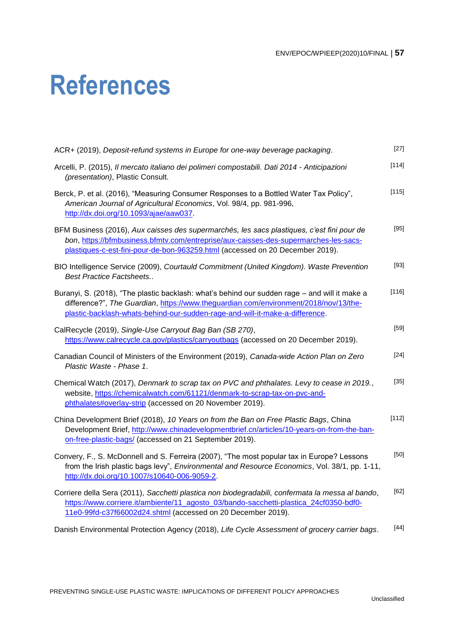# <span id="page-56-0"></span>**References**

| ACR+ (2019), Deposit-refund systems in Europe for one-way beverage packaging.                                                                                                                                                                                         | $[27]$  |
|-----------------------------------------------------------------------------------------------------------------------------------------------------------------------------------------------------------------------------------------------------------------------|---------|
| Arcelli, P. (2015), Il mercato italiano dei polimeri compostabili. Dati 2014 - Anticipazioni<br>(presentation), Plastic Consult.                                                                                                                                      | $[114]$ |
| Berck, P. et al. (2016), "Measuring Consumer Responses to a Bottled Water Tax Policy",<br>American Journal of Agricultural Economics, Vol. 98/4, pp. 981-996,<br>http://dx.doi.org/10.1093/ajae/aaw037                                                                | [115]   |
| BFM Business (2016), Aux caisses des supermarchés, les sacs plastiques, c'est fini pour de<br>bon, https://bfmbusiness.bfmtv.com/entreprise/aux-caisses-des-supermarches-les-sacs-<br>plastiques-c-est-fini-pour-de-bon-963259.html (accessed on 20 December 2019).   | [95]    |
| BIO Intelligence Service (2009), Courtauld Commitment (United Kingdom). Waste Prevention<br><b>Best Practice Factsheets</b>                                                                                                                                           | $[93]$  |
| Buranyi, S. (2018), "The plastic backlash: what's behind our sudden rage - and will it make a<br>difference?", The Guardian, https://www.theguardian.com/environment/2018/nov/13/the-<br>plastic-backlash-whats-behind-our-sudden-rage-and-will-it-make-a-difference. | $[116]$ |
| CalRecycle (2019), Single-Use Carryout Bag Ban (SB 270),<br>https://www.calrecycle.ca.gov/plastics/carryoutbags (accessed on 20 December 2019).                                                                                                                       | $[59]$  |
| Canadian Council of Ministers of the Environment (2019), Canada-wide Action Plan on Zero<br>Plastic Waste - Phase 1.                                                                                                                                                  | [24]    |
| Chemical Watch (2017), Denmark to scrap tax on PVC and phthalates. Levy to cease in 2019.,<br>website, https://chemicalwatch.com/61121/denmark-to-scrap-tax-on-pvc-and-<br>phthalates#overlay-strip (accessed on 20 November 2019).                                   | $[35]$  |
| China Development Brief (2018), 10 Years on from the Ban on Free Plastic Bags, China<br>Development Brief, http://www.chinadevelopmentbrief.cn/articles/10-years-on-from-the-ban-<br>on-free-plastic-bags/ (accessed on 21 September 2019).                           | [112]   |
| Convery, F., S. McDonnell and S. Ferreira (2007), "The most popular tax in Europe? Lessons<br>from the Irish plastic bags levy", Environmental and Resource Economics, Vol. 38/1, pp. 1-11,<br>http://dx.doi.org/10.1007/s10640-006-9059-2.                           | [50]    |
| Corriere della Sera (2011), Sacchetti plastica non biodegradabili, confermata la messa al bando,<br>https://www.corriere.it/ambiente/11_agosto_03/bando-sacchetti-plastica_24cf0350-bdf0-<br>11e0-99fd-c37f66002d24.shtml (accessed on 20 December 2019).             | [62]    |
| Danish Environmental Protection Agency (2018), Life Cycle Assessment of grocery carrier bags.                                                                                                                                                                         | $[44]$  |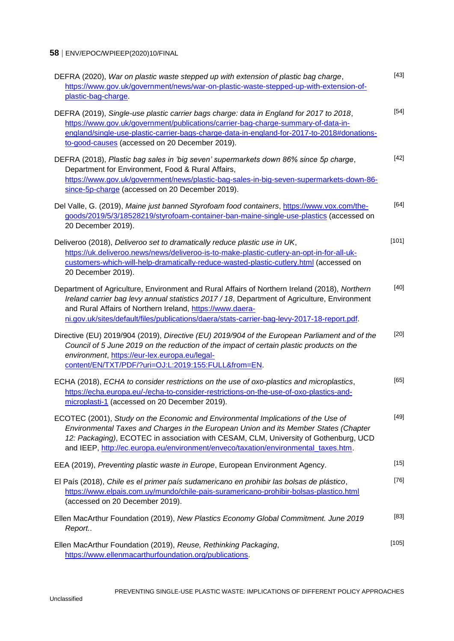| DEFRA (2020), War on plastic waste stepped up with extension of plastic bag charge,<br>https://www.gov.uk/government/news/war-on-plastic-waste-stepped-up-with-extension-of-<br>plastic-bag-charge                                                                                                                                                        | $[43]$  |
|-----------------------------------------------------------------------------------------------------------------------------------------------------------------------------------------------------------------------------------------------------------------------------------------------------------------------------------------------------------|---------|
| DEFRA (2019), Single-use plastic carrier bags charge: data in England for 2017 to 2018,<br>https://www.gov.uk/government/publications/carrier-bag-charge-summary-of-data-in-<br>england/single-use-plastic-carrier-bags-charge-data-in-england-for-2017-to-2018#donations-<br>to-good-causes (accessed on 20 December 2019).                              | $[54]$  |
| DEFRA (2018), Plastic bag sales in 'big seven' supermarkets down 86% since 5p charge,<br>Department for Environment, Food & Rural Affairs,<br>https://www.gov.uk/government/news/plastic-bag-sales-in-big-seven-supermarkets-down-86-<br>since-5p-charge (accessed on 20 December 2019).                                                                  | $[42]$  |
| Del Valle, G. (2019), Maine just banned Styrofoam food containers, https://www.vox.com/the-<br>goods/2019/5/3/18528219/styrofoam-container-ban-maine-single-use-plastics (accessed on<br>20 December 2019).                                                                                                                                               | [64]    |
| Deliveroo (2018), Deliveroo set to dramatically reduce plastic use in UK,<br>https://uk.deliveroo.news/news/deliveroo-is-to-make-plastic-cutlery-an-opt-in-for-all-uk-<br>customers-which-will-help-dramatically-reduce-wasted-plastic-cutlery.html (accessed on<br>20 December 2019).                                                                    | [101]   |
| Department of Agriculture, Environment and Rural Affairs of Northern Ireland (2018), Northern<br>Ireland carrier bag levy annual statistics 2017 / 18, Department of Agriculture, Environment<br>and Rural Affairs of Northern Ireland, https://www.daera-<br>ni.gov.uk/sites/default/files/publications/daera/stats-carrier-bag-levy-2017-18-report.pdf. | [40]    |
| Directive (EU) 2019/904 (2019), Directive (EU) 2019/904 of the European Parliament and of the<br>Council of 5 June 2019 on the reduction of the impact of certain plastic products on the<br>environment, https://eur-lex.europa.eu/legal-<br>content/EN/TXT/PDF/?uri=OJ:L:2019:155:FULL&from=EN                                                          | $[20]$  |
| ECHA (2018), ECHA to consider restrictions on the use of oxo-plastics and microplastics,<br>https://echa.europa.eu/-/echa-to-consider-restrictions-on-the-use-of-oxo-plastics-and-<br>microplasti-1 (accessed on 20 December 2019).                                                                                                                       | [65]    |
| ECOTEC (2001), Study on the Economic and Environmental Implications of the Use of<br>Environmental Taxes and Charges in the European Union and its Member States (Chapter<br>12: Packaging), ECOTEC in association with CESAM, CLM, University of Gothenburg, UCD<br>and IEEP, http://ec.europa.eu/environment/enveco/taxation/environmental_taxes.htm.   | $[49]$  |
| EEA (2019), Preventing plastic waste in Europe, European Environment Agency.                                                                                                                                                                                                                                                                              | $[15]$  |
| El País (2018), Chile es el primer país sudamericano en prohibir las bolsas de plástico,<br>https://www.elpais.com.uy/mundo/chile-pais-suramericano-prohibir-bolsas-plastico.html<br>(accessed on 20 December 2019).                                                                                                                                      | [76]    |
| Ellen MacArthur Foundation (2019), New Plastics Economy Global Commitment. June 2019<br>Report                                                                                                                                                                                                                                                            | $[83]$  |
| Ellen MacArthur Foundation (2019), Reuse, Rethinking Packaging,<br>https://www.ellenmacarthurfoundation.org/publications.                                                                                                                                                                                                                                 | $[105]$ |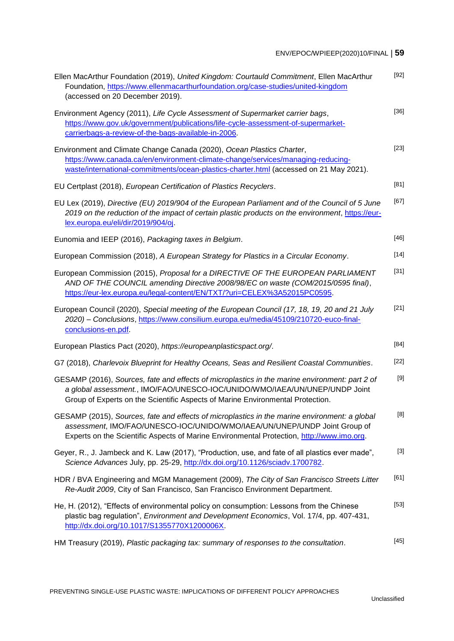| Ellen MacArthur Foundation (2019), United Kingdom: Courtauld Commitment, Ellen MacArthur<br>Foundation, https://www.ellenmacarthurfoundation.org/case-studies/united-kingdom<br>(accessed on 20 December 2019).                                                         | $[92]$ |
|-------------------------------------------------------------------------------------------------------------------------------------------------------------------------------------------------------------------------------------------------------------------------|--------|
| Environment Agency (2011), Life Cycle Assessment of Supermarket carrier bags,<br>https://www.gov.uk/government/publications/life-cycle-assessment-of-supermarket-<br>carrierbags-a-review-of-the-bags-available-in-2006.                                                | $[36]$ |
| Environment and Climate Change Canada (2020), Ocean Plastics Charter,<br>https://www.canada.ca/en/environment-climate-change/services/managing-reducing-<br>waste/international-commitments/ocean-plastics-charter.html (accessed on 21 May 2021).                      | $[23]$ |
| EU Certplast (2018), European Certification of Plastics Recyclers.                                                                                                                                                                                                      | [81]   |
| EU Lex (2019), Directive (EU) 2019/904 of the European Parliament and of the Council of 5 June<br>2019 on the reduction of the impact of certain plastic products on the environment, https://eur-<br>lex.europa.eu/eli/dir/2019/904/oj.                                | $[67]$ |
| Eunomia and IEEP (2016), Packaging taxes in Belgium.                                                                                                                                                                                                                    | $[46]$ |
| European Commission (2018), A European Strategy for Plastics in a Circular Economy.                                                                                                                                                                                     | $[14]$ |
| European Commission (2015), Proposal for a DIRECTIVE OF THE EUROPEAN PARLIAMENT<br>AND OF THE COUNCIL amending Directive 2008/98/EC on waste (COM/2015/0595 final),<br>https://eur-lex.europa.eu/legal-content/EN/TXT/?uri=CELEX%3A52015PC0595.                         | $[31]$ |
| European Council (2020), Special meeting of the European Council (17, 18, 19, 20 and 21 July<br>2020) - Conclusions, https://www.consilium.europa.eu/media/45109/210720-euco-final-<br>conclusions-en.pdf                                                               | $[21]$ |
| European Plastics Pact (2020), https://europeanplasticspact.org/.                                                                                                                                                                                                       | $[84]$ |
| G7 (2018), Charlevoix Blueprint for Healthy Oceans, Seas and Resilient Coastal Communities.                                                                                                                                                                             | $[22]$ |
| GESAMP (2016), Sources, fate and effects of microplastics in the marine environment: part 2 of<br>a global assessment., IMO/FAO/UNESCO-IOC/UNIDO/WMO/IAEA/UN/UNEP/UNDP Joint<br>Group of Experts on the Scientific Aspects of Marine Environmental Protection.          | $[9]$  |
| GESAMP (2015), Sources, fate and effects of microplastics in the marine environment: a global<br>assessment, IMO/FAO/UNESCO-IOC/UNIDO/WMO/IAEA/UN/UNEP/UNDP Joint Group of<br>Experts on the Scientific Aspects of Marine Environmental Protection, http://www.imo.org. | [8]    |
| Geyer, R., J. Jambeck and K. Law (2017), "Production, use, and fate of all plastics ever made",<br>Science Advances July, pp. 25-29, http://dx.doi.org/10.1126/sciadv.1700782.                                                                                          | $[3]$  |
| HDR / BVA Engineering and MGM Management (2009), The City of San Francisco Streets Litter<br>Re-Audit 2009, City of San Francisco, San Francisco Environment Department.                                                                                                | [61]   |
| He, H. (2012), "Effects of environmental policy on consumption: Lessons from the Chinese<br>plastic bag regulation", Environment and Development Economics, Vol. 17/4, pp. 407-431,<br>http://dx.doi.org/10.1017/S1355770X1200006X                                      | $[53]$ |
| HM Treasury (2019), Plastic packaging tax: summary of responses to the consultation.                                                                                                                                                                                    | $[45]$ |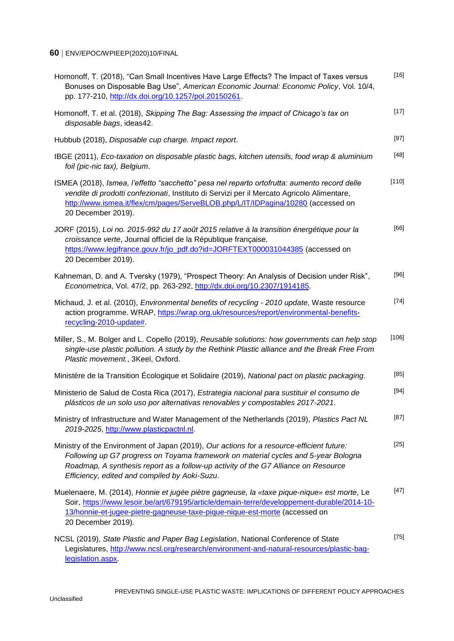| Homonoff, T. (2018), "Can Small Incentives Have Large Effects? The Impact of Taxes versus<br>Bonuses on Disposable Bag Use", American Economic Journal: Economic Policy, Vol. 10/4,<br>pp. 177-210, http://dx.doi.org/10.1257/pol.20150261.                                                                            | $[16]$  |
|------------------------------------------------------------------------------------------------------------------------------------------------------------------------------------------------------------------------------------------------------------------------------------------------------------------------|---------|
| Homonoff, T. et al. (2018), Skipping The Bag: Assessing the impact of Chicago's tax on<br>disposable bags, ideas42.                                                                                                                                                                                                    | $[17]$  |
| Hubbub (2018), Disposable cup charge. Impact report.                                                                                                                                                                                                                                                                   | $[97]$  |
| IBGE (2011), Eco-taxation on disposable plastic bags, kitchen utensils, food wrap & aluminium<br>foil (pic-nic tax), Belgium.                                                                                                                                                                                          | $[48]$  |
| ISMEA (2018), Ismea, l'effetto "sacchetto" pesa nel reparto ortofrutta: aumento record delle<br>vendite di prodotti confezionati, Instituto di Servizi per il Mercato Agricolo Alimentare,<br>http://www.ismea.it/flex/cm/pages/ServeBLOB.php/L/IT/IDPagina/10280 (accessed on<br>20 December 2019).                   | [110]   |
| JORF (2015), Loi no. 2015-992 du 17 août 2015 relative à la transition énergétique pour la<br>croissance verte, Journal officiel de la République française,<br>https://www.legifrance.gouv.fr/jo_pdf.do?id=JORFTEXT000031044385 (accessed on<br>20 December 2019).                                                    | [66]    |
| Kahneman, D. and A. Tversky (1979), "Prospect Theory: An Analysis of Decision under Risk",<br>Econometrica, Vol. 47/2, pp. 263-292, http://dx.doi.org/10.2307/1914185.                                                                                                                                                 | $[96]$  |
| Michaud, J. et al. (2010), Environmental benefits of recycling - 2010 update, Waste resource<br>action programme. WRAP, https://wrap.org.uk/resources/report/environmental-benefits-<br>recycling-2010-update#                                                                                                         | $[74]$  |
| Miller, S., M. Bolger and L. Copello (2019), Reusable solutions: how governments can help stop<br>single-use plastic pollution. A study by the Rethink Plastic alliance and the Break Free From<br>Plastic movement., 3Keel, Oxford.                                                                                   | $[106]$ |
| Ministère de la Transition Écologique et Solidaire (2019), National pact on plastic packaging.                                                                                                                                                                                                                         | [85]    |
| Ministerio de Salud de Costa Rica (2017), Estrategia nacional para sustituir el consumo de<br>plásticos de un solo uso por alternativas renovables y compostables 2017-2021.                                                                                                                                           | $[94]$  |
| Ministry of Infrastructure and Water Management of the Netherlands (2019), Plastics Pact NL<br>2019-2025, http://www.plasticpactnl.nl.                                                                                                                                                                                 | $[87]$  |
| Ministry of the Environment of Japan (2019), Our actions for a resource-efficient future:<br>Following up G7 progress on Toyama framework on material cycles and 5-year Bologna<br>Roadmap, A synthesis report as a follow-up activity of the G7 Alliance on Resource<br>Efficiency, edited and compiled by Aoki-Suzu. | $[25]$  |
| Muelenaere, M. (2014), Honnie et jugée piètre gagneuse, la «taxe pique-nique» est morte, Le<br>Soir, https://www.lesoir.be/art/679195/article/demain-terre/developpement-durable/2014-10-<br>13/honnie-et-jugee-pietre-gagneuse-taxe-pique-nique-est-morte (accessed on<br>20 December 2019).                          | $[47]$  |
| NCSL (2019), State Plastic and Paper Bag Legislation, National Conference of State<br>Legislatures, http://www.ncsl.org/research/environment-and-natural-resources/plastic-bag-<br>legislation.aspx.                                                                                                                   | $[75]$  |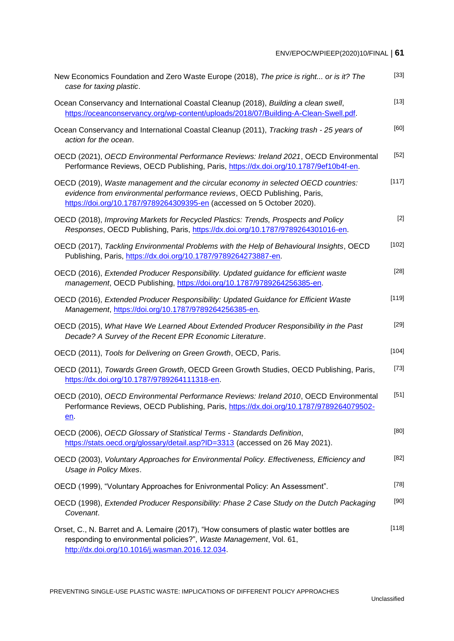| New Economics Foundation and Zero Waste Europe (2018), The price is right or is it? The<br>case for taxing plastic.                                                                                                                      | $[33]$  |
|------------------------------------------------------------------------------------------------------------------------------------------------------------------------------------------------------------------------------------------|---------|
| Ocean Conservancy and International Coastal Cleanup (2018), Building a clean swell,<br>https://oceanconservancy.org/wp-content/uploads/2018/07/Building-A-Clean-Swell.pdf.                                                               | $[13]$  |
| Ocean Conservancy and International Coastal Cleanup (2011), Tracking trash - 25 years of<br>action for the ocean.                                                                                                                        | [60]    |
| OECD (2021), OECD Environmental Performance Reviews: Ireland 2021, OECD Environmental<br>Performance Reviews, OECD Publishing, Paris, https://dx.doi.org/10.1787/9ef10b4f-en.                                                            | $[52]$  |
| OECD (2019), Waste management and the circular economy in selected OECD countries:<br>evidence from environmental performance reviews, OECD Publishing, Paris,<br>https://doi.org/10.1787/9789264309395-en (accessed on 5 October 2020). | [117]   |
| OECD (2018), Improving Markets for Recycled Plastics: Trends, Prospects and Policy<br>Responses, OECD Publishing, Paris, https://dx.doi.org/10.1787/9789264301016-en.                                                                    | $[2]$   |
| OECD (2017), Tackling Environmental Problems with the Help of Behavioural Insights, OECD<br>Publishing, Paris, https://dx.doi.org/10.1787/9789264273887-en.                                                                              | $[102]$ |
| OECD (2016), Extended Producer Responsibility. Updated guidance for efficient waste<br>management, OECD Publishing, https://doi.org/10.1787/9789264256385-en.                                                                            | $[28]$  |
| OECD (2016), Extended Producer Responsibility: Updated Guidance for Efficient Waste<br>Management, https://doi.org/10.1787/9789264256385-en.                                                                                             | [119]   |
| OECD (2015), What Have We Learned About Extended Producer Responsibility in the Past<br>Decade? A Survey of the Recent EPR Economic Literature.                                                                                          | $[29]$  |
| OECD (2011), Tools for Delivering on Green Growth, OECD, Paris.                                                                                                                                                                          | [104]   |
| OECD (2011), Towards Green Growth, OECD Green Growth Studies, OECD Publishing, Paris,<br>https://dx.doi.org/10.1787/9789264111318-en                                                                                                     | $[73]$  |
| OECD (2010), OECD Environmental Performance Reviews: Ireland 2010, OECD Environmental<br>Performance Reviews, OECD Publishing, Paris, https://dx.doi.org/10.1787/9789264079502-<br><u>en.</u>                                            | $[51]$  |
| OECD (2006), OECD Glossary of Statistical Terms - Standards Definition,<br>https://stats.oecd.org/glossary/detail.asp?ID=3313 (accessed on 26 May 2021).                                                                                 | [80]    |
| OECD (2003), Voluntary Approaches for Environmental Policy. Effectiveness, Efficiency and<br>Usage in Policy Mixes.                                                                                                                      | [82]    |
| OECD (1999), "Voluntary Approaches for Enivronmental Policy: An Assessment".                                                                                                                                                             | $[78]$  |
| OECD (1998), Extended Producer Responsibility: Phase 2 Case Study on the Dutch Packaging<br>Covenant.                                                                                                                                    | [90]    |
| Orset, C., N. Barret and A. Lemaire (2017), "How consumers of plastic water bottles are<br>responding to environmental policies?", Waste Management, Vol. 61,<br>http://dx.doi.org/10.1016/j.wasman.2016.12.034.                         | $[118]$ |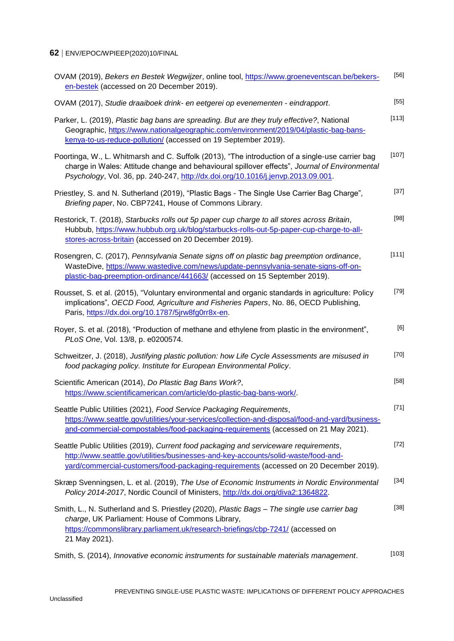| OVAM (2019), Bekers en Bestek Wegwijzer, online tool, https://www.groeneventscan.be/bekers-<br>en-bestek (accessed on 20 December 2019).                                                                                                                                              | $[56]$  |
|---------------------------------------------------------------------------------------------------------------------------------------------------------------------------------------------------------------------------------------------------------------------------------------|---------|
| OVAM (2017), Studie draaiboek drink- en eetgerei op evenementen - eindrapport.                                                                                                                                                                                                        | $[55]$  |
| Parker, L. (2019), Plastic bag bans are spreading. But are they truly effective?, National<br>Geographic, https://www.nationalgeographic.com/environment/2019/04/plastic-bag-bans-<br>kenya-to-us-reduce-pollution/ (accessed on 19 September 2019).                                  | $[113]$ |
| Poortinga, W., L. Whitmarsh and C. Suffolk (2013), "The introduction of a single-use carrier bag<br>charge in Wales: Attitude change and behavioural spillover effects", Journal of Environmental<br>Psychology, Vol. 36, pp. 240-247, http://dx.doi.org/10.1016/j.jenvp.2013.09.001. | $[107]$ |
| Priestley, S. and N. Sutherland (2019), "Plastic Bags - The Single Use Carrier Bag Charge",<br>Briefing paper, No. CBP7241, House of Commons Library.                                                                                                                                 | $[37]$  |
| Restorick, T. (2018), Starbucks rolls out 5p paper cup charge to all stores across Britain,<br>Hubbub, https://www.hubbub.org.uk/blog/starbucks-rolls-out-5p-paper-cup-charge-to-all-<br>stores-across-britain (accessed on 20 December 2019).                                        | [98]    |
| Rosengren, C. (2017), Pennsylvania Senate signs off on plastic bag preemption ordinance,<br>WasteDive, https://www.wastedive.com/news/update-pennsylvania-senate-signs-off-on-<br>plastic-bag-preemption-ordinance/441663/ (accessed on 15 September 2019).                           | $[111]$ |
| Rousset, S. et al. (2015), "Voluntary environmental and organic standards in agriculture: Policy<br>implications", OECD Food, Agriculture and Fisheries Papers, No. 86, OECD Publishing,<br>Paris, https://dx.doi.org/10.1787/5jrw8fg0rr8x-en.                                        | $[79]$  |
| Royer, S. et al. (2018), "Production of methane and ethylene from plastic in the environment",<br>PLoS One, Vol. 13/8, p. e0200574.                                                                                                                                                   | [6]     |
| Schweitzer, J. (2018), Justifying plastic pollution: how Life Cycle Assessments are misused in<br>food packaging policy. Institute for European Environmental Policy.                                                                                                                 | $[70]$  |
| Scientific American (2014), Do Plastic Bag Bans Work?,<br>https://www.scientificamerican.com/article/do-plastic-bag-bans-work/.                                                                                                                                                       | $[58]$  |
| Seattle Public Utilities (2021), Food Service Packaging Requirements,<br>https://www.seattle.gov/utilities/your-services/collection-and-disposal/food-and-yard/business-<br>and-commercial-compostables/food-packaging-requirements (accessed on 21 May 2021).                        | $[71]$  |
| Seattle Public Utilities (2019), Current food packaging and serviceware requirements,<br>http://www.seattle.gov/utilities/businesses-and-key-accounts/solid-waste/food-and-<br>yard/commercial-customers/food-packaging-requirements (accessed on 20 December 2019).                  | $[72]$  |
| Skræp Svenningsen, L. et al. (2019), The Use of Economic Instruments in Nordic Environmental<br>Policy 2014-2017, Nordic Council of Ministers, http://dx.doi.org/diva2:1364822.                                                                                                       | $[34]$  |
| Smith, L., N. Sutherland and S. Priestley (2020), Plastic Bags - The single use carrier bag<br>charge, UK Parliament: House of Commons Library,<br>https://commonslibrary.parliament.uk/research-briefings/cbp-7241/ (accessed on<br>21 May 2021).                                    | $[38]$  |
| Smith, S. (2014), Innovative economic instruments for sustainable materials management.                                                                                                                                                                                               | $[103]$ |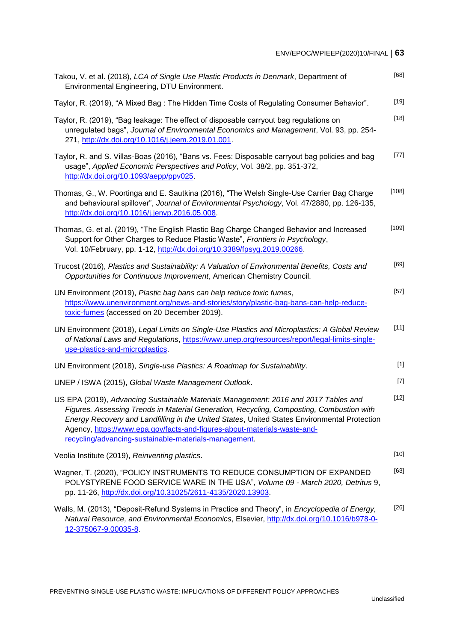| Takou, V. et al. (2018), LCA of Single Use Plastic Products in Denmark, Department of<br>Environmental Engineering, DTU Environment.                                                                                                                                                                                                                                                                                 | [68]                                                                                                                                                                                                                                                           |
|----------------------------------------------------------------------------------------------------------------------------------------------------------------------------------------------------------------------------------------------------------------------------------------------------------------------------------------------------------------------------------------------------------------------|----------------------------------------------------------------------------------------------------------------------------------------------------------------------------------------------------------------------------------------------------------------|
| Taylor, R. (2019), "A Mixed Bag: The Hidden Time Costs of Regulating Consumer Behavior".                                                                                                                                                                                                                                                                                                                             | $[19]$                                                                                                                                                                                                                                                         |
| Taylor, R. (2019), "Bag leakage: The effect of disposable carryout bag regulations on<br>unregulated bags", Journal of Environmental Economics and Management, Vol. 93, pp. 254-<br>271, http://dx.doi.org/10.1016/j.jeem.2019.01.001.                                                                                                                                                                               | $[18]$                                                                                                                                                                                                                                                         |
| Taylor, R. and S. Villas-Boas (2016), "Bans vs. Fees: Disposable carryout bag policies and bag<br>usage", Applied Economic Perspectives and Policy, Vol. 38/2, pp. 351-372,<br>http://dx.doi.org/10.1093/aepp/ppv025.                                                                                                                                                                                                | $[77]$                                                                                                                                                                                                                                                         |
| Thomas, G., W. Poortinga and E. Sautkina (2016), "The Welsh Single-Use Carrier Bag Charge<br>and behavioural spillover", Journal of Environmental Psychology, Vol. 47/2880, pp. 126-135,<br>http://dx.doi.org/10.1016/j.jenvp.2016.05.008.                                                                                                                                                                           | [108]                                                                                                                                                                                                                                                          |
| Thomas, G. et al. (2019), "The English Plastic Bag Charge Changed Behavior and Increased<br>Support for Other Charges to Reduce Plastic Waste", Frontiers in Psychology,<br>Vol. 10/February, pp. 1-12, http://dx.doi.org/10.3389/fpsyg.2019.00266.                                                                                                                                                                  | [109]                                                                                                                                                                                                                                                          |
| Trucost (2016), Plastics and Sustainability: A Valuation of Environmental Benefits, Costs and<br>Opportunities for Continuous Improvement, American Chemistry Council.                                                                                                                                                                                                                                               | $[69]$                                                                                                                                                                                                                                                         |
| UN Environment (2019), Plastic bag bans can help reduce toxic fumes,<br>https://www.unenvironment.org/news-and-stories/story/plastic-bag-bans-can-help-reduce-<br>toxic-fumes (accessed on 20 December 2019).                                                                                                                                                                                                        | $[57]$                                                                                                                                                                                                                                                         |
| UN Environment (2018), Legal Limits on Single-Use Plastics and Microplastics: A Global Review<br>of National Laws and Regulations, https://www.unep.org/resources/report/legal-limits-single-<br>use-plastics-and-microplastics                                                                                                                                                                                      | $[11]$                                                                                                                                                                                                                                                         |
| UN Environment (2018), Single-use Plastics: A Roadmap for Sustainability.                                                                                                                                                                                                                                                                                                                                            | $[1]$                                                                                                                                                                                                                                                          |
| UNEP / ISWA (2015), Global Waste Management Outlook.                                                                                                                                                                                                                                                                                                                                                                 | $[7] \centering% \includegraphics[width=1.0\textwidth]{images/TrDiC-Architecture.png} \caption{The 3D (top) and the 4D (bottom) of the 3D (bottom) and the 4D (bottom) of the 3D (bottom) and the 4D (bottom) of the 3D (bottom).} \label{TrDiC-Architecture}$ |
| US EPA (2019), Advancing Sustainable Materials Management: 2016 and 2017 Tables and<br>Figures. Assessing Trends in Material Generation, Recycling, Composting, Combustion with<br>Energy Recovery and Landfilling in the United States, United States Environmental Protection<br>Agency, https://www.epa.gov/facts-and-figures-about-materials-waste-and-<br>recycling/advancing-sustainable-materials-management. | $[12]$                                                                                                                                                                                                                                                         |
| Veolia Institute (2019), Reinventing plastics.                                                                                                                                                                                                                                                                                                                                                                       | $[10]$                                                                                                                                                                                                                                                         |
| Wagner, T. (2020), "POLICY INSTRUMENTS TO REDUCE CONSUMPTION OF EXPANDED<br>POLYSTYRENE FOOD SERVICE WARE IN THE USA", Volume 09 - March 2020, Detritus 9,<br>pp. 11-26, http://dx.doi.org/10.31025/2611-4135/2020.13903.                                                                                                                                                                                            | $[63]$                                                                                                                                                                                                                                                         |
| Walls, M. (2013), "Deposit-Refund Systems in Practice and Theory", in Encyclopedia of Energy,<br>Natural Resource, and Environmental Economics, Elsevier, http://dx.doi.org/10.1016/b978-0-<br>12-375067-9.00035-8.                                                                                                                                                                                                  | $[26]$                                                                                                                                                                                                                                                         |